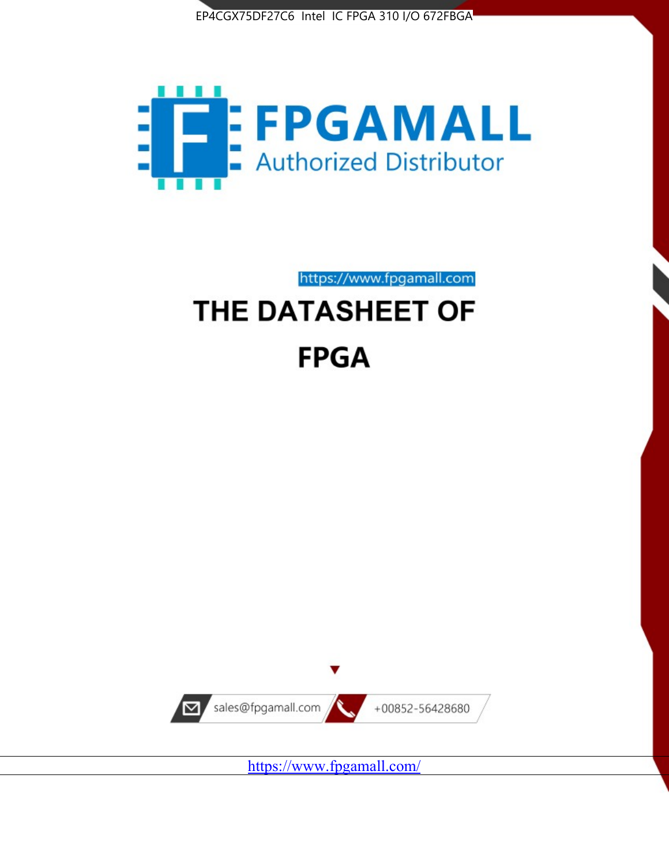



https://www.fpgamall.com

# THE DATASHEET OF **FPGA**



<https://www.fpgamall.com/>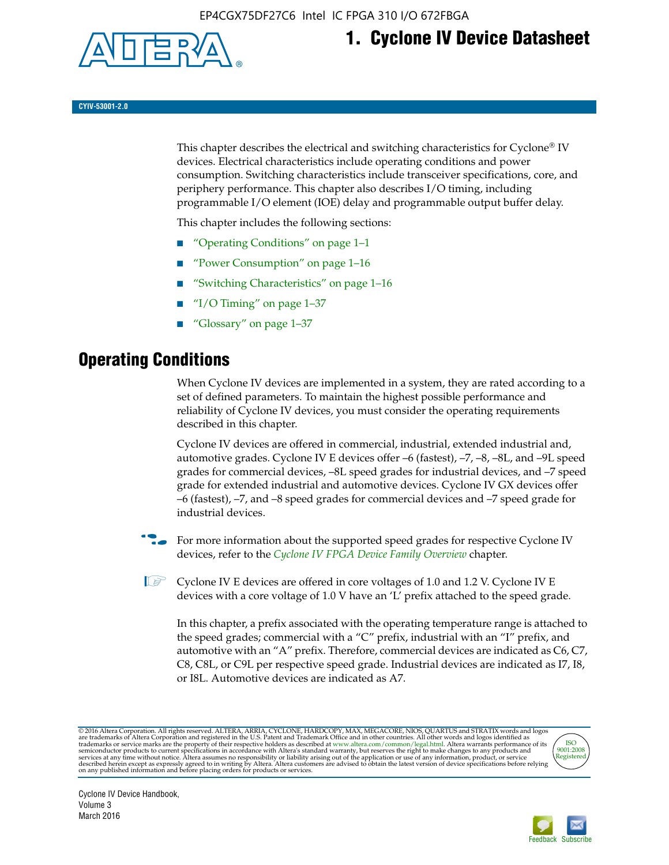

# **1. Cyclone IV Device Datasheet**

**CYIV-53001-2.0**

This chapter describes the electrical and switching characteristics for Cyclone<sup>®</sup> IV devices. Electrical characteristics include operating conditions and power consumption. Switching characteristics include transceiver specifications, core, and periphery performance. This chapter also describes I/O timing, including programmable I/O element (IOE) delay and programmable output buffer delay.

This chapter includes the following sections:

- "Operating Conditions" on page 1–1
- "Power Consumption" on page 1–16
- "Switching Characteristics" on page 1–16
- " $I/O$  Timing" on page  $1-37$
- "Glossary" on page 1–37

# **Operating Conditions**

When Cyclone IV devices are implemented in a system, they are rated according to a set of defined parameters. To maintain the highest possible performance and reliability of Cyclone IV devices, you must consider the operating requirements described in this chapter.

Cyclone IV devices are offered in commercial, industrial, extended industrial and, automotive grades. Cyclone IV E devices offer –6 (fastest), –7, –8, –8L, and –9L speed grades for commercial devices, –8L speed grades for industrial devices, and –7 speed grade for extended industrial and automotive devices. Cyclone IV GX devices offer –6 (fastest), –7, and –8 speed grades for commercial devices and –7 speed grade for industrial devices.

**For more information about the supported speed grades for respective Cyclone IV** devices, refer to the *[Cyclone IV FPGA Device Family Overview](http://www.altera.com/literature/hb/cyclone-iv/cyiv-51001.pdf)* chapter.

**1** Cyclone IV E devices are offered in core voltages of 1.0 and 1.2 V. Cyclone IV E devices with a core voltage of 1.0 V have an 'L' prefix attached to the speed grade.

In this chapter, a prefix associated with the operating temperature range is attached to the speed grades; commercial with a "C" prefix, industrial with an "I" prefix, and automotive with an "A" prefix. Therefore, commercial devices are indicated as C6, C7, C8, C8L, or C9L per respective speed grade. Industrial devices are indicated as I7, I8, or I8L. Automotive devices are indicated as A7.

@2016 Altera Corporation. All rights reserved. ALTERA, ARRIA, CYCLONE, HARDCOPY, MAX, MEGACORE, NIOS, QUARTUS and STRATIX words and logos are trademarks of Altera Corporation and registered in the U.S. Patent and Trademark



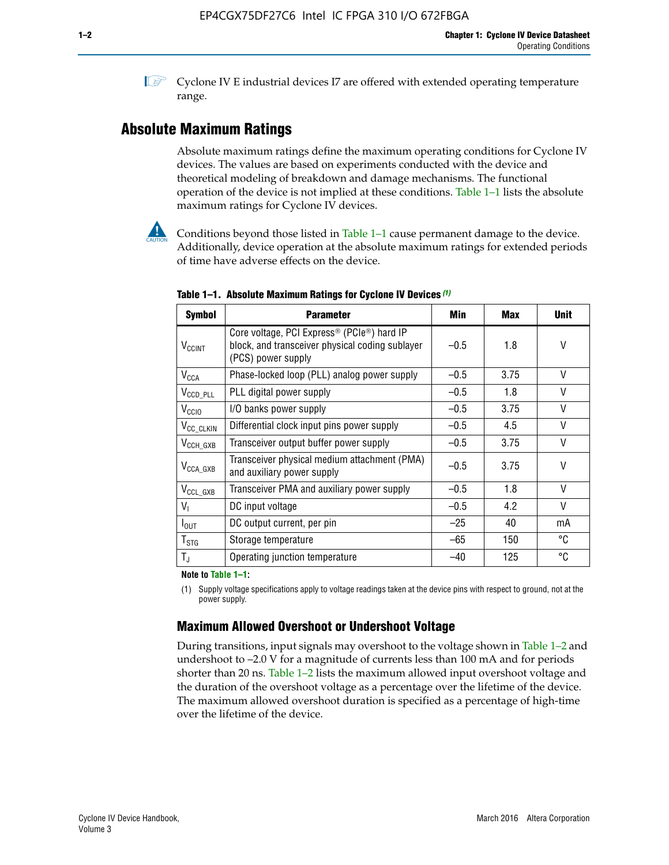**1 Cyclone IV E industrial devices I7 are offered with extended operating temperature** range.

# **Absolute Maximum Ratings**

Absolute maximum ratings define the maximum operating conditions for Cyclone IV devices. The values are based on experiments conducted with the device and theoretical modeling of breakdown and damage mechanisms. The functional operation of the device is not implied at these conditions. Table 1–1 lists the absolute maximum ratings for Cyclone IV devices.



Conditions beyond those listed in Table  $1-1$  cause permanent damage to the device. Additionally, device operation at the absolute maximum ratings for extended periods of time have adverse effects on the device.

| <b>Symbol</b>              | <b>Parameter</b>                                                                                                                | Min    | <b>Max</b> | <b>Unit</b> |
|----------------------------|---------------------------------------------------------------------------------------------------------------------------------|--------|------------|-------------|
| <b>V<sub>CCINT</sub></b>   | Core voltage, PCI Express <sup>®</sup> (PCIe®) hard IP<br>block, and transceiver physical coding sublayer<br>(PCS) power supply | $-0.5$ | 1.8        | V           |
| $V_{CCA}$                  | Phase-locked loop (PLL) analog power supply                                                                                     | $-0.5$ | 3.75       | V           |
| $V_{\text{CCD\_PLL}}$      | PLL digital power supply                                                                                                        | $-0.5$ | 1.8        | $\vee$      |
| V <sub>CCIO</sub>          | I/O banks power supply                                                                                                          | $-0.5$ | 3.75       | V           |
| V <sub>CC_CLKIN</sub>      | Differential clock input pins power supply                                                                                      | $-0.5$ | 4.5        | $\vee$      |
| $V_{CCH_GXB}$              | Transceiver output buffer power supply                                                                                          | $-0.5$ | 3.75       | V           |
| $V_{\text{CCA\_GXB}}$      | Transceiver physical medium attachment (PMA)<br>and auxiliary power supply                                                      | $-0.5$ | 3.75       | V           |
| $V_{CCL_GXB}$              | Transceiver PMA and auxiliary power supply                                                                                      | $-0.5$ | 1.8        | $\vee$      |
| $V_{1}$                    | DC input voltage                                                                                                                | $-0.5$ | 4.2        | V           |
| $I_{\text{OUT}}$           | DC output current, per pin                                                                                                      | $-25$  | 40         | mA          |
| ${\mathsf T}_{\text{STG}}$ | Storage temperature                                                                                                             | -65    | 150        | °C          |
| $T_{\rm J}$                | Operating junction temperature                                                                                                  | $-40$  | 125        | °C          |

**Table 1–1. Absolute Maximum Ratings for Cyclone IV Devices** *(1)*

**Note to Table 1–1:**

(1) Supply voltage specifications apply to voltage readings taken at the device pins with respect to ground, not at the power supply.

# **Maximum Allowed Overshoot or Undershoot Voltage**

During transitions, input signals may overshoot to the voltage shown in Table 1–2 and undershoot to –2.0 V for a magnitude of currents less than 100 mA and for periods shorter than 20 ns. Table 1–2 lists the maximum allowed input overshoot voltage and the duration of the overshoot voltage as a percentage over the lifetime of the device. The maximum allowed overshoot duration is specified as a percentage of high-time over the lifetime of the device.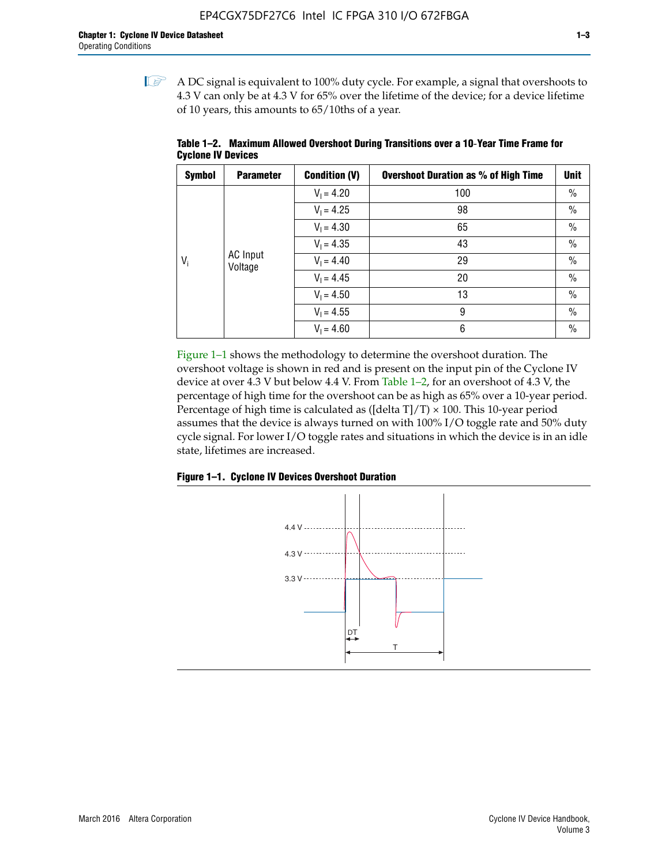$\mathbb{I}$  A DC signal is equivalent to 100% duty cycle. For example, a signal that overshoots to 4.3 V can only be at 4.3 V for 65% over the lifetime of the device; for a device lifetime of 10 years, this amounts to 65/10ths of a year.

| <b>Symbol</b> | <b>Parameter</b> | <b>Condition (V)</b> | <b>Overshoot Duration as % of High Time</b> | <b>Unit</b>   |  |              |    |
|---------------|------------------|----------------------|---------------------------------------------|---------------|--|--------------|----|
|               |                  | $V_1 = 4.20$         | 100                                         | $\%$          |  |              |    |
|               |                  | $V_1 = 4.25$         | 98                                          | $\%$          |  |              |    |
|               | AC Input         | $V_1 = 4.30$         | 65                                          | $\%$          |  |              |    |
|               |                  | $V_1 = 4.35$         | 43                                          | $\frac{0}{0}$ |  |              |    |
| $V_i$         |                  |                      |                                             | Voltage       |  | $V_1 = 4.40$ | 29 |
|               |                  | $V_1 = 4.45$         | 20                                          | $\%$          |  |              |    |
|               |                  | $V_1 = 4.50$         | 13                                          | $\%$          |  |              |    |
|               |                  | $V_1 = 4.55$         | 9                                           | $\%$          |  |              |    |
|               |                  | $V_1 = 4.60$         | 6                                           | $\%$          |  |              |    |

**Table 1–2. Maximum Allowed Overshoot During Transitions over a 10**-**Year Time Frame for Cyclone IV Devices**

Figure 1–1 shows the methodology to determine the overshoot duration. The overshoot voltage is shown in red and is present on the input pin of the Cyclone IV device at over 4.3 V but below 4.4 V. From Table 1–2, for an overshoot of 4.3 V, the percentage of high time for the overshoot can be as high as 65% over a 10-year period. Percentage of high time is calculated as ([delta  $T$ ]/T)  $\times$  100. This 10-year period assumes that the device is always turned on with 100% I/O toggle rate and 50% duty cycle signal. For lower I/O toggle rates and situations in which the device is in an idle state, lifetimes are increased.



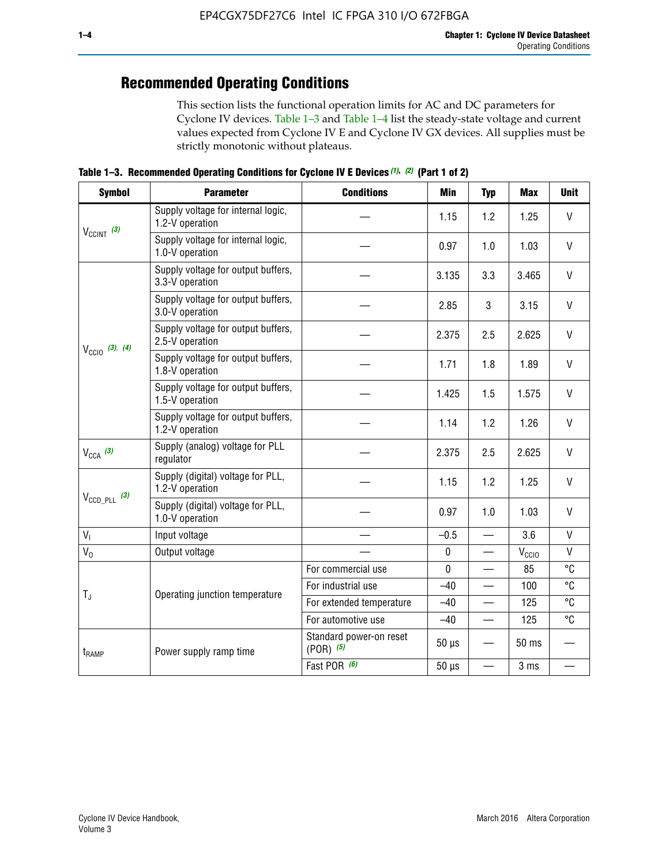# **Recommended Operating Conditions**

This section lists the functional operation limits for AC and DC parameters for Cyclone IV devices. Table 1–3 and Table 1–4 list the steady-state voltage and current values expected from Cyclone IV E and Cyclone IV GX devices. All supplies must be strictly monotonic without plateaus.

**Table 1–3. Recommended Operating Conditions for Cyclone IV E Devices** *(1)***,** *(2)* **(Part 1 of 2)**

| <b>Symbol</b>                                                                                                                                              | <b>Parameter</b>                                      | <b>Conditions</b>                        | Min         | <b>Typ</b>               | <b>Max</b>     | <b>Unit</b>  |
|------------------------------------------------------------------------------------------------------------------------------------------------------------|-------------------------------------------------------|------------------------------------------|-------------|--------------------------|----------------|--------------|
|                                                                                                                                                            | Supply voltage for internal logic,<br>1.2-V operation |                                          | 1.15        | 1.2                      | 1.25           | $\mathsf{V}$ |
|                                                                                                                                                            | Supply voltage for internal logic,<br>1.0-V operation |                                          | 0.97        | 1.0                      | 1.03           | $\mathsf{V}$ |
|                                                                                                                                                            | Supply voltage for output buffers,<br>3.3-V operation |                                          | 3.135       | 3.3                      | 3.465          | $\vee$       |
| $V_{CClNT}$ (3)<br>$V_{\text{CC10}}$ (3), (4)<br>$V_{CCA}$ (3)<br>$V_{\text{CCD\_PLL}}$ (3)<br>V <sub>1</sub><br>$V_0$<br>$T_{\rm J}$<br>t <sub>RAMP</sub> | Supply voltage for output buffers,<br>3.0-V operation |                                          | 2.85        | 3                        | 3.15           | V            |
|                                                                                                                                                            | Supply voltage for output buffers,<br>2.5-V operation |                                          | 2.375       | 2.5                      | 2.625          | $\vee$       |
|                                                                                                                                                            | Supply voltage for output buffers,<br>1.8-V operation |                                          | 1.71        | 1.8                      | 1.89           | V            |
|                                                                                                                                                            | Supply voltage for output buffers,<br>1.5-V operation |                                          | 1.425       | 1.5                      | 1.575          | $\vee$       |
|                                                                                                                                                            | Supply voltage for output buffers,<br>1.2-V operation |                                          | 1.14        | 1.2                      | 1.26           | $\mathsf{V}$ |
|                                                                                                                                                            | Supply (analog) voltage for PLL<br>regulator          |                                          | 2.375       | 2.5                      | 2.625          | $\vee$       |
|                                                                                                                                                            | Supply (digital) voltage for PLL,<br>1.2-V operation  |                                          | 1.15        | 1.2                      | 1.25           | V            |
|                                                                                                                                                            | Supply (digital) voltage for PLL,<br>1.0-V operation  |                                          | 0.97        | 1.0                      | 1.03           | $\vee$       |
|                                                                                                                                                            | Input voltage                                         |                                          | $-0.5$      | $\overline{\phantom{0}}$ | 3.6            | $\mathsf{V}$ |
|                                                                                                                                                            | Output voltage                                        |                                          | $\pmb{0}$   | —                        | $V_{\rm CClO}$ | $\mathsf{V}$ |
|                                                                                                                                                            |                                                       | For commercial use                       | $\mathbf 0$ |                          | 85             | °C           |
|                                                                                                                                                            | Operating junction temperature                        | For industrial use                       | $-40$       |                          | 100            | °C           |
|                                                                                                                                                            |                                                       | For extended temperature                 | $-40$       |                          | 125            | °C           |
|                                                                                                                                                            |                                                       | For automotive use                       | $-40$       | $\qquad \qquad$          | 125            | °C           |
|                                                                                                                                                            | Power supply ramp time                                | Standard power-on reset<br>$(POR)$ $(5)$ | $50 \mu s$  |                          | 50 ms          |              |
|                                                                                                                                                            |                                                       | Fast POR (6)                             | $50 \mu s$  | $\overline{\phantom{0}}$ | 3 ms           |              |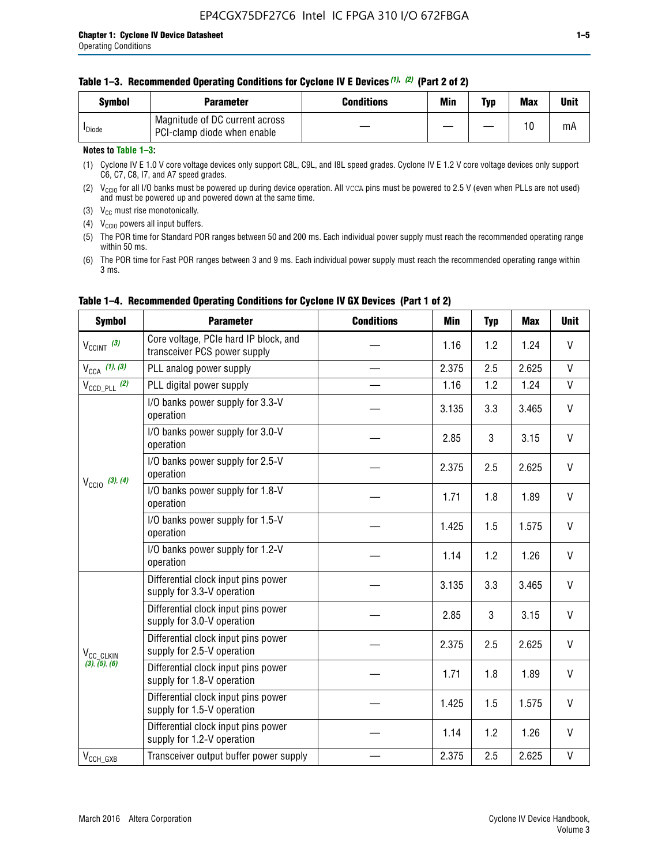|  | Table 1-3. Recommended Operating Conditions for Cyclone IV E Devices (1), (2) (Part 2 of 2) |  |  |  |
|--|---------------------------------------------------------------------------------------------|--|--|--|
|--|---------------------------------------------------------------------------------------------|--|--|--|

| Svmbol             | Parameter                                                     | <b>Conditions</b> | Min | Typ | <b>Max</b> | Unit |
|--------------------|---------------------------------------------------------------|-------------------|-----|-----|------------|------|
| <sup>I</sup> Diode | Magnitude of DC current across<br>PCI-clamp diode when enable |                   |     | —   | 10         | mA   |

### **Notes to Table 1–3:**

(1) Cyclone IV E 1.0 V core voltage devices only support C8L, C9L, and I8L speed grades. Cyclone IV E 1.2 V core voltage devices only support C6, C7, C8, I7, and A7 speed grades.

(2)  $V_{CCIO}$  for all I/O banks must be powered up during device operation. All vcca pins must be powered to 2.5 V (even when PLLs are not used) and must be powered up and powered down at the same time.

(3)  $V_{CC}$  must rise monotonically.

(4)  $V_{\text{CCIO}}$  powers all input buffers.

(5) The POR time for Standard POR ranges between 50 and 200 ms. Each individual power supply must reach the recommended operating range within 50 ms.

(6) The POR time for Fast POR ranges between 3 and 9 ms. Each individual power supply must reach the recommended operating range within 3 ms.

| <b>Symbol</b>              | <b>Parameter</b>                                                      | <b>Conditions</b> | Min   | <b>Typ</b> | <b>Max</b> | <b>Unit</b>  |
|----------------------------|-----------------------------------------------------------------------|-------------------|-------|------------|------------|--------------|
| $V_{CClNT}$ (3)            | Core voltage, PCIe hard IP block, and<br>transceiver PCS power supply |                   | 1.16  | 1.2        | 1.24       | V            |
| $V_{CCA}$ (1), (3)         | PLL analog power supply                                               |                   | 2.375 | 2.5        | 2.625      | $\mathsf{V}$ |
| $V_{\text{CCD\_PLL}}$ (2)  | PLL digital power supply                                              |                   | 1.16  | 1.2        | 1.24       | $\mathsf{V}$ |
|                            | I/O banks power supply for 3.3-V<br>operation                         |                   | 3.135 | 3.3        | 3.465      | V            |
| $V_{\text{CCIO}}$ (3), (4) | I/O banks power supply for 3.0-V<br>operation                         |                   | 2.85  | 3          | 3.15       | $\vee$       |
|                            | I/O banks power supply for 2.5-V<br>operation                         |                   | 2.375 | 2.5        | 2.625      | V            |
|                            | I/O banks power supply for 1.8-V<br>operation                         |                   | 1.71  | 1.8        | 1.89       | V            |
|                            | I/O banks power supply for 1.5-V<br>operation                         |                   | 1.425 | 1.5        | 1.575      | V            |
|                            | I/O banks power supply for 1.2-V<br>operation                         |                   | 1.14  | 1.2        | 1.26       | $\vee$       |
|                            | Differential clock input pins power<br>supply for 3.3-V operation     |                   | 3.135 | 3.3        | 3.465      | V            |
|                            | Differential clock input pins power<br>supply for 3.0-V operation     |                   | 2.85  | 3          | 3.15       | V            |
| V <sub>CC_CLKIN</sub>      | Differential clock input pins power<br>supply for 2.5-V operation     |                   | 2.375 | 2.5        | 2.625      | V            |
| (3), (5), (6)              | Differential clock input pins power<br>supply for 1.8-V operation     |                   | 1.71  | 1.8        | 1.89       | V            |
|                            | Differential clock input pins power<br>supply for 1.5-V operation     |                   | 1.425 | 1.5        | 1.575      | V            |
|                            | Differential clock input pins power<br>supply for 1.2-V operation     |                   | 1.14  | 1.2        | 1.26       | V            |
| $V_{CCH\_GXB}$             | Transceiver output buffer power supply                                |                   | 2.375 | 2.5        | 2.625      | $\mathsf{V}$ |

# **Table 1–4. Recommended Operating Conditions for Cyclone IV GX Devices (Part 1 of 2)**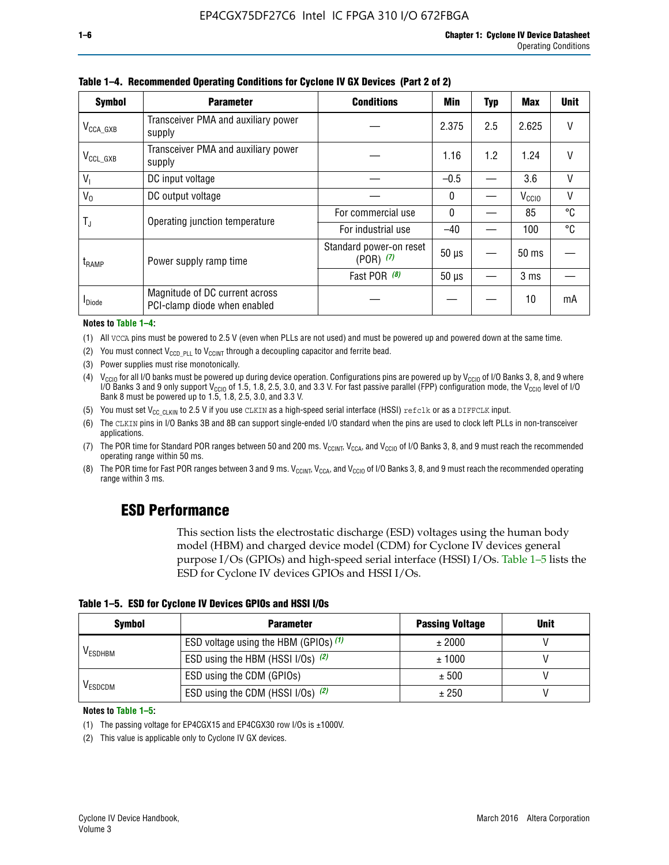| <b>Symbol</b>           | <b>Parameter</b>                                               | <b>Conditions</b>                        | <b>Min</b>   | <b>Typ</b> | <b>Max</b>        | <b>Unit</b>  |
|-------------------------|----------------------------------------------------------------|------------------------------------------|--------------|------------|-------------------|--------------|
| $V_{\texttt{CCA\_GXB}}$ | Transceiver PMA and auxiliary power<br>supply                  |                                          | 2.375        | 2.5        | 2.625             | V            |
| $V_{CCL_GXB}$           | Transceiver PMA and auxiliary power<br>supply                  | 1.16                                     |              |            |                   |              |
| $V_{1}$                 | DC input voltage                                               |                                          | $-0.5$       |            | 3.6               | $\mathsf{V}$ |
| $V_0$                   | DC output voltage                                              |                                          | $\mathbf{0}$ |            | V <sub>CCIO</sub> | V            |
|                         | Operating junction temperature                                 | For commercial use                       | $\mathbf{0}$ |            | 85                | °C           |
| T,                      |                                                                | For industrial use                       | $-40$        |            | 100               | °C           |
| t <sub>RAMP</sub>       | Power supply ramp time                                         | Standard power-on reset<br>$(POR)$ $(7)$ | $50 \mu s$   |            | $50 \text{ ms}$   |              |
|                         |                                                                | Fast POR (8)                             | $50 \mu s$   |            | 3 <sub>ms</sub>   |              |
| <b>I</b> Diode          | Magnitude of DC current across<br>PCI-clamp diode when enabled |                                          |              |            | 10                | mA           |

**Table 1–4. Recommended Operating Conditions for Cyclone IV GX Devices (Part 2 of 2)**

**Notes to Table 1–4:**

- (1) All VCCA pins must be powered to 2.5 V (even when PLLs are not used) and must be powered up and powered down at the same time.
- (2) You must connect  $V_{CCD-PLL}$  to  $V_{CCINT}$  through a decoupling capacitor and ferrite bead.
- (3) Power supplies must rise monotonically.
- (4)  $V_{\text{CCIO}}$  for all I/O banks must be powered up during device operation. Configurations pins are powered up by V<sub>CCIO</sub> of I/O Banks 3, 8, and 9 where I/O Banks 3 and 9 only support V<sub>CCIO</sub> of 1.5, 1.8, 2.5, 3.0, and 3.3 V. For fast passive parallel (FPP) configuration mode, the V<sub>CCIO</sub> level of I/O<br>Bank 8 must be powered up to 1.5, 1.8, 2.5, 3.0, and 3.3 V.
- (5) You must set  $V_{CC_CCLKIN}$  to 2.5 V if you use CLKIN as a high-speed serial interface (HSSI) refclk or as a DIFFCLK input.
- (6) The CLKIN pins in I/O Banks 3B and 8B can support single-ended I/O standard when the pins are used to clock left PLLs in non-transceiver applications.
- (7) The POR time for Standard POR ranges between 50 and 200 ms.  $V_{\text{CCIA}}$ ,  $V_{\text{CCIA}}$ , and  $V_{\text{CCIO}}$  of I/O Banks 3, 8, and 9 must reach the recommended operating range within 50 ms.
- (8) The POR time for Fast POR ranges between 3 and 9 ms.  $V_{\text{CCH},T}$ ,  $V_{\text{CCA}}$ , and  $V_{\text{CCI}}$  of I/O Banks 3, 8, and 9 must reach the recommended operating range within 3 ms.

# **ESD Performance**

This section lists the electrostatic discharge (ESD) voltages using the human body model (HBM) and charged device model (CDM) for Cyclone IV devices general purpose I/Os (GPIOs) and high-speed serial interface (HSSI) I/Os. Table 1–5 lists the ESD for Cyclone IV devices GPIOs and HSSI I/Os.

**Table 1–5. ESD for Cyclone IV Devices GPIOs and HSSI I/Os**

| <b>Symbol</b>  | <b>Parameter</b>                      | <b>Passing Voltage</b> | <b>Unit</b> |
|----------------|---------------------------------------|------------------------|-------------|
|                | ESD voltage using the HBM (GPIOs) (1) | ± 2000                 |             |
| <b>VESDHBM</b> | ESD using the HBM (HSSI I/Os) (2)     | ± 1000                 |             |
|                | ESD using the CDM (GPIOs)             | ± 500                  |             |
| <b>VESDCDM</b> | ESD using the CDM (HSSI I/Os) (2)     | ± 250                  |             |

#### **Notes to Table 1–5:**

(1) The passing voltage for EP4CGX15 and EP4CGX30 row I/Os is ±1000V.

(2) This value is applicable only to Cyclone IV GX devices.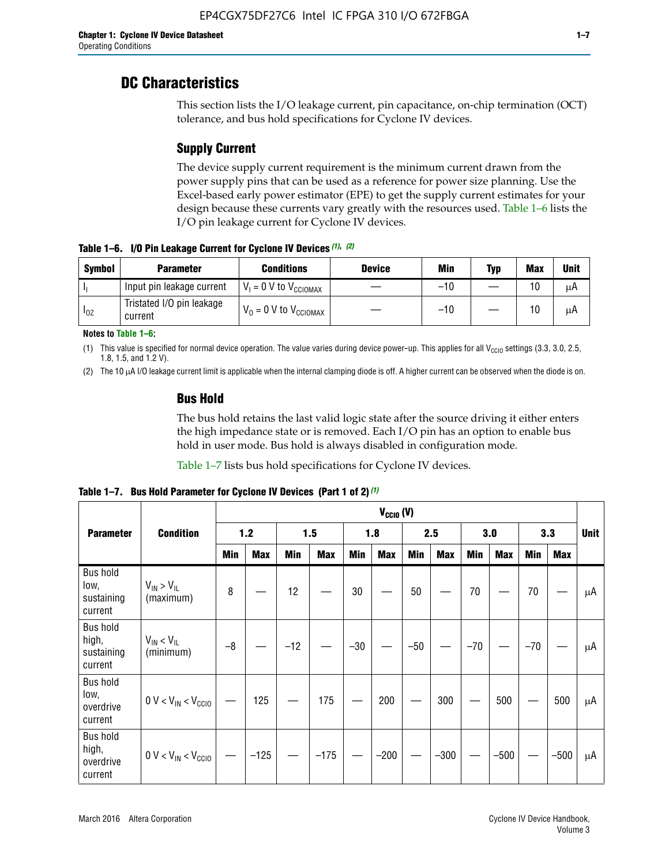# **DC Characteristics**

This section lists the I/O leakage current, pin capacitance, on-chip termination (OCT) tolerance, and bus hold specifications for Cyclone IV devices.

# **Supply Current**

The device supply current requirement is the minimum current drawn from the power supply pins that can be used as a reference for power size planning. Use the Excel-based early power estimator (EPE) to get the supply current estimates for your design because these currents vary greatly with the resources used. Table 1–6 lists the I/O pin leakage current for Cyclone IV devices.

**Table 1–6. I/O Pin Leakage Current for Cyclone IV Devices** *(1)***,** *(2)*

| <b>Symbol</b> | <b>Parameter</b>                     | <b>Conditions</b>                     | <b>Device</b> | Min   | Typ | <b>Max</b> | <b>Unit</b> |
|---------------|--------------------------------------|---------------------------------------|---------------|-------|-----|------------|-------------|
| h             | Input pin leakage current            | $V_1 = 0$ V to $V_{\text{CCIOMAX}}$   |               | $-10$ |     | 10         | μA          |
| $I_{0Z}$      | Tristated I/O pin leakage<br>current | $V_0 = 0 V$ to $V_{\text{CCIOMAX}}$ I |               | $-10$ |     | 10         | μA          |

**Notes to Table 1–6:**

(1) This value is specified for normal device operation. The value varies during device power-up. This applies for all V<sub>CCIO</sub> settings (3.3, 3.0, 2.5, 1.8, 1.5, and 1.2 V).

(2) The 10 µA I/O leakage current limit is applicable when the internal clamping diode is off. A higher current can be observed when the diode is on.

# **Bus Hold**

The bus hold retains the last valid logic state after the source driving it either enters the high impedance state or is removed. Each I/O pin has an option to enable bus hold in user mode. Bus hold is always disabled in configuration mode.

Table 1–7 lists bus hold specifications for Cyclone IV devices.

|                                                   |                                  |            | $V_{CCIO} (V)$ |       |            |            |            |            |            |       |            |       |            |             |
|---------------------------------------------------|----------------------------------|------------|----------------|-------|------------|------------|------------|------------|------------|-------|------------|-------|------------|-------------|
| <b>Parameter</b>                                  | <b>Condition</b>                 | $1.2$      |                | 1.5   |            | 1.8        |            | 2.5        |            | 3.0   |            | 3.3   |            | <b>Unit</b> |
|                                                   |                                  | <b>Min</b> | <b>Max</b>     | Min   | <b>Max</b> | <b>Min</b> | <b>Max</b> | <b>Min</b> | <b>Max</b> | Min   | <b>Max</b> | Min   | <b>Max</b> |             |
| <b>Bus hold</b><br>low,<br>sustaining<br>current  | $V_{IN}$ > $V_{IL}$<br>(maximum) | 8          |                | 12    |            | 30         |            | 50         |            | 70    |            | 70    |            | μA          |
| <b>Bus hold</b><br>high,<br>sustaining<br>current | $V_{IN}$ < $V_{IL}$<br>(minimum) | $-8$       |                | $-12$ |            | $-30$      |            | $-50$      |            | $-70$ |            | $-70$ |            | μA          |
| <b>Bus hold</b><br>low,<br>overdrive<br>current   | $0 V < V_{IN} < V_{CG10}$        |            | 125            |       | 175        |            | 200        |            | 300        |       | 500        |       | 500        | μA          |
| <b>Bus hold</b><br>high,<br>overdrive<br>current  | $0 V < V_{IN} < V_{CG10}$        |            | $-125$         |       | $-175$     |            | $-200$     |            | $-300$     |       | $-500$     |       | $-500$     | μA          |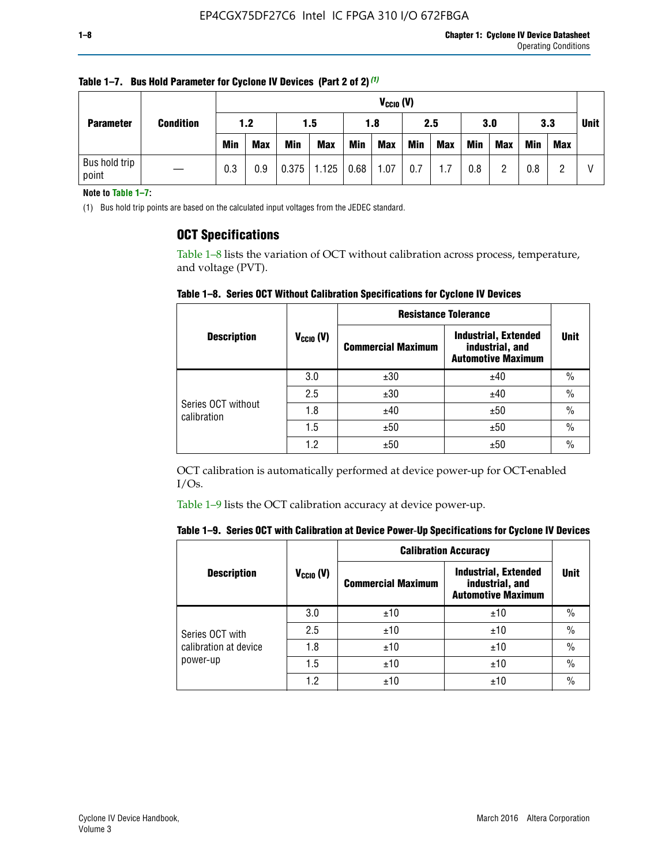| <b>Parameter</b>       |                  |            | $V_{CClO}$ (V) |            |                        |     |            |            |     |     |            |            |     |             |
|------------------------|------------------|------------|----------------|------------|------------------------|-----|------------|------------|-----|-----|------------|------------|-----|-------------|
|                        | <b>Condition</b> | 1.2        |                |            | 1.5                    |     | 2.5<br>1.8 |            |     |     | 3.0        |            | 3.3 | <b>Unit</b> |
|                        |                  | <b>Min</b> | <b>Max</b>     | <b>Min</b> | <b>Max</b>             | Min | <b>Max</b> | <b>Min</b> | Max | Min | <b>Max</b> | <b>Min</b> | Max |             |
| Bus hold trip<br>point |                  | 0.3        | 0.9            |            | $0.375$   1.125   0.68 |     | 1.07       | 0.7        | 1.7 | 0.8 | n          | 0.8        |     |             |

**Table 1–7. Bus Hold Parameter for Cyclone IV Devices (Part 2 of 2)** *(1)*

**Note to Table 1–7:**

(1) Bus hold trip points are based on the calculated input voltages from the JEDEC standard.

# **OCT Specifications**

Table 1–8 lists the variation of OCT without calibration across process, temperature, and voltage (PVT).

**Table 1–8. Series OCT Without Calibration Specifications for Cyclone IV Devices**

|                                   |                      | <b>Resistance Tolerance</b> |                                                                             |               |
|-----------------------------------|----------------------|-----------------------------|-----------------------------------------------------------------------------|---------------|
| <b>Description</b>                | $V_{\text{CCIO}}(V)$ | <b>Commercial Maximum</b>   | <b>Industrial, Extended</b><br>industrial, and<br><b>Automotive Maximum</b> | <b>Unit</b>   |
|                                   | 3.0                  | ±30                         | ±40                                                                         | $\frac{0}{0}$ |
|                                   | 2.5                  | ±30                         | ±40                                                                         | $\frac{0}{0}$ |
| Series OCT without<br>calibration | 1.8                  | ±40                         | ±50                                                                         | $\frac{0}{0}$ |
|                                   | 1.5                  | ±50                         | ±50                                                                         | $\frac{0}{0}$ |
|                                   | 1.2                  | ±50                         | ±50                                                                         | $\frac{0}{0}$ |

OCT calibration is automatically performed at device power-up for OCT-enabled I/Os.

Table 1–9 lists the OCT calibration accuracy at device power-up.

|  | Table 1–9.  Series OCT with Calibration at Device Power-Up Specifications for Cyclone IV Devices |  |  |  |
|--|--------------------------------------------------------------------------------------------------|--|--|--|
|--|--------------------------------------------------------------------------------------------------|--|--|--|

|                                   |                | <b>Calibration Accuracy</b> |                                                                             |               |
|-----------------------------------|----------------|-----------------------------|-----------------------------------------------------------------------------|---------------|
| <b>Description</b>                | $V_{CGI0} (V)$ | <b>Commercial Maximum</b>   | <b>Industrial, Extended</b><br>industrial, and<br><b>Automotive Maximum</b> | Unit          |
|                                   | 3.0            | ±10                         | ±10                                                                         | $\%$          |
| Series OCT with                   | 2.5            | ±10                         | ±10                                                                         | $\%$          |
| calibration at device<br>power-up | 1.8            | ±10                         | ±10                                                                         | $\frac{0}{0}$ |
|                                   | 1.5            | ±10                         | ±10                                                                         | $\frac{0}{0}$ |
|                                   | 1.2            | ±10                         | ±10                                                                         | $\frac{0}{0}$ |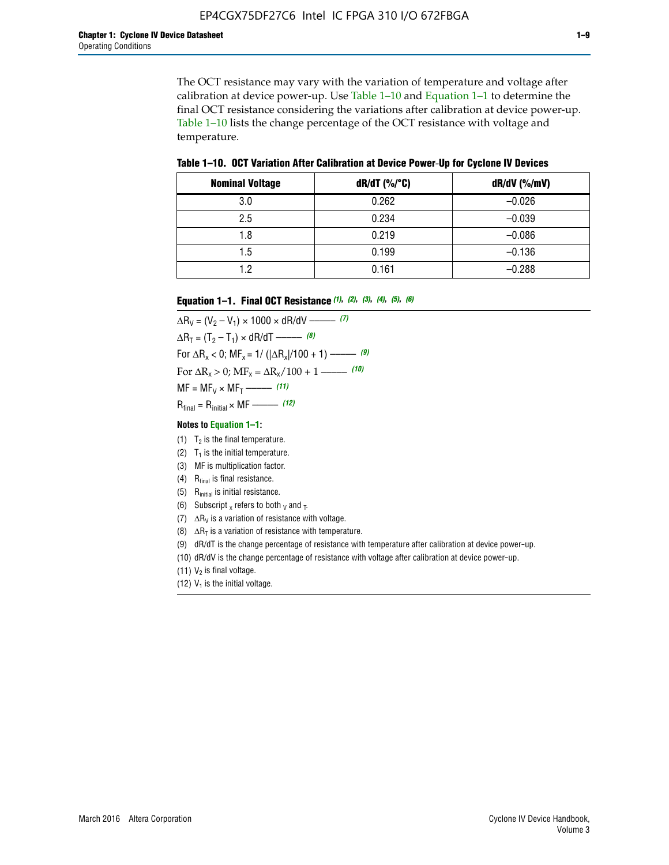The OCT resistance may vary with the variation of temperature and voltage after calibration at device power-up. Use Table 1–10 and Equation 1–1 to determine the final OCT resistance considering the variations after calibration at device power-up. Table 1–10 lists the change percentage of the OCT resistance with voltage and temperature.

**Table 1–10. OCT Variation After Calibration at Device Power**-**Up for Cyclone IV Devices**

| <b>Nominal Voltage</b> | dR/dT (%/°C) | $dR/dV$ (%/mV) |
|------------------------|--------------|----------------|
| 3.0                    | 0.262        | $-0.026$       |
| 2.5                    | 0.234        | $-0.039$       |
| 1.8                    | 0.219        | $-0.086$       |
| 1.5                    | 0.199        | $-0.136$       |
| 1.2                    | 0.161        | $-0.288$       |

#### **Equation 1–1. Final OCT Resistance** *(1)***,** *(2)***,** *(3)***,** *(4)***,** *(5)***,** *(6)*

 $\Delta R_V = (V_2 - V_1) \times 1000 \times dR/dV$  ––––––––––––(7)  $\Delta R_T = (T_2 - T_1) \times dR/dT$  ––––––– (8) For  $\Delta R_x < 0$ ; MF<sub>x</sub> = 1/ ( $|\Delta R_x|/100 + 1$ ) –––––– (9) For  $\Delta R_x > 0$ ;  $\text{MF}_x = \Delta R_x / 100 + 1$  ——– (10)  $MF = MF_V \times MF_T$  –––––––––––(11) Rfinal = Rinitial × MF ––––– *(12)*

#### **Notes to Equation 1–1:**

- (1)  $T_2$  is the final temperature.
- (2)  $T_1$  is the initial temperature.
- (3) MF is multiplication factor.
- (4)  $R<sub>final</sub>$  is final resistance.
- (5) Rinitial is initial resistance.
- (6) Subscript x refers to both  $\sqrt{v}$  and  $\sqrt{v}$ .
- (7)  $\Delta R_V$  is a variation of resistance with voltage.
- (8)  $\Delta R_T$  is a variation of resistance with temperature.
- (9) dR/dT is the change percentage of resistance with temperature after calibration at device power-up.
- (10) dR/dV is the change percentage of resistance with voltage after calibration at device power-up.
- (11)  $V_2$  is final voltage.
- (12)  $V_1$  is the initial voltage.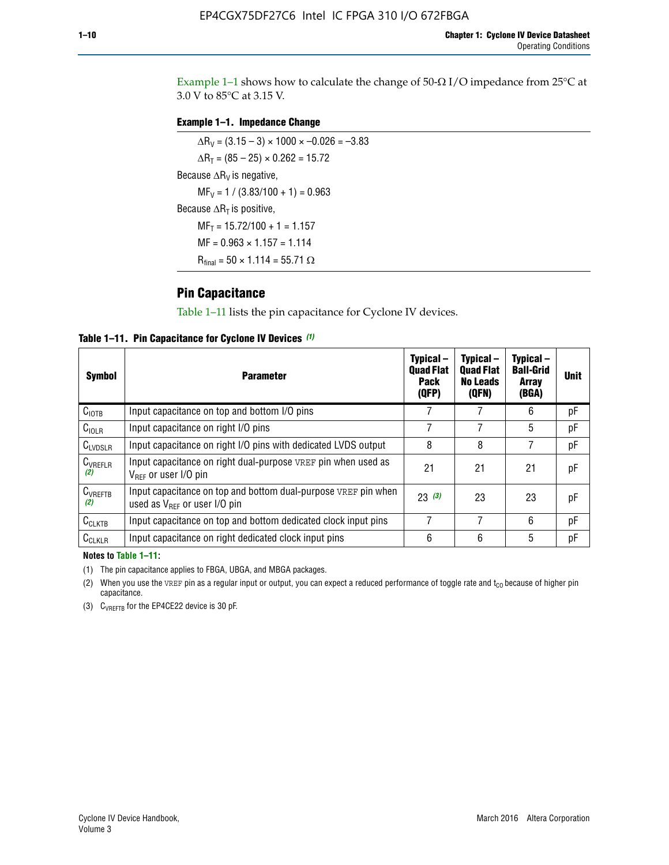Example 1-1 shows how to calculate the change of  $50$ - $\Omega$  I/O impedance from 25°C at 3.0 V to 85°C at 3.15 V.

### **Example 1–1. Impedance Change**

 $\Delta R_V = (3.15 - 3) \times 1000 \times -0.026 = -3.83$  $\Delta R_T = (85 - 25) \times 0.262 = 15.72$ Because  $\Delta R_V$  is negative,  $MF_V = 1 / (3.83/100 + 1) = 0.963$ Because  $\Delta R_T$  is positive,  $MF_T = 15.72/100 + 1 = 1.157$  $MF = 0.963 \times 1.157 = 1.114$  $R_{final} = 50 \times 1.114 = 55.71 \Omega$ 

# **Pin Capacitance**

Table 1–11 lists the pin capacitance for Cyclone IV devices.

**Table 1–11. Pin Capacitance for Cyclone IV Devices** *(1)*

| <b>Symbol</b>       | <b>Parameter</b>                                                                                    | Typical-<br><b>Quad Flat</b><br><b>Pack</b><br>(QFP) | Typical-<br><b>Quad Flat</b><br><b>No Leads</b><br>(QFN) | Typical-<br><b>Ball-Grid</b><br><b>Array</b><br>(BGA) | <b>Unit</b> |
|---------------------|-----------------------------------------------------------------------------------------------------|------------------------------------------------------|----------------------------------------------------------|-------------------------------------------------------|-------------|
| C <sub>IOTB</sub>   | Input capacitance on top and bottom I/O pins                                                        |                                                      |                                                          | 6                                                     | рF          |
| C <sub>IOLR</sub>   | Input capacitance on right I/O pins                                                                 |                                                      |                                                          | 5                                                     | pF          |
| $C_{LVDSLR}$        | Input capacitance on right I/O pins with dedicated LVDS output                                      | 8                                                    | 8                                                        | 7                                                     | рF          |
| $C_{VREFLR}$<br>(2) | Input capacitance on right dual-purpose VREF pin when used as<br>$V_{BFF}$ or user I/O pin          | 21                                                   | 21                                                       | 21                                                    | pF          |
| $C_{VREFTB}$<br>(2) | Input capacitance on top and bottom dual-purpose VREF pin when<br>used as $V_{BFF}$ or user I/O pin | 23(3)                                                | 23                                                       | 23                                                    | рF          |
| $C_{CLKTB}$         | Input capacitance on top and bottom dedicated clock input pins                                      |                                                      | 7                                                        | 6                                                     | рF          |
| $C_{CLKLR}$         | Input capacitance on right dedicated clock input pins                                               | 6                                                    | 6                                                        | 5                                                     | рF          |

#### **Notes to Table 1–11:**

(1) The pin capacitance applies to FBGA, UBGA, and MBGA packages.

(2) When you use the VREF pin as a regular input or output, you can expect a reduced performance of toggle rate and  $t_{\rm CO}$  because of higher pin capacitance.

(3) CVREFTB for the EP4CE22 device is 30 pF.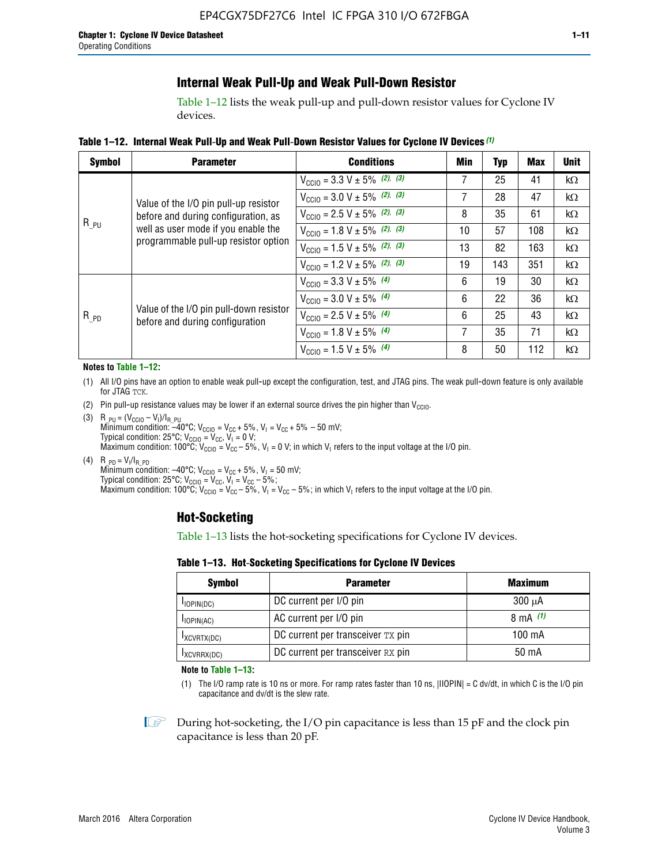# **Internal Weak Pull-Up and Weak Pull-Down Resistor**

Table 1–12 lists the weak pull-up and pull-down resistor values for Cyclone IV devices.

**Table 1–12. Internal Weak Pull**-**Up and Weak Pull**-**Down Resistor Values for Cyclone IV Devices** *(1)*

| <b>Symbol</b> | <b>Parameter</b>                                                            | <b>Conditions</b>                                  | Min | Typ | <b>Max</b> | <b>Unit</b> |
|---------------|-----------------------------------------------------------------------------|----------------------------------------------------|-----|-----|------------|-------------|
|               |                                                                             | $V_{\text{CC10}} = 3.3 \text{ V} \pm 5\%$ (2), (3) |     | 25  | 41         | kΩ          |
|               | Value of the I/O pin pull-up resistor                                       | $V_{\text{CC10}} = 3.0 \text{ V} \pm 5\%$ (2), (3) | 7   | 28  | 47         | $k\Omega$   |
|               | before and during configuration, as                                         | $V_{\text{CC10}} = 2.5 V \pm 5\%$ (2), (3)         | 8   | 35  | 61         | kΩ          |
| $R_{PU}$      | well as user mode if you enable the<br>programmable pull-up resistor option | $V_{\text{CC10}} = 1.8 V \pm 5\%$ (2), (3)         | 10  | 57  | 108        | kΩ          |
|               |                                                                             | $V_{\text{CC10}} = 1.5 V \pm 5\%$ (2), (3)         | 13  | 82  | 163        | kΩ          |
|               |                                                                             | $V_{\text{CC10}} = 1.2 \text{ V} \pm 5\%$ (2), (3) | 19  | 143 | 351        | kΩ          |
|               |                                                                             | $V_{\text{CC10}} = 3.3 V \pm 5\%$ (4)              | 6   | 19  | 30         | kΩ          |
|               |                                                                             | $V_{\text{CC10}} = 3.0 V \pm 5\%$ (4)              | 6   | 22  | 36         | kΩ          |
| $R_{PD}$      | Value of the I/O pin pull-down resistor<br>before and during configuration  | $V_{\text{CC10}} = 2.5 V \pm 5\%$ (4)              | 6   | 25  | 43         | kΩ          |
|               |                                                                             | $V_{\text{CC10}} = 1.8 \text{ V} \pm 5\%$ (4)      | 7   | 35  | 71         | kΩ          |
|               |                                                                             | $V_{\text{CC10}} = 1.5 V \pm 5\%$ (4)              | 8   | 50  | 112        | kΩ          |

#### **Notes to Table 1–12:**

- (1) All I/O pins have an option to enable weak pull-up except the configuration, test, and JTAG pins. The weak pull-down feature is only available for JTAG TCK.
- (2) Pin pull-up resistance values may be lower if an external source drives the pin higher than  $V_{\text{CCIO}}$ .
- (3)  $R_{PU} = (V_{CC10} V_1)/I_{R_PU}$ Minimum condition: –40°C; V<sub>CCIO</sub> = V<sub>CC</sub> + 5%, V<sub>I</sub> = V<sub>CC</sub> + 5% – 50 mV; Typical condition: 25°C; V<sub>CCIO</sub> = V<sub>CC</sub>, V<sub>I</sub> = 0 V; Maximum condition: 100°C;  $V_{\text{CCIO}} = V_{\text{CC}} - 5\%$ ,  $V_1 = 0$  V; in which  $V_1$  refers to the input voltage at the I/O pin.
- (4)  $R_{PD} = V_I/I_{R_PD}$ Minimum condition:  $-40^{\circ}$ C; V<sub>CCIO</sub> = V<sub>CC</sub> + 5%, V<sub>I</sub> = 50 mV; Typical condition: 25°C;  $V_{\text{CCIO}} = V_{\text{CC}}$ ,  $V_{\text{I}} = V_{\text{CC}} - 5\%$ ; Maximum condition: 100°C; V<sub>CClO</sub> = V<sub>CC</sub> – 5%, V<sub>I</sub> = V<sub>CC</sub> – 5%; in which V<sub>I</sub> refers to the input voltage at the I/O pin.

# **Hot-Socketing**

Table 1–13 lists the hot-socketing specifications for Cyclone IV devices.

**Table 1–13. Hot**-**Socketing Specifications for Cyclone IV Devices**

| <b>Symbol</b> | <b>Maximum</b>                    |             |
|---------------|-----------------------------------|-------------|
| $I$ IOPIN(DC) | DC current per I/O pin            | $300 \mu A$ |
| $I$ IOPIN(AC) | AC current per I/O pin            | 8 mA $(1)$  |
| IXCVRTX(DC)   | DC current per transceiver TX pin | 100 mA      |
| IXCVRRX(DC)   | DC current per transceiver RX pin | 50 mA       |

**Note to Table 1–13:**

(1) The I/O ramp rate is 10 ns or more. For ramp rates faster than 10 ns, |IIOPIN| = C dv/dt, in which C is the I/O pin capacitance and dv/dt is the slew rate.

 $\mathbb{I} \rightarrow \mathbb{I}$  During hot-socketing, the I/O pin capacitance is less than 15 pF and the clock pin capacitance is less than 20 pF.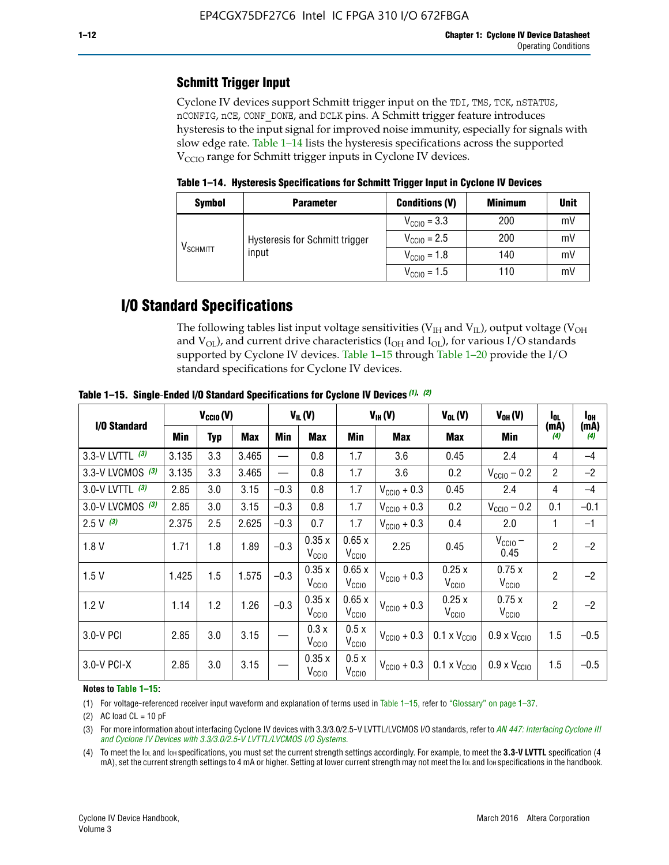# **Schmitt Trigger Input**

Cyclone IV devices support Schmitt trigger input on the TDI, TMS, TCK, nSTATUS, nCONFIG, nCE, CONF\_DONE, and DCLK pins. A Schmitt trigger feature introduces hysteresis to the input signal for improved noise immunity, especially for signals with slow edge rate. Table 1–14 lists the hysteresis specifications across the supported  $V<sub>CCIO</sub>$  range for Schmitt trigger inputs in Cyclone IV devices.

**Table 1–14. Hysteresis Specifications for Schmitt Trigger Input in Cyclone IV Devices**

| <b>Symbol</b>     | <b>Parameter</b>               | <b>Conditions (V)</b>   | <b>Minimum</b> | <b>Unit</b> |
|-------------------|--------------------------------|-------------------------|----------------|-------------|
| $\rm{V_{SCHMIT}}$ |                                | $V_{\text{CGI0}} = 3.3$ | 200            | mV          |
|                   | Hysteresis for Schmitt trigger | $V_{\text{CC10}} = 2.5$ | 200            | mV          |
|                   | input                          | $V_{\text{CCIO}} = 1.8$ | 140            | mV          |
|                   |                                | $V_{\text{CCIO}} = 1.5$ | 110            | m           |

# **I/O Standard Specifications**

The following tables list input voltage sensitivities ( $V<sub>IH</sub>$  and  $V<sub>II</sub>$ ), output voltage ( $V<sub>OH</sub>$ and  $V_{OL}$ ), and current drive characteristics ( $I_{OH}$  and  $I_{OL}$ ), for various I/O standards supported by Cyclone IV devices. Table 1–15 through Table 1–20 provide the I/O standard specifications for Cyclone IV devices.

|                   | $V_{CClO}(V)$ |            | $V_{IL}(V)$ |        |                            | $V_{IH} (V)$               | $V_{OL}(V)$             | $V_{OH} (V)$                 | l <sub>OL</sub>              | l <sub>oh</sub> |             |
|-------------------|---------------|------------|-------------|--------|----------------------------|----------------------------|-------------------------|------------------------------|------------------------------|-----------------|-------------|
| I/O Standard      | Min           | <b>Typ</b> | <b>Max</b>  | Min    | <b>Max</b>                 | Min                        | Max                     | Max                          | Min                          | (mA)<br>(4)     | (mA)<br>(4) |
| 3.3-V LVTTL (3)   | 3.135         | 3.3        | 3.465       |        | 0.8                        | 1.7                        | 3.6                     | 0.45                         | 2.4                          | 4               | $-4$        |
| 3.3-V LVCMOS (3)  | 3.135         | 3.3        | 3.465       |        | 0.8                        | 1.7                        | 3.6                     | 0.2                          | $V_{\text{CCIO}} - 0.2$      | $\overline{2}$  | $-2$        |
| 3.0-V LVTTL $(3)$ | 2.85          | 3.0        | 3.15        | $-0.3$ | 0.8                        | 1.7                        | $V_{\text{CC10}} + 0.3$ | 0.45                         | 2.4                          | $\overline{4}$  | $-4$        |
| 3.0-V LVCMOS (3)  | 2.85          | 3.0        | 3.15        | $-0.3$ | 0.8                        | 1.7                        | $V_{\text{CCI}0}$ + 0.3 | 0.2                          | $V_{\text{CC10}} - 0.2$      | 0.1             | $-0.1$      |
| $2.5 V$ (3)       | 2.375         | 2.5        | 2.625       | $-0.3$ | 0.7                        | 1.7                        | $V_{\rm CClO}$ + 0.3    | 0.4                          | 2.0                          |                 | $-1$        |
| 1.8V              | 1.71          | 1.8        | 1.89        | $-0.3$ | 0.35x<br>V <sub>CCIO</sub> | 0.65x<br>V <sub>CCIO</sub> | 2.25                    | 0.45                         | $V_{CGIO}$ –<br>0.45         | $\overline{2}$  | $-2$        |
| 1.5V              | 1.425         | 1.5        | 1.575       | $-0.3$ | 0.35x<br>V <sub>CCIO</sub> | 0.65x<br>V <sub>CCIO</sub> | $V_{\text{CC10}} + 0.3$ | 0.25x<br>V <sub>CClO</sub>   | 0.75x<br>V <sub>CCIO</sub>   | $\overline{2}$  | $-2$        |
| 1.2V              | 1.14          | 1.2        | 1.26        | $-0.3$ | 0.35x<br>V <sub>CCIO</sub> | 0.65x<br>V <sub>CCIO</sub> | $V_{\text{CC10}} + 0.3$ | 0.25x<br>V <sub>CCIO</sub>   | 0.75x<br>V <sub>CCIO</sub>   | $\overline{2}$  | $-2$        |
| 3.0-V PCI         | 2.85          | 3.0        | 3.15        |        | 0.3x<br>V <sub>CCIO</sub>  | 0.5x<br>V <sub>CCIO</sub>  | $V_{\text{CC}10}$ + 0.3 | $0.1 \times V_{\text{CC10}}$ | $0.9 \times V_{\text{CC10}}$ | 1.5             | $-0.5$      |
| 3.0-V PCI-X       | 2.85          | 3.0        | 3.15        |        | 0.35x<br>V <sub>CCIO</sub> | 0.5x<br>V <sub>CCIO</sub>  | $V_{\text{CC10}} + 0.3$ | $0.1 \times V_{\text{CC10}}$ | $0.9 \times V_{\text{CC10}}$ | 1.5             | $-0.5$      |

**Table 1–15. Single**-**Ended I/O Standard Specifications for Cyclone IV Devices** *(1)***,** *(2)*

#### **Notes to Table 1–15:**

(1) For voltage-referenced receiver input waveform and explanation of terms used in Table 1–15, refer to "Glossary" on page 1–37.

(2) AC load  $CL = 10$  pF

(3) For more information about interfacing Cyclone IV devices with 3.3/3.0/2.5-V LVTTL/LVCMOS I/O standards, refer to *[AN 447: Interfacing Cyclone III](http://www.altera.com/literature/an/an447.pdf)  [and Cyclone IV Devices with 3.3/3.0/2.5-V LVTTL/LVCMOS I/O Systems](http://www.altera.com/literature/an/an447.pdf)*.

(4) To meet the IOL and IOH specifications, you must set the current strength settings accordingly. For example, to meet the **3.3-V LVTTL** specification (4 mA), set the current strength settings to 4 mA or higher. Setting at lower current strength may not meet the lou and lon specifications in the handbook.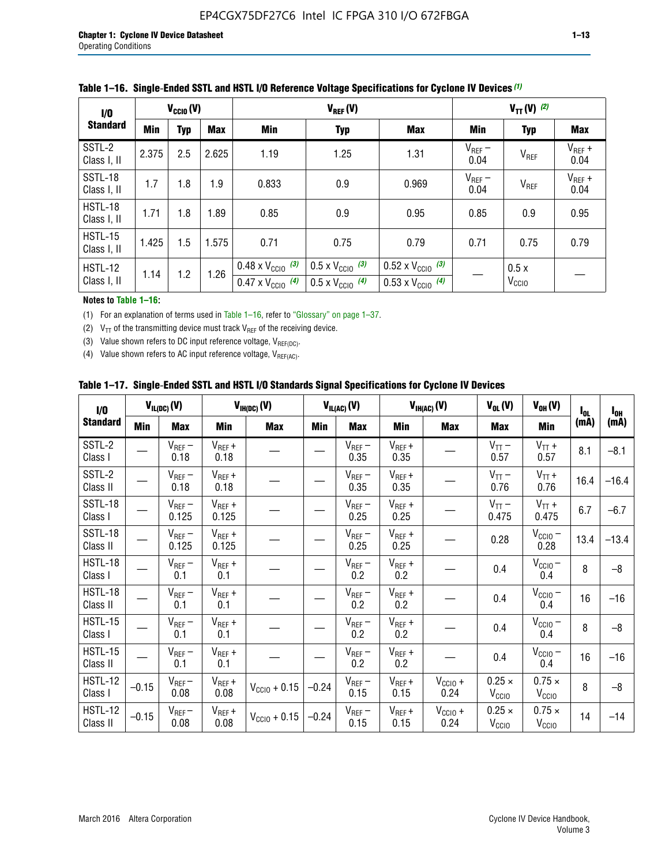| 1/0                           | $V_{CGI0}(V)$ |            |            |                                                                        | $V_{REF}(V)$                                                         |                                                                        |                     |                           | $V_{TT} (V)$ (2)    |  |  |  |
|-------------------------------|---------------|------------|------------|------------------------------------------------------------------------|----------------------------------------------------------------------|------------------------------------------------------------------------|---------------------|---------------------------|---------------------|--|--|--|
| <b>Standard</b>               | Min           | <b>Typ</b> | <b>Max</b> | Min                                                                    | <b>Typ</b>                                                           | <b>Max</b>                                                             | Min                 | <b>Typ</b>                | Max                 |  |  |  |
| SSTL-2<br>Class I, II         | 2.375         | 2.5        | 2.625      | 1.19                                                                   | 1.25                                                                 | 1.31                                                                   | $V_{REF}$ –<br>0.04 | V <sub>REF</sub>          | $V_{REF}$ +<br>0.04 |  |  |  |
| SSTL-18<br>Class I, II        | 1.7           | 1.8        | 1.9        | 0.833                                                                  | 0.9                                                                  | 0.969                                                                  | $V_{REF}$ –<br>0.04 | V <sub>REF</sub>          | $V_{REF}$ +<br>0.04 |  |  |  |
| HSTL-18<br>Class I, II        | 1.71          | 1.8        | .89        | 0.85                                                                   | 0.9                                                                  | 0.95                                                                   | 0.85                | 0.9                       | 0.95                |  |  |  |
| <b>HSTL-15</b><br>Class I, II | 1.425         | 1.5        | 1.575      | 0.71                                                                   | 0.75                                                                 | 0.79                                                                   | 0.71                | 0.75                      | 0.79                |  |  |  |
| HSTL-12<br>Class I, II        | 1.14          | 1.2        | 1.26       | $0.48 \times V_{\text{CC10}}$ (3)<br>$0.47 \times V_{\text{CC10}}$ (4) | $0.5 \times V_{\text{CC10}}$ (3)<br>$0.5 \times V_{\text{CC10}}$ (4) | $0.52 \times V_{\text{CC10}}$ (3)<br>$0.53 \times V_{\text{CC10}}$ (4) |                     | 0.5x<br>V <sub>CCIO</sub> |                     |  |  |  |

|  |  |  |  | Table 1–16. Single-Ended SSTL and HSTL I/O Reference Voltage Specifications for Cyclone IV Devices (1) |
|--|--|--|--|--------------------------------------------------------------------------------------------------------|
|--|--|--|--|--------------------------------------------------------------------------------------------------------|

### **Notes to Table 1–16:**

(1) For an explanation of terms used in Table 1–16, refer to "Glossary" on page 1–37.

(2)  $V_{TT}$  of the transmitting device must track  $V_{REF}$  of the receiving device.

(3) Value shown refers to DC input reference voltage,  $V_{REF(DC)}$ .

(4) Value shown refers to AC input reference voltage,  $V_{REF(AC)}$ .

|  | Table 1–17.  Single-Ended SSTL and HSTL I/O Standards Signal Specifications for Cyclone IV Devices |  |  |  |  |  |
|--|----------------------------------------------------------------------------------------------------|--|--|--|--|--|
|--|----------------------------------------------------------------------------------------------------|--|--|--|--|--|

| I/O                        |         | $V_{IL(DC)}(V)$        |                                      | $V_{IH(DC)}(V)$       |         | $V_{IL(AC)}(V)$     |                     | $V_{IH(AC)}(V)$      | $V_{OL}(V)$                        | $V_{OH} (V)$                       | l <sub>ol</sub> | $I_{0H}$ |
|----------------------------|---------|------------------------|--------------------------------------|-----------------------|---------|---------------------|---------------------|----------------------|------------------------------------|------------------------------------|-----------------|----------|
| <b>Standard</b>            | Min     | <b>Max</b>             | Min                                  | <b>Max</b>            | Min     | <b>Max</b>          | Min                 | <b>Max</b>           | <b>Max</b>                         | Min                                | (mA)            | (mA)     |
| SSTL-2<br>Class I          |         | $\rm V_{REF}-$<br>0.18 | $V_{REF} +$<br>0.18                  |                       |         | $V_{REF}$ –<br>0.35 | $V_{REF} +$<br>0.35 |                      | $V_{TT}$ –<br>0.57                 | $V_{TT}$ +<br>0.57                 | 8.1             | $-8.1$   |
| SSTL-2<br>Class II         |         | $V_{REF}$ –<br>0.18    | $V_{REF} +$<br>0.18                  |                       |         | $V_{REF}$ –<br>0.35 | $V_{REF} +$<br>0.35 |                      | $V_{TT}$ –<br>0.76                 | $V_{TT}$ +<br>0.76                 | 16.4            | $-16.4$  |
| <b>SSTL-18</b><br>Class I  |         | $V_{REF}$ –<br>0.125   | $V_{REF}$ +<br>0.125                 |                       |         | $V_{REF}$ –<br>0.25 | $V_{REF}$ +<br>0.25 |                      | $V_{TT}$ –<br>0.475                | $V_{TT}$ +<br>0.475                | 6.7             | $-6.7$   |
| <b>SSTL-18</b><br>Class II |         | $V_{REF}$ –<br>0.125   | $V_{REF}$ +<br>0.125                 |                       |         | $V_{REF}$ –<br>0.25 | $V_{REF}$ +<br>0.25 |                      | 0.28                               | $V_{CC10} -$<br>0.28               | 13.4            | $-13.4$  |
| HSTL-18<br>Class I         |         | $V_{REF}$ –<br>0.1     | $V_{REF} +$<br>0.1                   |                       |         | $V_{REF}$ –<br>0.2  | $V_{REF}$ +<br>0.2  |                      | 0.4                                | $V_{CCIO}$ –<br>0.4                | 8               | $-8$     |
| HSTL-18<br>Class II        |         | $V_{REF}$ –<br>0.1     | $V_{REF} +$<br>0.1                   |                       |         | $V_{REF}$ –<br>0.2  | $V_{REF} +$<br>0.2  |                      | 0.4                                | $V_{CC10}$ –<br>0.4                | 16              | $-16$    |
| HSTL-15<br>Class I         |         | $V_{REF}$ –<br>0.1     | $V_{REF} +$<br>0.1                   |                       |         | $V_{REF}$ –<br>0.2  | $V_{REF}$ +<br>0.2  |                      | 0.4                                | $V_{\text{CC1O}} -$<br>0.4         | 8               | $-8$     |
| HSTL-15<br>Class II        |         | $V_{REF}$ –<br>0.1     | $\mathsf{V}_{\mathsf{REF}}$ +<br>0.1 |                       |         | $V_{REF}$ –<br>0.2  | $V_{REF}$ +<br>0.2  |                      | 0.4                                | $V_{CC10}$ –<br>0.4                | 16              | $-16$    |
| <b>HSTL-12</b><br>Class I  | $-0.15$ | $V_{REF}-$<br>0.08     | $V_{REF} +$<br>0.08                  | $V_{CGI0} + 0.15$     | $-0.24$ | $V_{REF}$ –<br>0.15 | $V_{REF} +$<br>0.15 | $V_{CCIO} +$<br>0.24 | $0.25 \times$<br>V <sub>CCIO</sub> | $0.75 \times$<br>V <sub>CCIO</sub> | 8               | $-8$     |
| HSTL-12<br>Class II        | $-0.15$ | $V_{REF}-$<br>0.08     | $V_{REF} +$<br>0.08                  | $V_{\rm CClO} + 0.15$ | $-0.24$ | $V_{REF}$ –<br>0.15 | $V_{REF} +$<br>0.15 | $V_{CC10}$ +<br>0.24 | $0.25 \times$<br>V <sub>CCIO</sub> | $0.75 \times$<br>V <sub>CCIO</sub> | 14              | $-14$    |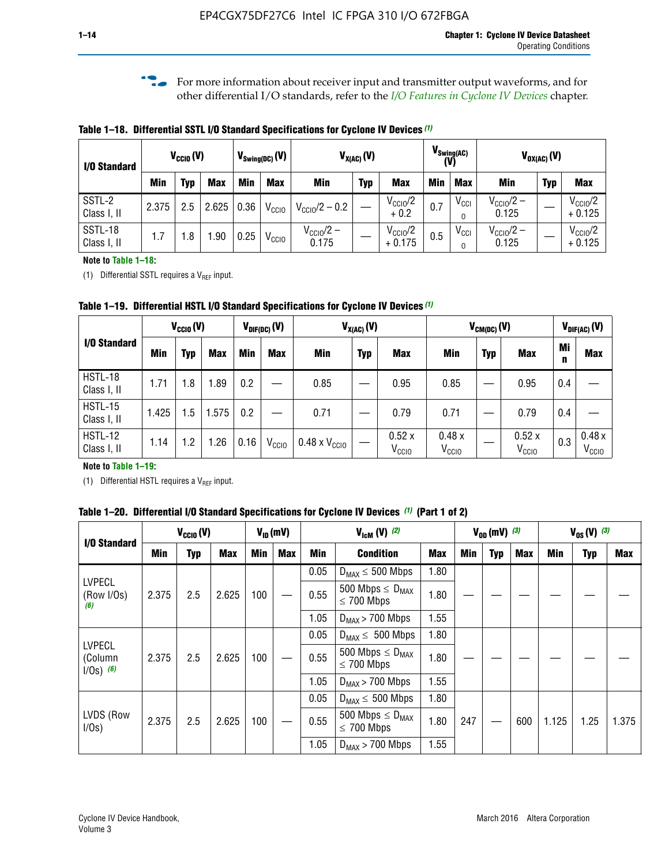**f For more information about receiver input and transmitter output waveforms, and for** other differential I/O standards, refer to the *[I/O Features in Cyclone IV Devices](http://www.altera.com/literature/hb/cyclone-iv/cyiv-51006.pdf)* chapter*.*

**Table 1–18. Differential SSTL I/O Standard Specifications for Cyclone IV Devices** *(1)*

| I/O Standard           |       | $V_{CCl0}(V)$ |            | $V_{\text{Swing(DC)}}(V)$ |                   |                                | $V_{X(AC)}(V)$ |                                 |            | $V_{\text{Swing(AC)}}$<br>(V) |                                | $V_{OX(AC)}(V)$ |                                 |
|------------------------|-------|---------------|------------|---------------------------|-------------------|--------------------------------|----------------|---------------------------------|------------|-------------------------------|--------------------------------|-----------------|---------------------------------|
|                        | Min   | Typ           | <b>Max</b> | Min                       | <b>Max</b>        | <b>Min</b>                     | <b>Typ</b>     | <b>Max</b>                      | <b>Min</b> | <b>Max</b>                    | Min                            | <b>Typ</b>      | <b>Max</b>                      |
| SSTL-2<br>Class I, II  | 2.375 | 2.5           | 2.625      | 0.36                      | V <sub>CCIO</sub> | $V_{\text{CC10}}/2 - 0.2$      |                | $V_{\text{CC10}}/2$<br>$+0.2$   | 0.7        | $V_{\rm CCI}$                 | $V_{\text{CC10}}/2 -$<br>0.125 |                 | $V_{\text{CC10}}/2$<br>$+0.125$ |
| SSTL-18<br>Class I, II | 1.7   | .8            | .90        | 0.25                      | V <sub>CCIO</sub> | $V_{\text{CC10}}/2 -$<br>0.175 |                | $V_{\text{CC10}}/2$<br>$+0.175$ | 0.5        | $V_{\rm CCI}$                 | $V_{\text{CC10}}/2 -$<br>0.125 |                 | $V_{\text{CC10}}/2$<br>$+0.125$ |

#### **Note to Table 1–18:**

(1) Differential SSTL requires a  $V_{REF}$  input.

**Table 1–19. Differential HSTL I/O Standard Specifications for Cyclone IV Devices** *(1)*

|                               | $V_{CClO}(V)$ |     |            | $V_{\text{DIF(DC)}}(V)$ |                   | $V_{X(AC)}(V)$                |            |                            | $V_{CM(DC)}(V)$            |            |                            |         | $V_{\text{DIF(AC)}}(V)$    |
|-------------------------------|---------------|-----|------------|-------------------------|-------------------|-------------------------------|------------|----------------------------|----------------------------|------------|----------------------------|---------|----------------------------|
| I/O Standard                  | Min           | Typ | <b>Max</b> | Min                     | <b>Max</b>        | Min                           | <b>Typ</b> | <b>Max</b>                 | Min                        | <b>Typ</b> | <b>Max</b>                 | Mi<br>n | <b>Max</b>                 |
| HSTL-18<br>Class I, II        | 1.71          | 1.8 | .89        | 0.2                     |                   | 0.85                          |            | 0.95                       | 0.85                       |            | 0.95                       | 0.4     |                            |
| <b>HSTL-15</b><br>Class I, II | 1.425         | 1.5 | .575       | $0.2\,$                 |                   | 0.71                          |            | 0.79                       | 0.71                       |            | 0.79                       | 0.4     |                            |
| <b>HSTL-12</b><br>Class I, II | 1.14          | 1.2 | 1.26       | 0.16                    | V <sub>CCIO</sub> | $0.48 \times V_{\text{CC10}}$ |            | 0.52x<br>V <sub>CCIO</sub> | 0.48x<br>V <sub>CCIO</sub> |            | 0.52x<br>V <sub>CCIO</sub> | 0.3     | 0.48x<br>V <sub>CCIO</sub> |

### **Note to Table 1–19:**

(1) Differential HSTL requires a  $V_{REF}$  input.

**Table 1–20. Differential I/O Standard Specifications for Cyclone IV Devices** *(1)* **(Part 1 of 2)**

| I/O Standard                            |                                                                                                                             | $V_{CCl0} (V)$ |            | $V_{ID}$ (mV) |            |      | $V_{\text{lcm}}(V)^{(2)}$                  |            | $V_{0D}$ (mV) $(3)$ |     |            |       | $V_{0S} (V)^{(3)}$ |       |
|-----------------------------------------|-----------------------------------------------------------------------------------------------------------------------------|----------------|------------|---------------|------------|------|--------------------------------------------|------------|---------------------|-----|------------|-------|--------------------|-------|
|                                         | Min                                                                                                                         | Typ            | <b>Max</b> | <b>Min</b>    | <b>Max</b> | Min  | <b>Condition</b>                           | <b>Max</b> | Min                 | Typ | <b>Max</b> | Min   | <b>Typ</b>         | Max   |
|                                         |                                                                                                                             |                |            |               |            | 0.05 | $D_{MAX} \leq 500$ Mbps                    | 1.80       |                     |     |            |       |                    |       |
| <b>LVPECL</b><br>(Row I/Os)<br>(6)      | 2.375<br>2.5                                                                                                                |                | 2.625      | 100           |            | 0.55 | 500 Mbps $\leq D_{MAX}$<br>$\leq$ 700 Mbps | 1.80       |                     |     |            |       |                    |       |
|                                         |                                                                                                                             |                |            |               |            | 1.05 | $D_{MAX}$ > 700 Mbps                       | 1.55       |                     |     |            |       |                    |       |
|                                         |                                                                                                                             |                |            |               |            | 0.05 | $D_{MAX} \leq 500$ Mbps                    | 1.80       |                     |     |            |       |                    |       |
| <b>LVPECL</b><br>(Column<br>$1/Os)$ (6) | 2.375                                                                                                                       | 2.5            | 2.625      | 100           |            | 0.55 | 500 Mbps $\leq D_{MAX}$<br>$\leq$ 700 Mbps | 1.80       |                     |     |            |       |                    |       |
|                                         |                                                                                                                             |                |            |               |            | 1.05 | $D_{MAX}$ > 700 Mbps                       | 1.55       |                     |     |            |       |                    |       |
|                                         |                                                                                                                             |                |            |               |            | 0.05 | $D_{MAX} \leq 500$ Mbps                    | 1.80       |                     |     |            |       |                    |       |
| LVDS (Row<br>I/Os)                      | 500 Mbps $\leq$ D <sub>MAX</sub><br>2.375<br>100<br>2.5<br>2.625<br>0.55<br>$\leq 700$ Mbps<br>1.05<br>$D_{MAX}$ > 700 Mbps |                |            |               |            |      |                                            | 1.80       | 247                 |     | 600        | 1.125 | 1.25               | 1.375 |
|                                         |                                                                                                                             | 1.55           |            |               |            |      |                                            |            |                     |     |            |       |                    |       |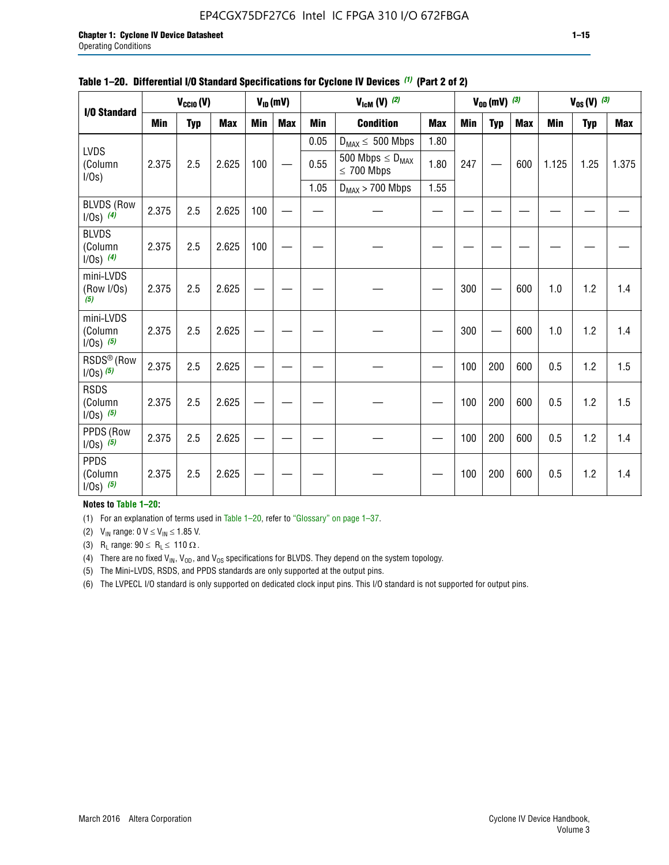# EP4CGX75DF27C6 Intel IC FPGA 310 I/O 672FBGA

|                                         |            | $V_{\text{CCIO}}(V)$ |            |            | $V_{ID}(mV)$ |            | $V_{\text{lcm}}(V)^{(2)}$                  |            |     | $V_{OD}$ (mV) $(3)$ |            |            | $V_{0S} (V)$ (3) |            |
|-----------------------------------------|------------|----------------------|------------|------------|--------------|------------|--------------------------------------------|------------|-----|---------------------|------------|------------|------------------|------------|
| I/O Standard                            | <b>Min</b> | <b>Typ</b>           | <b>Max</b> | <b>Min</b> | <b>Max</b>   | <b>Min</b> | <b>Condition</b>                           | <b>Max</b> | Min | <b>Typ</b>          | <b>Max</b> | <b>Min</b> | <b>Typ</b>       | <b>Max</b> |
|                                         |            |                      |            |            |              | 0.05       | $D_{MAX} \leq 500$ Mbps                    | 1.80       |     |                     |            |            |                  |            |
| <b>LVDS</b><br>(Column<br>$I/Os$ )      | 2.375      | 2.5                  | 2.625      | 100        |              | 0.55       | 500 Mbps $\leq D_{MAX}$<br>$\leq 700$ Mbps | 1.80       | 247 |                     | 600        | 1.125      | 1.25             | 1.375      |
|                                         |            |                      |            |            |              | 1.05       | $D_{MAX}$ > 700 Mbps                       | 1.55       |     |                     |            |            |                  |            |
| <b>BLVDS (Row</b><br>$1/0s)$ (4)        | 2.375      | 2.5                  | 2.625      | 100        |              |            |                                            |            |     |                     |            |            |                  |            |
| <b>BLVDS</b><br>(Column<br>$1/0s)$ (4)  | 2.375      | 2.5                  | 2.625      | 100        |              |            |                                            |            |     |                     |            |            |                  |            |
| mini-LVDS<br>(Row I/Os)<br>(5)          | 2.375      | 2.5                  | 2.625      |            |              |            |                                            |            | 300 |                     | 600        | 1.0        | 1.2              | 1.4        |
| mini-LVDS<br>(Column<br>$1/0s)$ (5)     | 2.375      | 2.5                  | 2.625      |            |              |            |                                            |            | 300 |                     | 600        | 1.0        | 1.2              | 1.4        |
| RSDS <sup>®</sup> (Row<br>$1/0s)$ $(5)$ | 2.375      | 2.5                  | 2.625      |            |              |            |                                            |            | 100 | 200                 | 600        | 0.5        | 1.2              | 1.5        |
| <b>RSDS</b><br>(Column<br>$1/0s)$ (5)   | 2.375      | 2.5                  | 2.625      |            |              |            |                                            |            | 100 | 200                 | 600        | 0.5        | 1.2              | 1.5        |
| PPDS (Row<br>$1/0s)$ (5)                | 2.375      | 2.5                  | 2.625      |            |              |            |                                            |            | 100 | 200                 | 600        | 0.5        | 1.2              | 1.4        |
| <b>PPDS</b><br>(Column<br>$1/0s)$ (5)   | 2.375      | 2.5                  | 2.625      |            |              |            |                                            |            | 100 | 200                 | 600        | 0.5        | 1.2              | 1.4        |

#### **Table 1–20. Differential I/O Standard Specifications for Cyclone IV Devices** *(1)* **(Part 2 of 2)**

**Notes to Table 1–20:**

(1) For an explanation of terms used in Table 1–20, refer to "Glossary" on page 1–37.

(2)  $V_{IN}$  range: 0  $V \le V_{IN} \le 1.85$  V.

(3) R<sub>L</sub> range:  $90 \le R_L \le 110 \Omega$ .

(4) There are no fixed  $V_{IN}$ ,  $V_{OD}$ , and  $V_{OS}$  specifications for BLVDS. They depend on the system topology.

(5) The Mini-LVDS, RSDS, and PPDS standards are only supported at the output pins.

(6) The LVPECL I/O standard is only supported on dedicated clock input pins. This I/O standard is not supported for output pins.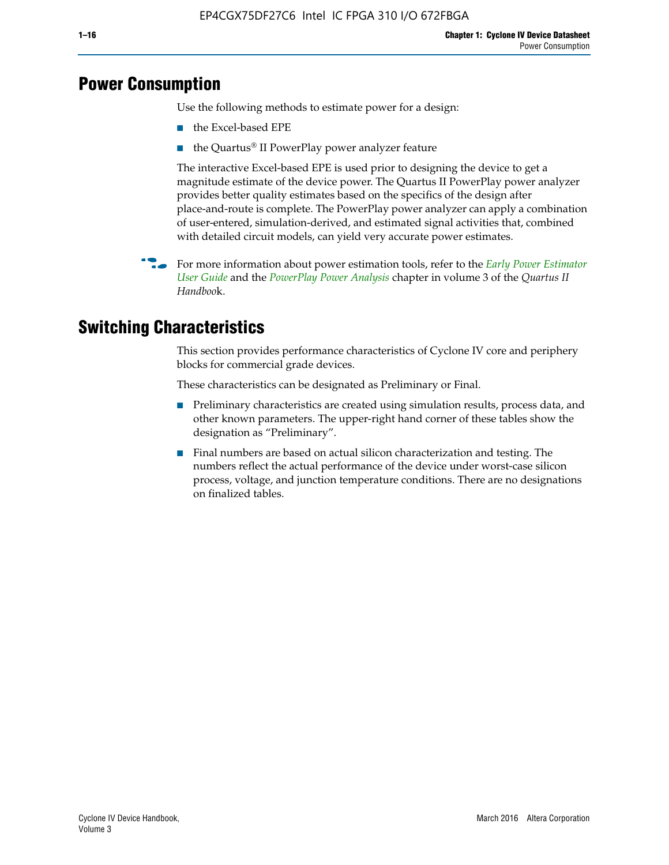# **Power Consumption**

Use the following methods to estimate power for a design:

- the Excel-based EPE
- the Quartus® II PowerPlay power analyzer feature

The interactive Excel-based EPE is used prior to designing the device to get a magnitude estimate of the device power. The Quartus II PowerPlay power analyzer provides better quality estimates based on the specifics of the design after place-and-route is complete. The PowerPlay power analyzer can apply a combination of user-entered, simulation-derived, and estimated signal activities that, combined with detailed circuit models, can yield very accurate power estimates.

f For more information about power estimation tools, refer to the *[Early Power Estimator](http://www.altera.com/literature/ug/ug_epe.pdf
)  [User Guide](http://www.altera.com/literature/ug/ug_epe.pdf
)* and the *[PowerPlay Power Analysis](http://www.altera.com/literature/hb/qts/qts_qii53013.pdf)* chapter in volume 3 of the *Quartus II Handboo*k.

# **Switching Characteristics**

This section provides performance characteristics of Cyclone IV core and periphery blocks for commercial grade devices.

These characteristics can be designated as Preliminary or Final.

- Preliminary characteristics are created using simulation results, process data, and other known parameters. The upper-right hand corner of these tables show the designation as "Preliminary".
- Final numbers are based on actual silicon characterization and testing. The numbers reflect the actual performance of the device under worst-case silicon process, voltage, and junction temperature conditions. There are no designations on finalized tables.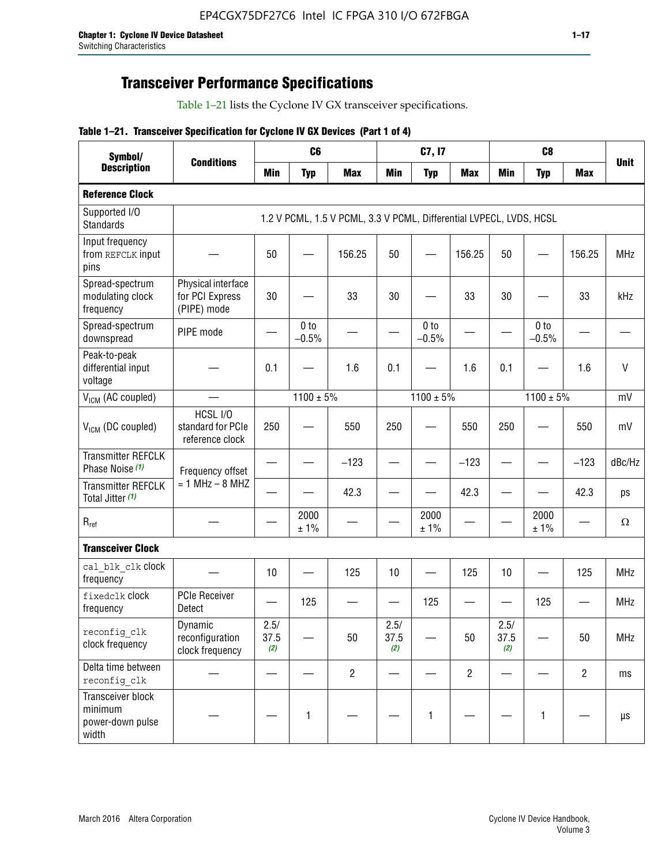# **Transceiver Performance Specifications**

Table 1–21 lists the Cyclone IV GX transceiver specifications.

### **Table 1–21. Transceiver Specification for Cyclone IV GX Devices (Part 1 of 4)**

| Symbol/                                                   |                                                      |                     | C <sub>6</sub>             |                                                                     |                     | C7, I7                     |                               |                     | C <sub>8</sub>             |                |              |
|-----------------------------------------------------------|------------------------------------------------------|---------------------|----------------------------|---------------------------------------------------------------------|---------------------|----------------------------|-------------------------------|---------------------|----------------------------|----------------|--------------|
| <b>Description</b>                                        | <b>Conditions</b>                                    | <b>Min</b>          | <b>Typ</b>                 | <b>Max</b>                                                          | <b>Min</b>          | <b>Typ</b>                 | <b>Max</b>                    | <b>Min</b>          | <b>Typ</b>                 | <b>Max</b>     | <b>Unit</b>  |
| <b>Reference Clock</b>                                    |                                                      |                     |                            |                                                                     |                     |                            |                               |                     |                            |                |              |
| Supported I/O<br><b>Standards</b>                         |                                                      |                     |                            | 1.2 V PCML, 1.5 V PCML, 3.3 V PCML, Differential LVPECL, LVDS, HCSL |                     |                            |                               |                     |                            |                |              |
| Input frequency<br>from REFCLK input<br>pins              |                                                      | 50                  |                            | 156.25                                                              | 50                  |                            | 156.25                        | 50                  | —                          | 156.25         | <b>MHz</b>   |
| Spread-spectrum<br>modulating clock<br>frequency          | Physical interface<br>for PCI Express<br>(PIPE) mode | 30                  |                            | 33                                                                  | 30                  |                            | 33                            | 30                  |                            | 33             | kHz          |
| Spread-spectrum<br>downspread                             | PIPE mode                                            |                     | 0 <sub>to</sub><br>$-0.5%$ |                                                                     |                     | 0 <sub>to</sub><br>$-0.5%$ |                               |                     | 0 <sub>to</sub><br>$-0.5%$ |                |              |
| Peak-to-peak<br>differential input<br>voltage             |                                                      | 0.1                 |                            | 1.6                                                                 | 0.1                 |                            | 1.6                           | 0.1                 |                            | 1.6            | $\mathsf{V}$ |
| V <sub>ICM</sub> (AC coupled)                             |                                                      |                     | $1100 \pm 5\%$             |                                                                     |                     | $1100 \pm 5\%$             |                               |                     | $1100 \pm 5\%$             |                | mV           |
| V <sub>ICM</sub> (DC coupled)                             | HCSL I/O<br>standard for PCIe<br>reference clock     | 250                 |                            | 550                                                                 | 250                 |                            | 550                           | 250                 |                            | 550            | mV           |
| <b>Transmitter REFCLK</b><br>Phase Noise (1)              | Frequency offset                                     |                     |                            | $-123$                                                              |                     |                            | $-123$                        |                     |                            | $-123$         | dBc/Hz       |
| <b>Transmitter REFCLK</b><br>Total Jitter (1)             | $= 1$ MHz $- 8$ MHZ                                  |                     |                            | 42.3                                                                |                     |                            | 42.3                          |                     |                            | 42.3           | ps           |
| $R_{ref}$                                                 |                                                      |                     | 2000<br>± 1%               |                                                                     |                     | 2000<br>± 1%               |                               |                     | 2000<br>± 1%               |                | $\Omega$     |
| <b>Transceiver Clock</b>                                  |                                                      |                     |                            |                                                                     |                     |                            |                               |                     |                            |                |              |
| cal blk clk clock<br>frequency                            |                                                      | 10                  |                            | 125                                                                 | 10                  |                            | 125                           | 10                  |                            | 125            | <b>MHz</b>   |
| fixedclk Clock<br>frequency                               | <b>PCIe Receiver</b><br>Detect                       |                     | 125                        |                                                                     |                     | 125                        | $\overbrace{\phantom{aaaaa}}$ |                     | 125                        |                | <b>MHz</b>   |
| reconfig_clk<br>clock frequency                           | Dynamic<br>reconfiguration<br>clock frequency        | 2.5/<br>37.5<br>(2) |                            | 50                                                                  | 2.5/<br>37.5<br>(2) |                            | 50                            | 2.5/<br>37.5<br>(2) |                            | 50             | <b>MHz</b>   |
| Delta time between<br>reconfig clk                        |                                                      |                     |                            | $\overline{c}$                                                      |                     |                            | $\overline{c}$                |                     |                            | $\overline{2}$ | ms           |
| Transceiver block<br>minimum<br>power-down pulse<br>width |                                                      |                     | 1                          |                                                                     |                     | 1                          |                               |                     | $\mathbf{1}$               |                | $\mu s$      |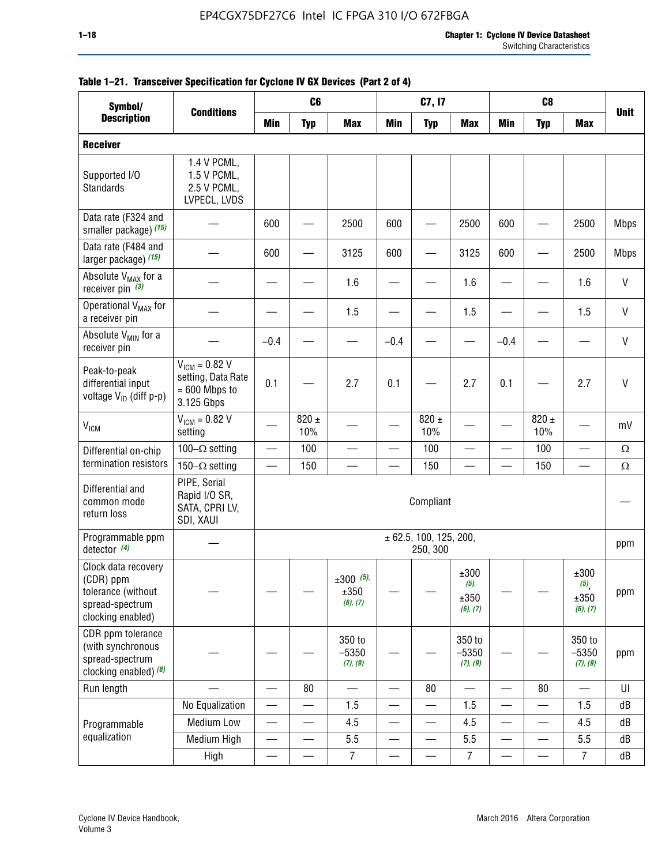| Symbol/                                                                                        |                                                                           |                 | C <sub>6</sub>   |                                 |                          | C7, I7                             |                                     |                          | C <sub>8</sub>           |                                  |              |
|------------------------------------------------------------------------------------------------|---------------------------------------------------------------------------|-----------------|------------------|---------------------------------|--------------------------|------------------------------------|-------------------------------------|--------------------------|--------------------------|----------------------------------|--------------|
| <b>Description</b>                                                                             | <b>Conditions</b>                                                         | <b>Min</b>      | <b>Typ</b>       | <b>Max</b>                      | <b>Min</b>               | <b>Typ</b>                         | <b>Max</b>                          | <b>Min</b>               | <b>Typ</b>               | <b>Max</b>                       | <b>Unit</b>  |
| <b>Receiver</b>                                                                                |                                                                           |                 |                  |                                 |                          |                                    |                                     |                          |                          |                                  |              |
| Supported I/O<br>Standards                                                                     | 1.4 V PCML,<br>1.5 V PCML,<br>2.5 V PCML,<br>LVPECL, LVDS                 |                 |                  |                                 |                          |                                    |                                     |                          |                          |                                  |              |
| Data rate (F324 and<br>smaller package) (15)                                                   |                                                                           | 600             |                  | 2500                            | 600                      |                                    | 2500                                | 600                      |                          | 2500                             | <b>Mbps</b>  |
| Data rate (F484 and<br>larger package) (15)                                                    |                                                                           | 600             |                  | 3125                            | 600                      |                                    | 3125                                | 600                      |                          | 2500                             | <b>Mbps</b>  |
| Absolute V <sub>MAX</sub> for a<br>receiver pin $(3)$                                          |                                                                           |                 |                  | 1.6                             |                          |                                    | 1.6                                 |                          |                          | 1.6                              | $\mathsf{V}$ |
| Operational V <sub>MAX</sub> for<br>a receiver pin                                             |                                                                           |                 |                  | 1.5                             |                          |                                    | 1.5                                 |                          |                          | 1.5                              | V            |
| Absolute V <sub>MIN</sub> for a<br>receiver pin                                                |                                                                           | $-0.4$          |                  |                                 | $-0.4$                   |                                    |                                     | $-0.4$                   |                          |                                  | $\mathsf{V}$ |
| Peak-to-peak<br>differential input<br>voltage V <sub>ID</sub> (diff p-p)                       | $V_{ICM} = 0.82 V$<br>setting, Data Rate<br>$= 600$ Mbps to<br>3.125 Gbps | 0.1             |                  | 2.7                             | 0.1                      |                                    | 2.7                                 | 0.1                      |                          | 2.7                              | $\mathsf{V}$ |
| <b>V<sub>ICM</sub></b>                                                                         | $V_{ICM} = 0.82 V$<br>setting                                             |                 | $820 \pm$<br>10% |                                 |                          | 820 $\pm$<br>10%                   |                                     |                          | $820 \pm$<br>10%         |                                  | mV           |
| Differential on-chip                                                                           | 100 $-\Omega$ setting                                                     |                 | 100              |                                 |                          | 100                                | $\overline{\phantom{0}}$            |                          | 100                      | $\overline{\phantom{0}}$         | $\Omega$     |
| termination resistors                                                                          | 150 $-\Omega$ setting                                                     |                 | 150              | $\overline{\phantom{a}}$        | $\overline{\phantom{0}}$ | 150                                | —                                   |                          | 150                      | $\overline{\phantom{0}}$         | $\Omega$     |
| Differential and<br>common mode<br>return loss                                                 | PIPE, Serial<br>Rapid I/O SR,<br>SATA, CPRI LV,<br>SDI, XAUI              |                 |                  |                                 |                          | Compliant                          |                                     |                          |                          |                                  |              |
| Programmable ppm<br>detector $(4)$                                                             |                                                                           |                 |                  |                                 |                          | ± 62.5, 100, 125, 200,<br>250, 300 |                                     |                          |                          |                                  | ppm          |
| Clock data recovery<br>(CDR) ppm<br>tolerance (without<br>spread-spectrum<br>clocking enabled) |                                                                           |                 |                  | $±300$ (5),<br>±350<br>(6), (7) |                          |                                    | ±300<br>$(5)$ ,<br>±350<br>(6), (7) |                          |                          | ±300<br>(5),<br>±350<br>(6), (7) | ppm          |
| CDR ppm tolerance<br>(with synchronous<br>spread-spectrum<br>clocking enabled) (8)             |                                                                           |                 |                  | 350 to<br>$-5350$<br>(7), (9)   |                          |                                    | 350 to<br>$-5350$<br>(7), (9)       |                          |                          | 350 to<br>$-5350$<br>(7), (9)    | ppm          |
| Run length                                                                                     |                                                                           | $\qquad \qquad$ | 80               | $\overline{\phantom{0}}$        | —                        | 80                                 | $\overline{\phantom{0}}$            | $\overline{\phantom{0}}$ | 80                       | —                                | UI           |
|                                                                                                | No Equalization                                                           |                 |                  | 1.5                             |                          |                                    | 1.5                                 |                          |                          | 1.5                              | dB           |
| Programmable                                                                                   | <b>Medium Low</b>                                                         | —               | —                | 4.5                             | $\overline{\phantom{0}}$ | $\qquad \qquad \longleftarrow$     | 4.5                                 | $\qquad \qquad$          | $\overline{\phantom{0}}$ | 4.5                              | dB           |
| equalization                                                                                   | Medium High                                                               |                 |                  | 5.5                             |                          |                                    | 5.5                                 | $\overline{\phantom{0}}$ | $\overline{\phantom{0}}$ | 5.5                              | dB           |
|                                                                                                | High                                                                      |                 |                  | $\overline{7}$                  | —                        |                                    | $\overline{7}$                      |                          |                          | $\overline{7}$                   | dB           |

### **Table 1–21. Transceiver Specification for Cyclone IV GX Devices (Part 2 of 4)**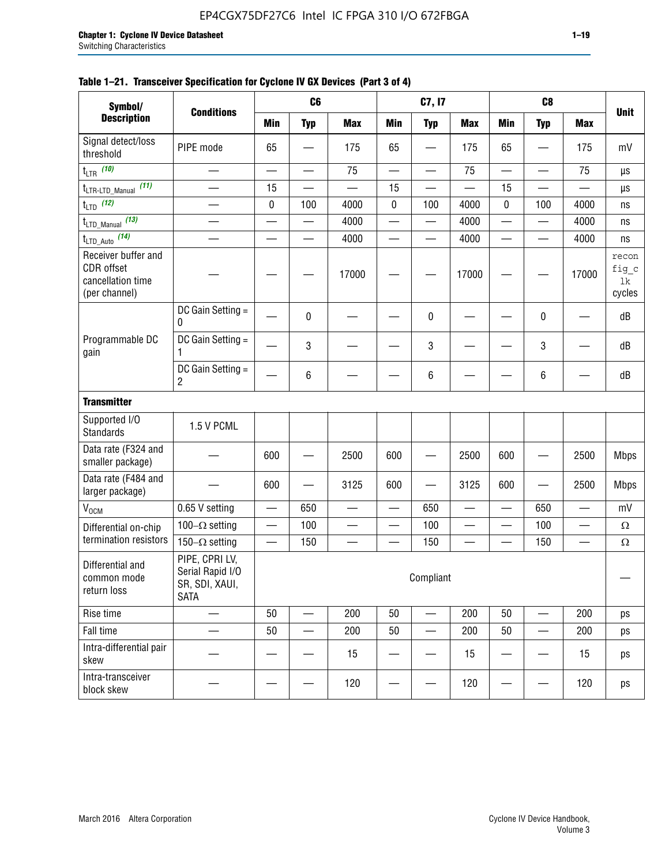### **Table 1–21. Transceiver Specification for Cyclone IV GX Devices (Part 3 of 4)**

| Symbol/                                                                 |                                                                     |                          | C <sub>6</sub>           |                          |                          | C7, I7                         |                 |                          | C <sub>8</sub>           |                          |                                |
|-------------------------------------------------------------------------|---------------------------------------------------------------------|--------------------------|--------------------------|--------------------------|--------------------------|--------------------------------|-----------------|--------------------------|--------------------------|--------------------------|--------------------------------|
| <b>Description</b>                                                      | <b>Conditions</b>                                                   | <b>Min</b>               | <b>Typ</b>               | <b>Max</b>               | <b>Min</b>               | <b>Typ</b>                     | <b>Max</b>      | <b>Min</b>               | <b>Typ</b>               | <b>Max</b>               | <b>Unit</b>                    |
| Signal detect/loss<br>threshold                                         | PIPE mode                                                           | 65                       |                          | 175                      | 65                       |                                | 175             | 65                       | —                        | 175                      | mV                             |
| $t_{LTR}$ (10)                                                          | $\overline{\phantom{0}}$                                            | $\overline{\phantom{0}}$ | $\qquad \qquad \qquad$   | 75                       | $\overline{\phantom{0}}$ | $\qquad \qquad \longleftarrow$ | 75              |                          | $\overline{\phantom{0}}$ | 75                       | $\mu s$                        |
| (11)<br>$t_{\text{LTR-LTD\_Manual}}$                                    |                                                                     | 15                       |                          |                          | 15                       |                                |                 | 15                       |                          |                          | μs                             |
| $t_{LTD}$ (12)                                                          |                                                                     | 0                        | 100                      | 4000                     | 0                        | 100                            | 4000            | 0                        | 100                      | 4000                     | ns                             |
| $t_{\text{LTD\_Manual}}$ (13)                                           | $\overline{\phantom{0}}$                                            | $\overline{\phantom{0}}$ | $\overline{\phantom{0}}$ | 4000                     | $\overline{\phantom{0}}$ | $\overline{\phantom{0}}$       | 4000            | $\overline{\phantom{0}}$ | $\overline{\phantom{0}}$ | 4000                     | ns                             |
| $t_{\text{LTD\_Auto}}$ (14)                                             |                                                                     |                          |                          | 4000                     |                          |                                | 4000            |                          |                          | 4000                     | ns                             |
| Receiver buffer and<br>CDR offset<br>cancellation time<br>(per channel) |                                                                     |                          |                          | 17000                    |                          |                                | 17000           |                          |                          | 17000                    | recon<br>fig_c<br>lk<br>cycles |
|                                                                         | DC Gain Setting =<br>0                                              |                          | 0                        |                          |                          | $\mathbf 0$                    |                 |                          | $\pmb{0}$                |                          | dB                             |
| Programmable DC<br>gain                                                 | DC Gain Setting =<br>1                                              |                          | 3                        |                          |                          | 3                              |                 |                          | 3                        |                          | dB                             |
|                                                                         | DC Gain Setting =<br>$\overline{2}$                                 |                          | $\,6\,$                  |                          |                          | $\,6\,$                        |                 |                          | 6                        |                          | dB                             |
| <b>Transmitter</b>                                                      |                                                                     |                          |                          |                          |                          |                                |                 |                          |                          |                          |                                |
| Supported I/O<br><b>Standards</b>                                       | 1.5 V PCML                                                          |                          |                          |                          |                          |                                |                 |                          |                          |                          |                                |
| Data rate (F324 and<br>smaller package)                                 |                                                                     | 600                      |                          | 2500                     | 600                      |                                | 2500            | 600                      | $\overline{\phantom{0}}$ | 2500                     | <b>Mbps</b>                    |
| Data rate (F484 and<br>larger package)                                  |                                                                     | 600                      | -                        | 3125                     | 600                      | —                              | 3125            | 600                      | —                        | 2500                     | <b>Mbps</b>                    |
| $\rm V_{\rm OCM}$                                                       | 0.65 V setting                                                      | $\overline{\phantom{0}}$ | 650                      | —                        | $\overline{\phantom{0}}$ | 650                            | —               | $\qquad \qquad$          | 650                      | $\overline{\phantom{0}}$ | mV                             |
| Differential on-chip                                                    | 100 $-\Omega$ setting                                               |                          | 100                      | $\overline{\phantom{0}}$ | $\overline{\phantom{0}}$ | 100                            | —               | $\overline{\phantom{0}}$ | 100                      | $\overline{\phantom{0}}$ | $\Omega$                       |
| termination resistors                                                   | 150 $-\Omega$ setting                                               | $\qquad \qquad -$        | 150                      | —                        | $\overline{\phantom{0}}$ | 150                            | $\qquad \qquad$ | $\qquad \qquad$          | 150                      |                          | Ω                              |
| Differential and<br>common mode<br>return loss                          | PIPE, CPRI LV,<br>Serial Rapid I/O<br>SR, SDI, XAUI,<br><b>SATA</b> |                          |                          |                          |                          | Compliant                      |                 |                          |                          |                          |                                |
| Rise time                                                               | $\qquad \qquad$                                                     | 50                       | $\overline{\phantom{0}}$ | 200                      | 50                       | $\overline{\phantom{0}}$       | 200             | 50                       | $\overline{\phantom{0}}$ | 200                      | ps                             |
| Fall time                                                               |                                                                     | 50                       | $\overline{\phantom{0}}$ | 200                      | 50                       |                                | 200             | 50                       | $\overline{\phantom{0}}$ | 200                      | ps                             |
| Intra-differential pair<br>skew                                         |                                                                     |                          |                          | 15                       |                          |                                | 15              |                          | $\overline{\phantom{0}}$ | 15                       | ps                             |
| Intra-transceiver<br>block skew                                         |                                                                     |                          |                          | 120                      |                          |                                | 120             |                          |                          | 120                      | ps                             |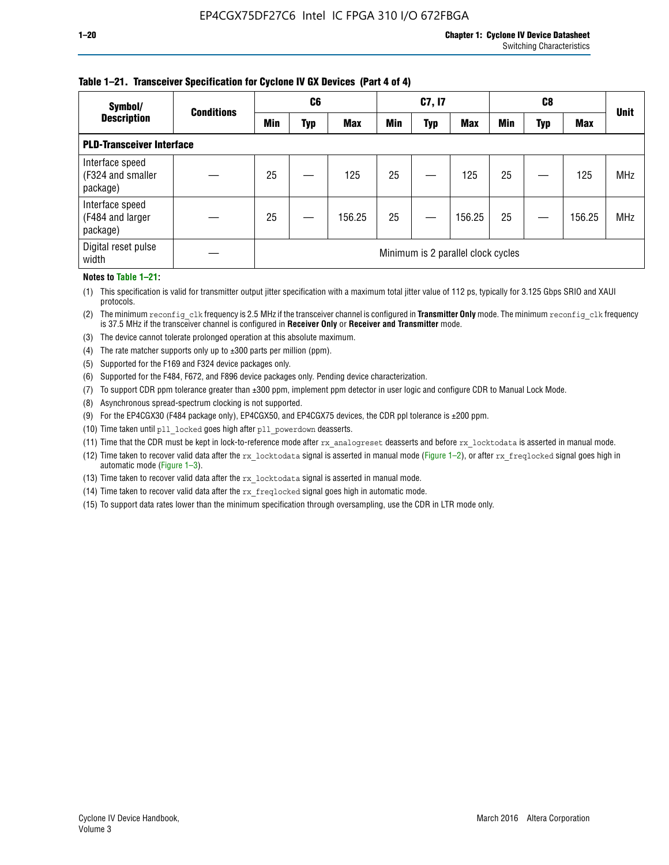### **Table 1–21. Transceiver Specification for Cyclone IV GX Devices (Part 4 of 4)**

| Symbol/                                          | <b>Conditions</b> | C <sub>6</sub> |                                    | C7, I7     |            |            | C8         |            |     | <b>Unit</b> |            |
|--------------------------------------------------|-------------------|----------------|------------------------------------|------------|------------|------------|------------|------------|-----|-------------|------------|
| <b>Description</b>                               |                   | <b>Min</b>     | Typ                                | <b>Max</b> | <b>Min</b> | <b>Typ</b> | <b>Max</b> | <b>Min</b> | Typ | <b>Max</b>  |            |
| <b>PLD-Transceiver Interface</b>                 |                   |                |                                    |            |            |            |            |            |     |             |            |
| Interface speed<br>(F324 and smaller<br>package) |                   | 25             |                                    | 125        | 25         |            | 125        | 25         |     | 125         | <b>MHz</b> |
| Interface speed<br>(F484 and larger<br>package)  |                   | 25             |                                    | 156.25     | 25         |            | 156.25     | 25         |     | 156.25      | <b>MHz</b> |
| Digital reset pulse<br>width                     |                   |                | Minimum is 2 parallel clock cycles |            |            |            |            |            |     |             |            |

#### **Notes to Table 1–21:**

(1) This specification is valid for transmitter output jitter specification with a maximum total jitter value of 112 ps, typically for 3.125 Gbps SRIO and XAUI protocols.

(2) The minimum reconfig\_clk frequency is 2.5 MHz if the transceiver channel is configured in **Transmitter Only** mode. The minimum reconfig\_clk frequency is 37.5 MHz if the transceiver channel is configured in **Receiver Only** or **Receiver and Transmitter** mode.

(3) The device cannot tolerate prolonged operation at this absolute maximum.

- (4) The rate matcher supports only up to  $\pm 300$  parts per million (ppm).
- (5) Supported for the F169 and F324 device packages only.
- (6) Supported for the F484, F672, and F896 device packages only. Pending device characterization.
- (7) To support CDR ppm tolerance greater than ±300 ppm, implement ppm detector in user logic and configure CDR to Manual Lock Mode.
- (8) Asynchronous spread-spectrum clocking is not supported.
- (9) For the EP4CGX30 (F484 package only), EP4CGX50, and EP4CGX75 devices, the CDR ppl tolerance is ±200 ppm.
- (10) Time taken until pll\_locked goes high after pll\_powerdown deasserts.
- (11) Time that the CDR must be kept in lock-to-reference mode after rx analogreset deasserts and before rx locktodata is asserted in manual mode.

(12) Time taken to recover valid data after the rx locktodata signal is asserted in manual mode (Figure 1–2), or after rx freqlocked signal goes high in automatic mode (Figure 1–3).

(13) Time taken to recover valid data after the rx locktodata signal is asserted in manual mode.

- (14) Time taken to recover valid data after the rx freqlocked signal goes high in automatic mode.
- (15) To support data rates lower than the minimum specification through oversampling, use the CDR in LTR mode only.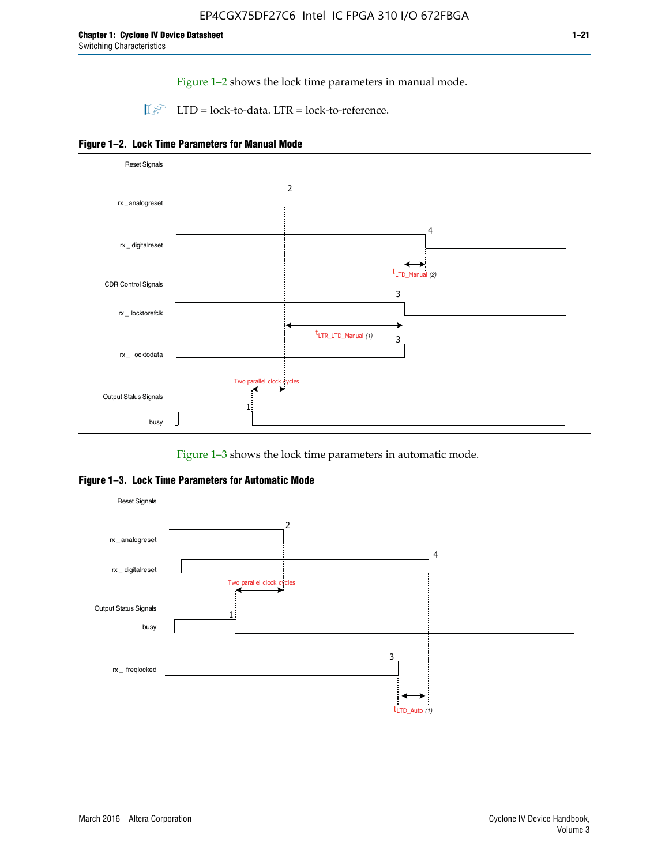Figure 1–2 shows the lock time parameters in manual mode.

 $\Box$  LTD = lock-to-data. LTR = lock-to-reference.





Figure 1–3 shows the lock time parameters in automatic mode.

**Figure 1–3. Lock Time Parameters for Automatic Mode**

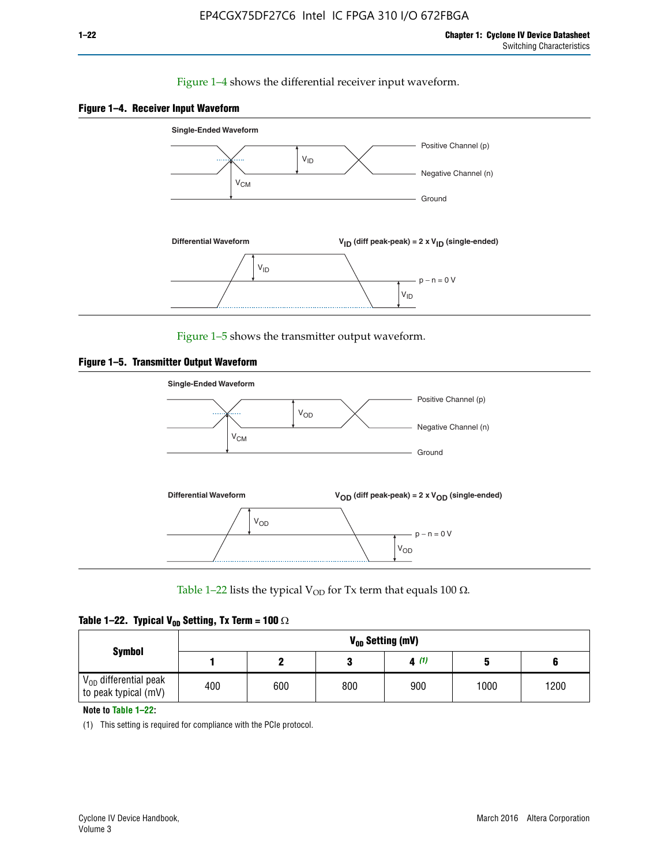### Figure 1–4 shows the differential receiver input waveform.





Figure 1–5 shows the transmitter output waveform.





Table 1–22 lists the typical V<sub>OD</sub> for Tx term that equals 100  $\Omega$ .

|  |  | Table 1–22. Typical V <sub>0D</sub> Setting, Tx Term = 100 $\Omega$ |  |  |
|--|--|---------------------------------------------------------------------|--|--|
|--|--|---------------------------------------------------------------------|--|--|

|                                                        |     | V <sub>on</sub> Setting (mV) |     |      |      |      |  |  |  |  |  |  |  |
|--------------------------------------------------------|-----|------------------------------|-----|------|------|------|--|--|--|--|--|--|--|
| <b>Symbol</b>                                          |     |                              |     | 4(1) |      |      |  |  |  |  |  |  |  |
| $\rm V_{OD}$ differential peak<br>to peak typical (mV) | 400 | 600                          | 800 | 900  | 1000 | 1200 |  |  |  |  |  |  |  |

**Note to Table 1–22:**

(1) This setting is required for compliance with the PCIe protocol.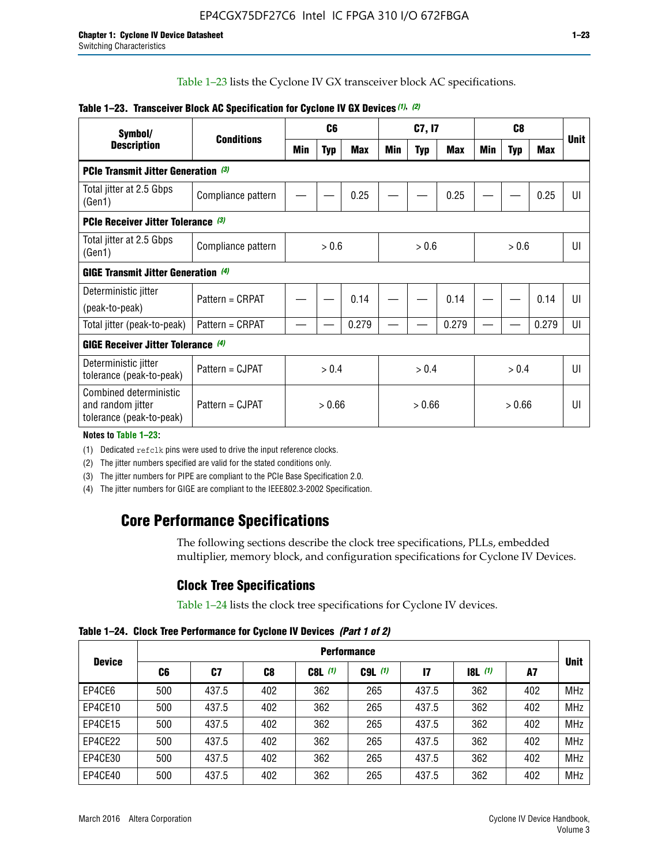Table 1–23 lists the Cyclone IV GX transceiver block AC specifications.

| Symbol/                                                                 | <b>Conditions</b>  |       | C <sub>6</sub> |            | C7, I7 |            |       |     |            | <b>Unit</b> |                |
|-------------------------------------------------------------------------|--------------------|-------|----------------|------------|--------|------------|-------|-----|------------|-------------|----------------|
| <b>Description</b>                                                      |                    | Min   | <b>Typ</b>     | <b>Max</b> | Min    | <b>Typ</b> | Max   | Min | <b>Typ</b> | <b>Max</b>  |                |
| <b>PCIe Transmit Jitter Generation (3)</b>                              |                    |       |                |            |        |            |       |     |            |             |                |
| Total jitter at 2.5 Gbps<br>(Gen1)                                      | Compliance pattern |       |                | 0.25       |        |            | 0.25  |     |            | 0.25        | UI             |
| <b>PCIe Receiver Jitter Tolerance (3)</b>                               |                    |       |                |            |        |            |       |     |            |             |                |
| Total jitter at 2.5 Gbps<br>(Gen1)                                      | Compliance pattern | > 0.6 |                |            | > 0.6  |            |       |     | > 0.6      |             | UI             |
| <b>GIGE Transmit Jitter Generation (4)</b>                              |                    |       |                |            |        |            |       |     |            |             |                |
| Deterministic jitter                                                    | Pattern = CRPAT    |       |                | 0.14       |        |            | 0.14  |     |            | 0.14        | UI             |
| (peak-to-peak)                                                          |                    |       |                |            |        |            |       |     |            |             |                |
| Total jitter (peak-to-peak)                                             | Pattern = CRPAT    |       |                | 0.279      |        |            | 0.279 |     |            | 0.279       | UI             |
| <b>GIGE Receiver Jitter Tolerance</b> (4)                               |                    |       |                |            |        |            |       |     |            |             |                |
| Deterministic jitter<br>tolerance (peak-to-peak)                        | Pattern = CJPAT    |       | > 0.4          |            |        | > 0.4      |       |     | > 0.4      |             | $\mathsf{III}$ |
| Combined deterministic<br>and random jitter<br>tolerance (peak-to-peak) | Pattern = CJPAT    |       | > 0.66         |            |        | > 0.66     |       |     | > 0.66     |             | UI             |

### **Table 1–23. Transceiver Block AC Specification for Cyclone IV GX Devices** *(1)***,** *(2)*

#### **Notes to Table 1–23:**

(1) Dedicated refclk pins were used to drive the input reference clocks.

(2) The jitter numbers specified are valid for the stated conditions only.

(3) The jitter numbers for PIPE are compliant to the PCIe Base Specification 2.0.

(4) The jitter numbers for GIGE are compliant to the IEEE802.3-2002 Specification.

# **Core Performance Specifications**

The following sections describe the clock tree specifications, PLLs, embedded multiplier, memory block, and configuration specifications for Cyclone IV Devices.

# **Clock Tree Specifications**

Table 1–24 lists the clock tree specifications for Cyclone IV devices.

**Table 1–24. Clock Tree Performance for Cyclone IV Devices** *(Part 1 of 2)*

| <b>Device</b> |     | <b>Performance</b> |     |           |             |              |       |     |             |  |  |  |  |  |  |
|---------------|-----|--------------------|-----|-----------|-------------|--------------|-------|-----|-------------|--|--|--|--|--|--|
|               | C6  | C7                 | C8  | $C8L$ (1) | $C9L$ $(1)$ | $\mathbf{I}$ | 8L(1) | A7  | <b>Unit</b> |  |  |  |  |  |  |
| EP4CE6        | 500 | 437.5              | 402 | 362       | 265         | 437.5        | 362   | 402 | <b>MHz</b>  |  |  |  |  |  |  |
| EP4CE10       | 500 | 437.5              | 402 | 362       | 265         | 437.5        | 362   | 402 | <b>MHz</b>  |  |  |  |  |  |  |
| EP4CE15       | 500 | 437.5              | 402 | 362       | 265         | 437.5        | 362   | 402 | <b>MHz</b>  |  |  |  |  |  |  |
| EP4CE22       | 500 | 437.5              | 402 | 362       | 265         | 437.5        | 362   | 402 | <b>MHz</b>  |  |  |  |  |  |  |
| EP4CE30       | 500 | 437.5              | 402 | 362       | 265         | 437.5        | 362   | 402 | <b>MHz</b>  |  |  |  |  |  |  |
| EP4CE40       | 500 | 437.5              | 402 | 362       | 265         | 437.5        | 362   | 402 | <b>MHz</b>  |  |  |  |  |  |  |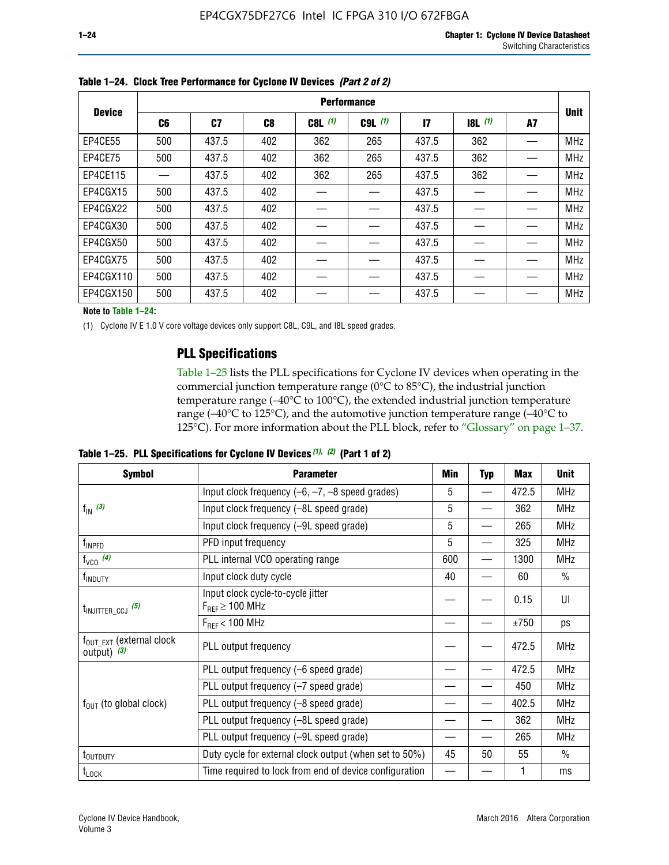|               | <b>Performance</b> |       |     |           |             |               |           |    |             |  |  |  |  |  |
|---------------|--------------------|-------|-----|-----------|-------------|---------------|-----------|----|-------------|--|--|--|--|--|
| <b>Device</b> | C6                 | C7    | C8  | $C8L$ (1) | $C9L$ $(1)$ | $\mathsf{I}7$ | $18L$ (1) | A7 | <b>Unit</b> |  |  |  |  |  |
| EP4CE55       | 500                | 437.5 | 402 | 362       | 265         | 437.5         | 362       |    | <b>MHz</b>  |  |  |  |  |  |
| EP4CE75       | 500                | 437.5 | 402 | 362       | 265         | 437.5         | 362       |    | <b>MHz</b>  |  |  |  |  |  |
| EP4CE115      |                    | 437.5 | 402 | 362       | 265         | 437.5         | 362       |    | <b>MHz</b>  |  |  |  |  |  |
| EP4CGX15      | 500                | 437.5 | 402 |           |             | 437.5         |           |    | <b>MHz</b>  |  |  |  |  |  |
| EP4CGX22      | 500                | 437.5 | 402 |           |             | 437.5         |           |    | <b>MHz</b>  |  |  |  |  |  |
| EP4CGX30      | 500                | 437.5 | 402 |           |             | 437.5         |           |    | <b>MHz</b>  |  |  |  |  |  |
| EP4CGX50      | 500                | 437.5 | 402 |           |             | 437.5         |           |    | <b>MHz</b>  |  |  |  |  |  |
| EP4CGX75      | 500                | 437.5 | 402 |           |             | 437.5         |           |    | <b>MHz</b>  |  |  |  |  |  |
| EP4CGX110     | 500                | 437.5 | 402 |           |             | 437.5         |           |    | <b>MHz</b>  |  |  |  |  |  |
| EP4CGX150     | 500                | 437.5 | 402 |           |             | 437.5         |           |    | <b>MHz</b>  |  |  |  |  |  |

**Table 1–24. Clock Tree Performance for Cyclone IV Devices** *(Part 2 of 2)*

**Note to Table 1–24:**

(1) Cyclone IV E 1.0 V core voltage devices only support C8L, C9L, and I8L speed grades.

# **PLL Specifications**

Table 1–25 lists the PLL specifications for Cyclone IV devices when operating in the commercial junction temperature range (0°C to 85°C), the industrial junction temperature range (–40°C to 100°C), the extended industrial junction temperature range (–40°C to 125°C), and the automotive junction temperature range (–40°C to 125°C). For more information about the PLL block, refer to "Glossary" on page 1–37.

|  |  | Table 1–25. PLL Specifications for Cyclone IV Devices $(1)$ , $(2)$ (Part 1 of 2) |  |
|--|--|-----------------------------------------------------------------------------------|--|
|--|--|-----------------------------------------------------------------------------------|--|

| <b>Symbol</b>                                          | <b>Parameter</b>                                            | Min | <b>Typ</b>               | Max   | <b>Unit</b>   |
|--------------------------------------------------------|-------------------------------------------------------------|-----|--------------------------|-------|---------------|
|                                                        | Input clock frequency $(-6, -7, -8)$ speed grades)          | 5   | —                        | 472.5 | <b>MHz</b>    |
| $f_{\text{IN}}$ (3)                                    | Input clock frequency (-8L speed grade)                     | 5   |                          | 362   | <b>MHz</b>    |
|                                                        | Input clock frequency (-9L speed grade)                     | 5   |                          | 265   | <b>MHz</b>    |
| f <sub>INPFD</sub>                                     | PFD input frequency                                         | 5   |                          | 325   | <b>MHz</b>    |
| $f_{VCO}$ (4)                                          | PLL internal VCO operating range                            | 600 | $\overline{\phantom{0}}$ | 1300  | <b>MHz</b>    |
| f <sub>INDUTY</sub>                                    | Input clock duty cycle                                      | 40  |                          | 60    | $\frac{0}{0}$ |
| $t_{\text{INJITTER\_CCJ}}$ (5)                         | Input clock cycle-to-cycle jitter<br>$F_{REF} \geq 100$ MHz |     |                          | 0.15  | UI            |
|                                                        | $F_{RFF}$ < 100 MHz                                         |     |                          | ±750  | ps            |
| $f_{\text{OUT\_EXT}}$ (external clock<br>output) $(3)$ | PLL output frequency                                        |     |                          | 472.5 | <b>MHz</b>    |
|                                                        | PLL output frequency (-6 speed grade)                       |     |                          | 472.5 | <b>MHz</b>    |
|                                                        | PLL output frequency (-7 speed grade)                       |     |                          | 450   | <b>MHz</b>    |
| $f_{OUT}$ (to global clock)                            | PLL output frequency (-8 speed grade)                       |     |                          | 402.5 | <b>MHz</b>    |
|                                                        | PLL output frequency (-8L speed grade)                      |     |                          | 362   | <b>MHz</b>    |
|                                                        | PLL output frequency (-9L speed grade)                      |     |                          | 265   | <b>MHz</b>    |
| t <sub>outputy</sub>                                   | Duty cycle for external clock output (when set to 50%)      | 45  | 50                       | 55    | $\frac{0}{0}$ |
| $t_{\text{LOCK}}$                                      | Time required to lock from end of device configuration      |     |                          |       | ms            |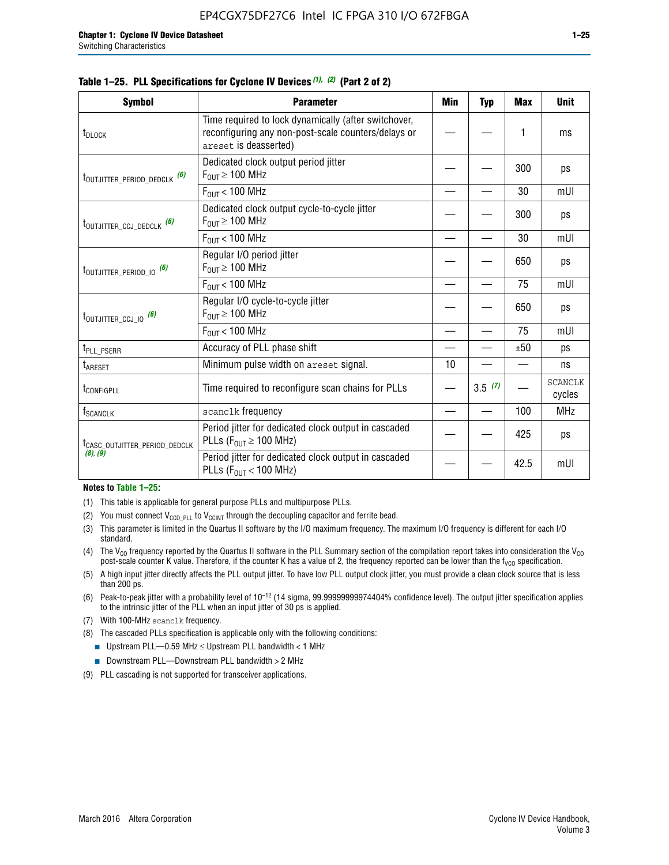|  |  | Table 1–25. PLL Specifications for Cyclone IV Devices (1), (2) (Part 2 of 2) |  |
|--|--|------------------------------------------------------------------------------|--|
|--|--|------------------------------------------------------------------------------|--|

| <b>Symbol</b>                             | <b>Parameter</b>                                                                                                                     | Min | <b>Typ</b> | <b>Max</b> | <b>Unit</b>              |
|-------------------------------------------|--------------------------------------------------------------------------------------------------------------------------------------|-----|------------|------------|--------------------------|
| t <sub>DLOCK</sub>                        | Time required to lock dynamically (after switchover,<br>reconfiguring any non-post-scale counters/delays or<br>areset is deasserted) |     |            | 1          | ms                       |
| t <sub>outjitter_period_dedclk</sub> (6)  | Dedicated clock output period jitter<br>$F_{OUT} \ge 100$ MHz                                                                        |     |            | 300        | ps                       |
|                                           | $F_{OUT}$ < 100 MHz                                                                                                                  |     |            | 30         | mUI                      |
| t <sub>outjitter_ccj_dedclk</sub> (6)     | Dedicated clock output cycle-to-cycle jitter<br>$F_{OUT} \geq 100$ MHz                                                               |     |            | 300        | ps                       |
|                                           | $F_{\text{OUT}}$ < 100 MHz                                                                                                           |     |            | 30         | mUI                      |
| t <sub>outjitter_period_io</sub> (6)      | Regular I/O period jitter<br>$F_{\text{OUT}} \geq 100 \text{ MHz}$                                                                   |     |            | 650        | ps                       |
|                                           | $F_{\text{OUT}}$ < 100 MHz                                                                                                           |     |            | 75         | mUI                      |
| t <sub>outjitter_ccj_io</sub> (6)         | Regular I/O cycle-to-cycle jitter<br>$F_{OUT} \geq 100$ MHz                                                                          |     |            | 650        | ps                       |
|                                           | $F_{\text{OUT}}$ < 100 MHz                                                                                                           |     |            | 75         | mUI                      |
| t <sub>PLL_PSERR</sub>                    | Accuracy of PLL phase shift                                                                                                          |     |            | ±50        | ps                       |
| t <sub>areset</sub>                       | Minimum pulse width on areset signal.                                                                                                | 10  |            |            | ns                       |
| t <sub>configpll</sub>                    | Time required to reconfigure scan chains for PLLs                                                                                    |     | 3.5(7)     |            | <b>SCANCLK</b><br>cycles |
| $f_{\text{SCANCLK}}$                      | scanclk frequency                                                                                                                    |     |            | 100        | <b>MHz</b>               |
| t <sub>CASC_OUTJITTER_PERIOD_DEDCLK</sub> | Period jitter for dedicated clock output in cascaded<br>PLLs ( $F_{OUT} \ge 100$ MHz)                                                |     |            | 425        | ps                       |
| (8), (9)                                  | Period jitter for dedicated clock output in cascaded<br>PLLs ( $F_{OUT}$ < 100 MHz)                                                  |     |            | 42.5       | mUI                      |

#### **Notes to Table 1–25:**

- (1) This table is applicable for general purpose PLLs and multipurpose PLLs.
- (2) You must connect  $V_{CCD-PLL}$  to  $V_{CCINT}$  through the decoupling capacitor and ferrite bead.
- (3) This parameter is limited in the Quartus II software by the I/O maximum frequency. The maximum I/O frequency is different for each I/O standard.
- (4) The  $V_{CO}$  frequency reported by the Quartus II software in the PLL Summary section of the compilation report takes into consideration the  $V_{CO}$ post-scale counter K value. Therefore, if the counter K has a value of 2, the frequency reported can be lower than the f<sub>VCO</sub> specification.
- (5) A high input jitter directly affects the PLL output jitter. To have low PLL output clock jitter, you must provide a clean clock source that is less than 200 ps.
- (6) Peak-to-peak jitter with a probability level of 10–12 (14 sigma, 99.99999999974404% confidence level). The output jitter specification applies to the intrinsic jitter of the PLL when an input jitter of 30 ps is applied.
- (7) With 100-MHz scanclk frequency.
- (8) The cascaded PLLs specification is applicable only with the following conditions:
	- **■** Upstream PLL—0.59 MHz  $\leq$  Upstream PLL bandwidth  $<$  1 MHz
	- Downstream PLL—Downstream PLL bandwidth > 2 MHz
- (9) PLL cascading is not supported for transceiver applications.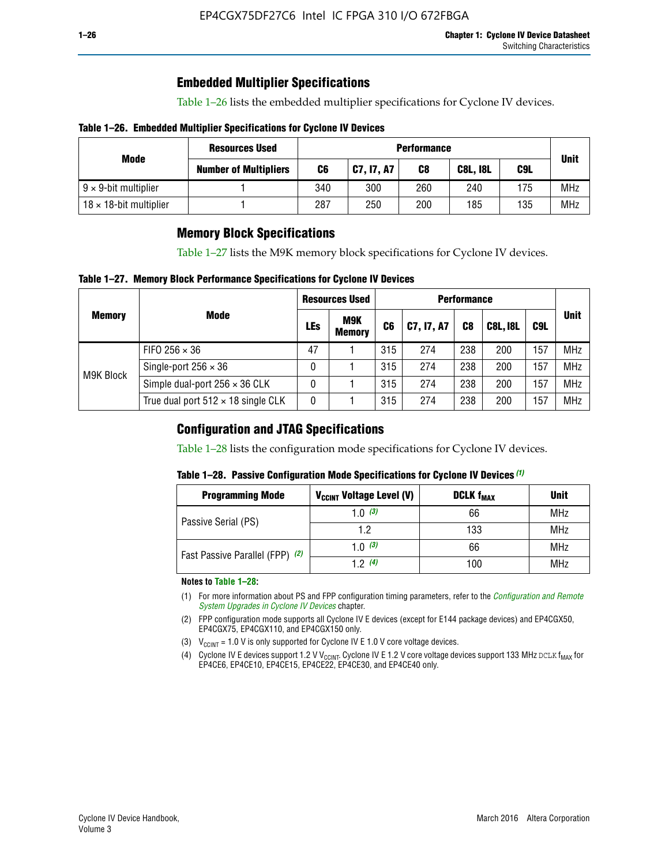# **Embedded Multiplier Specifications**

Table 1–26 lists the embedded multiplier specifications for Cyclone IV devices.

### **Table 1–26. Embedded Multiplier Specifications for Cyclone IV Devices**

|                                | <b>Resources Used</b>        | <b>Performance</b> |            |     |                 |     |             |  |  |  |
|--------------------------------|------------------------------|--------------------|------------|-----|-----------------|-----|-------------|--|--|--|
| Mode                           | <b>Number of Multipliers</b> | C6                 | C7, I7, A7 | C8  | <b>C8L, I8L</b> | C9L | <b>Unit</b> |  |  |  |
| $9 \times 9$ -bit multiplier   |                              | 340                | 300        | 260 | 240             | 175 | <b>MHz</b>  |  |  |  |
| $18 \times 18$ -bit multiplier |                              | 287                | 250        | 200 | 185             | 135 | <b>MHz</b>  |  |  |  |

# **Memory Block Specifications**

Table 1–27 lists the M9K memory block specifications for Cyclone IV devices.

### **Table 1–27. Memory Block Performance Specifications for Cyclone IV Devices**

|               |                                           |     | <b>Resources Used</b>       |                |            |                |                 |     |             |
|---------------|-------------------------------------------|-----|-----------------------------|----------------|------------|----------------|-----------------|-----|-------------|
| <b>Memory</b> | <b>Mode</b>                               | LEs | <b>M9K</b><br><b>Memory</b> | C <sub>6</sub> | C7, I7, A7 | C <sub>8</sub> | <b>C8L, I8L</b> | C9L | <b>Unit</b> |
| M9K Block     | FIFO 256 $\times$ 36                      | 47  |                             | 315            | 274        | 238            | 200             | 157 | <b>MHz</b>  |
|               | Single-port $256 \times 36$               | 0   |                             | 315            | 274        | 238            | 200             | 157 | <b>MHz</b>  |
|               | Simple dual-port $256 \times 36$ CLK      | 0   |                             | 315            | 274        | 238            | 200             | 157 | <b>MHz</b>  |
|               | True dual port $512 \times 18$ single CLK | 0   |                             | 315            | 274        | 238            | 200             | 157 | <b>MHz</b>  |

# **Configuration and JTAG Specifications**

Table 1–28 lists the configuration mode specifications for Cyclone IV devices.

### **Table 1–28. Passive Configuration Mode Specifications for Cyclone IV Devices** *(1)*

| <b>Programming Mode</b>         | V <sub>CCINT</sub> Voltage Level (V) | <b>DCLK f<sub>MAX</sub></b> | <b>Unit</b> |
|---------------------------------|--------------------------------------|-----------------------------|-------------|
| Passive Serial (PS)             | 1.0 $(3)$                            | 66                          | MHz         |
|                                 | 1.2                                  | 133                         | MHz         |
| Fast Passive Parallel (FPP) (2) | 1.0 $(3)$                            | 66                          | <b>MHz</b>  |
|                                 | 12(4)                                | 100                         | <b>MHz</b>  |

#### **Notes to Table 1–28:**

- (1) For more information about PS and FPP configuration timing parameters, refer to the *[Configuration and Remote](http://www.altera.com/literature/hb/cyclone-iv/cyiv-51008.pdf)  [System Upgrades in Cyclone IV Devices](http://www.altera.com/literature/hb/cyclone-iv/cyiv-51008.pdf)* chapter.
- (2) FPP configuration mode supports all Cyclone IV E devices (except for E144 package devices) and EP4CGX50, EP4CGX75, EP4CGX110, and EP4CGX150 only.
- (3)  $V_{CCMT}$  = 1.0 V is only supported for Cyclone IV E 1.0 V core voltage devices.
- (4) Cyclone IV E devices support 1.2 V V<sub>CCINT</sub>. Cyclone IV E 1.2 V core voltage devices support 133 MHz DCLK f<sub>MAX</sub> for EP4CE6, EP4CE10, EP4CE15, EP4CE22, EP4CE30, and EP4CE40 only.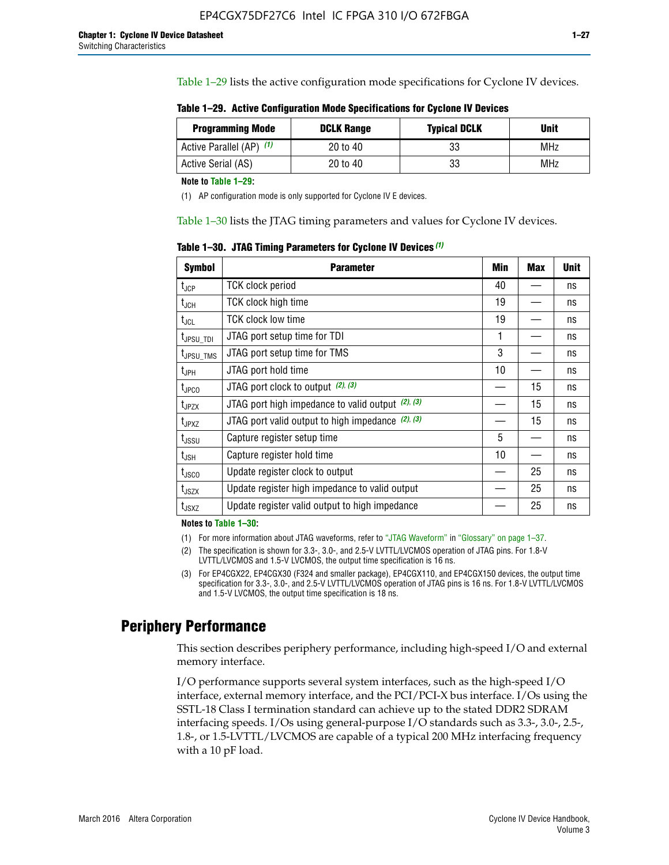Table 1–29 lists the active configuration mode specifications for Cyclone IV devices.

**Table 1–29. Active Configuration Mode Specifications for Cyclone IV Devices**

| <b>Programming Mode</b>  | <b>DCLK Range</b> | <b>Typical DCLK</b> | Unit |
|--------------------------|-------------------|---------------------|------|
| Active Parallel (AP) (1) | 20 to 40          | 33                  | MHz  |
| Active Serial (AS)       | 20 to 40          | 33                  | MHz  |

**Note to Table 1–29:**

(1) AP configuration mode is only supported for Cyclone IV E devices.

Table 1–30 lists the JTAG timing parameters and values for Cyclone IV devices.

**Table 1–30. JTAG Timing Parameters for Cyclone IV Devices** *(1)*

| Symbol                       | <b>Parameter</b>                                       | <b>Min</b> | <b>Max</b> | <b>Unit</b> |
|------------------------------|--------------------------------------------------------|------------|------------|-------------|
| t <sub>JCP</sub>             | <b>TCK clock period</b>                                | 40         |            | ns          |
| t <sub>JCH</sub>             | <b>TCK clock high time</b>                             | 19         |            | ns          |
| $t_{JCL}$                    | TCK clock low time                                     | 19         |            | ns          |
| t <sub>JPSU_TDI</sub>        | JTAG port setup time for TDI                           | 1          |            | ns          |
| t <sub>JPSU_TMS</sub>        | JTAG port setup time for TMS                           | 3          |            | ns          |
| t <sub>JPH</sub>             | JTAG port hold time                                    | 10         |            | ns          |
| t <sub>JPCO</sub>            | JTAG port clock to output $(2)$ , $(3)$                |            | 15         | ns          |
| t <sub>JPZX</sub>            | JTAG port high impedance to valid output $(2)$ , $(3)$ |            | 15         | ns          |
| t <sub>JPXZ</sub>            | JTAG port valid output to high impedance $(2)$ , $(3)$ |            | 15         | ns          |
| ${\rm t}_{\rm JSSU}$         | Capture register setup time                            | 5          |            | ns          |
| $\mathsf{t}_{\mathsf{JSH}}$  | Capture register hold time                             | 10         |            | ns          |
| $t_{\rm JSCO}$               | Update register clock to output                        |            | 25         | ns          |
| $t_{\footnotesize \rm JSZX}$ | Update register high impedance to valid output         |            | 25         | ns          |
| t <sub>JSXZ</sub>            | Update register valid output to high impedance         |            | 25         | ns          |

**Notes to Table 1–30:**

(1) For more information about JTAG waveforms, refer to "JTAG Waveform" in "Glossary" on page 1–37.

(2) The specification is shown for 3.3-, 3.0-, and 2.5-V LVTTL/LVCMOS operation of JTAG pins. For 1.8-V LVTTL/LVCMOS and 1.5-V LVCMOS, the output time specification is 16 ns.

(3) For EP4CGX22, EP4CGX30 (F324 and smaller package), EP4CGX110, and EP4CGX150 devices, the output time specification for 3.3-, 3.0-, and 2.5-V LVTTL/LVCMOS operation of JTAG pins is 16 ns. For 1.8-V LVTTL/LVCMOS and 1.5-V LVCMOS, the output time specification is 18 ns.

# **Periphery Performance**

This section describes periphery performance, including high-speed I/O and external memory interface.

I/O performance supports several system interfaces, such as the high-speed I/O interface, external memory interface, and the PCI/PCI-X bus interface. I/Os using the SSTL-18 Class I termination standard can achieve up to the stated DDR2 SDRAM interfacing speeds. I/Os using general-purpose I/O standards such as 3.3-, 3.0-, 2.5-, 1.8-, or 1.5-LVTTL/LVCMOS are capable of a typical 200 MHz interfacing frequency with a 10 pF load.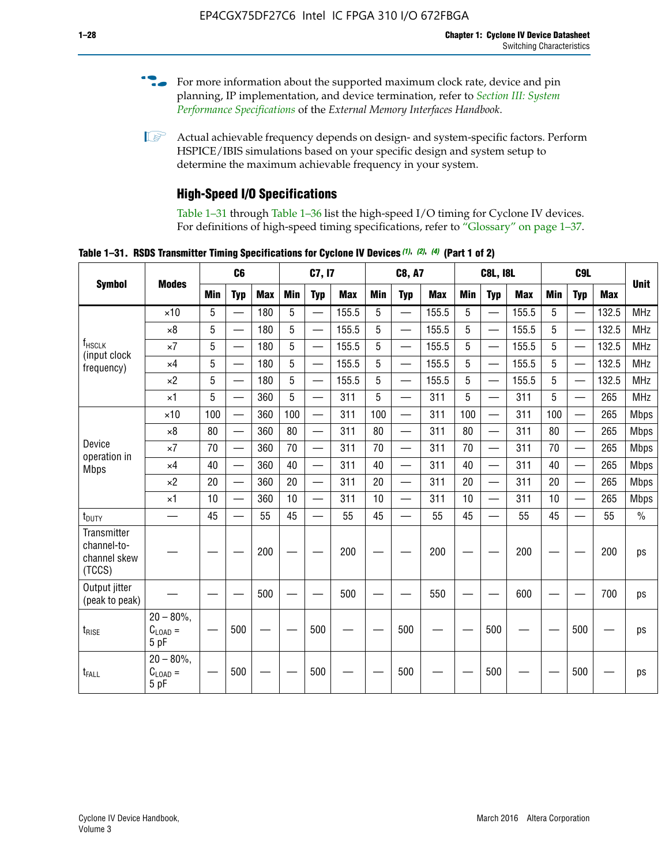- For more information about the supported maximum clock rate, device and pin planning, IP implementation, and device termination, refer to *[Section III: System](http://www.altera.com/literature/hb/external-memory/emi_intro_specs.pdf)  [Performance Specifications](http://www.altera.com/literature/hb/external-memory/emi_intro_specs.pdf)* of the *External Memory Interfaces Handbook*.
- **1 Actual achievable frequency depends on design- and system-specific factors. Perform** HSPICE/IBIS simulations based on your specific design and system setup to determine the maximum achievable frequency in your system.

# **High-Speed I/O Specifications**

Table 1–31 through Table 1–36 list the high-speed I/O timing for Cyclone IV devices. For definitions of high-speed timing specifications, refer to "Glossary" on page 1–37.

**Table 1–31. RSDS Transmitter Timing Specifications for Cyclone IV Devices** *(1)***,** *(2)***,** *(4)* **(Part 1 of 2)**

|                                                      |                                     |                          | C <sub>6</sub>           |            | C7, I7     |                          |            | <b>C8, A7</b>            |                          |            | <b>C8L, I8L</b>          |                          | C <sub>9</sub> L |     |                          |             |             |
|------------------------------------------------------|-------------------------------------|--------------------------|--------------------------|------------|------------|--------------------------|------------|--------------------------|--------------------------|------------|--------------------------|--------------------------|------------------|-----|--------------------------|-------------|-------------|
| <b>Symbol</b>                                        | <b>Modes</b>                        | <b>Min</b>               | <b>Typ</b>               | <b>Max</b> | <b>Min</b> | <b>Typ</b>               | <b>Max</b> | <b>Min</b>               | <b>Typ</b>               | <b>Max</b> | <b>Min</b>               | <b>Typ</b>               | <b>Max</b>       | Min | <b>Typ</b>               | <b>Max</b>  | <b>Unit</b> |
|                                                      | $\times$ 10                         | 5                        |                          | 180        | 5          | $\overline{\phantom{0}}$ | 155.5      | 5                        | $\overline{\phantom{0}}$ | 155.5      | 5                        | $\overline{\phantom{0}}$ | 155.5            | 5   |                          | 132.5       | <b>MHz</b>  |
|                                                      | $\times 8$                          | 5                        |                          | 180        | 5          |                          | 155.5      | 5                        | $\overline{\phantom{0}}$ | 155.5      | 5                        |                          | 155.5            | 5   |                          | 132.5       | <b>MHz</b>  |
| f <sub>HSCLK</sub><br>(input clock                   | $\times 7$                          | 5                        |                          | 180        | 5          |                          | 155.5      | 5                        | $\overline{\phantom{0}}$ | 155.5      | 5                        |                          | 155.5            | 5   |                          | 132.5       | <b>MHz</b>  |
| frequency)                                           | $\times$ 4                          | 5                        | $\overline{\phantom{0}}$ | 180        | 5          |                          | 155.5      | 5                        | $\overline{\phantom{0}}$ | 155.5      | 5                        |                          | 155.5            | 5   |                          | 132.5       | <b>MHz</b>  |
|                                                      | $\times 2$                          | 5                        | $\overline{\phantom{m}}$ | 180        | 5          | —                        | 155.5      | 5                        | $\overline{\phantom{0}}$ | 155.5      | 5                        | —                        | 155.5            | 5   | —                        | 132.5       | <b>MHz</b>  |
|                                                      | $\times$ 1                          | 5                        |                          | 360        | 5          | $\overline{\phantom{0}}$ | 311        | 5                        | $\qquad \qquad$          | 311        | 5                        | —                        | 311              | 5   | —                        | 265         | <b>MHz</b>  |
| $\times$ 10                                          | 100                                 | $\overline{\phantom{0}}$ | 360                      | 100        |            | 311                      | 100        | $\overline{\phantom{0}}$ | 311                      | 100        | $\overline{\phantom{0}}$ | 311                      | 100              |     | 265                      | <b>Mbps</b> |             |
|                                                      | $\times 8$                          | 80                       | $\overline{\phantom{0}}$ | 360        | 80         |                          | 311        | 80                       | $\overline{\phantom{0}}$ | 311        | 80                       | $\overline{\phantom{0}}$ | 311              | 80  |                          | 265         | <b>Mbps</b> |
| Device<br>operation in                               | $\times 7$                          | 70                       |                          | 360        | 70         | $\equiv$                 | 311        | 70                       | $\overline{\phantom{0}}$ | 311        | 70                       | $\overline{\phantom{0}}$ | 311              | 70  | $\equiv$                 | 265         | <b>Mbps</b> |
| <b>Mbps</b>                                          | $\times$ 4                          | 40                       |                          | 360        | 40         |                          | 311        | 40                       | $\overline{\phantom{0}}$ | 311        | 40                       | $\overline{\phantom{0}}$ | 311              | 40  | $\overline{\phantom{0}}$ | 265         | <b>Mbps</b> |
|                                                      | $\times 2$                          | 20                       |                          | 360        | 20         |                          | 311        | 20                       |                          | 311        | 20                       |                          | 311              | 20  | $\overline{\phantom{0}}$ | 265         | <b>Mbps</b> |
|                                                      | $\times$ 1                          | 10                       |                          | 360        | 10         |                          | 311        | 10                       | $\overline{\phantom{0}}$ | 311        | 10                       | $\overline{\phantom{0}}$ | 311              | 10  | $\overline{\phantom{0}}$ | 265         | <b>Mbps</b> |
| $t_{\text{DUTY}}$                                    | $\overline{\phantom{0}}$            | 45                       | $\overline{\phantom{0}}$ | 55         | 45         |                          | 55         | 45                       | $\overline{\phantom{0}}$ | 55         | 45                       |                          | 55               | 45  |                          | 55          | $\%$        |
| Transmitter<br>channel-to-<br>channel skew<br>(TCCS) |                                     |                          |                          | 200        |            |                          | 200        |                          |                          | 200        |                          |                          | 200              |     |                          | 200         | ps          |
| Output jitter<br>(peak to peak)                      |                                     |                          |                          | 500        |            |                          | 500        |                          |                          | 550        |                          |                          | 600              |     |                          | 700         | ps          |
| $t_{\text{RISE}}$                                    | $20 - 80\%$<br>$C_{LOAD} =$<br>5 pF |                          | 500                      |            |            | 500                      |            |                          | 500                      |            |                          | 500                      |                  |     | 500                      |             | ps          |
| t <sub>FALL</sub>                                    | $20 - 80\%$<br>$C_{LOAD} =$<br>5 pF |                          | 500                      |            |            | 500                      |            |                          | 500                      |            |                          | 500                      |                  |     | 500                      |             | ps          |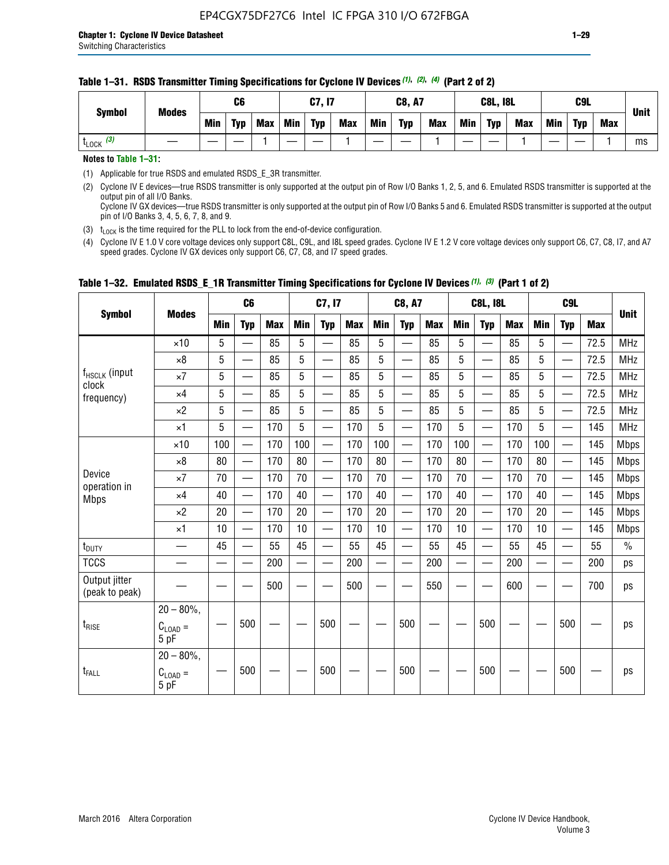#### **Table 1–31. RSDS Transmitter Timing Specifications for Cyclone IV Devices** *(1)***,** *(2)***,** *(4)* **(Part 2 of 2)**

**Notes to Table 1–31:**

(1) Applicable for true RSDS and emulated RSDS\_E\_3R transmitter.

(2) Cyclone IV E devices—true RSDS transmitter is only supported at the output pin of Row I/O Banks 1, 2, 5, and 6. Emulated RSDS transmitter is supported at the output pin of all I/O Banks. Cyclone IV GX devices—true RSDS transmitter is only supported at the output pin of Row I/O Banks 5 and 6. Emulated RSDS transmitter is supported at the output

pin of I/O Banks 3, 4, 5, 6, 7, 8, and 9.

(3)  $t_{\text{LOCK}}$  is the time required for the PLL to lock from the end-of-device configuration.

(4) Cyclone IV E 1.0 V core voltage devices only support C8L, C9L, and I8L speed grades. Cyclone IV E 1.2 V core voltage devices only support C6, C7, C8, I7, and A7 speed grades. Cyclone IV GX devices only support C6, C7, C8, and I7 speed grades.

| <b>Symbol</b>                   |                                              |     | C <sub>6</sub>           |     |     | C7, I7                   |            |            | <b>C8, A7</b>            |            |            | <b>C8L, I8L</b>          |            |     | C <sub>9</sub> L         |            |               |
|---------------------------------|----------------------------------------------|-----|--------------------------|-----|-----|--------------------------|------------|------------|--------------------------|------------|------------|--------------------------|------------|-----|--------------------------|------------|---------------|
|                                 | <b>Modes</b>                                 | Min | <b>Typ</b>               | Max | Min | <b>Typ</b>               | <b>Max</b> | <b>Min</b> | <b>Typ</b>               | <b>Max</b> | <b>Min</b> | <b>Typ</b>               | <b>Max</b> | Min | <b>Typ</b>               | <b>Max</b> | <b>Unit</b>   |
|                                 | $\times$ 10                                  | 5   |                          | 85  | 5   |                          | 85         | 5          |                          | 85         | 5          |                          | 85         | 5   |                          | 72.5       | <b>MHz</b>    |
|                                 | $\times 8$                                   | 5   | —                        | 85  | 5   | —<br>—                   | 85         | 5          | $\qquad \qquad$          | 85         | 5          | —                        | 85         | 5   | —                        | 72.5       | <b>MHz</b>    |
| f <sub>HSCLK</sub> (input       | $\times 7$                                   | 5   | —                        | 85  | 5   |                          | 85         | 5          | $\overline{\phantom{0}}$ | 85         | 5          | —                        | 85         | 5   | —<br>—                   | 72.5       | <b>MHz</b>    |
| clock<br>frequency)             | $\times$ 4                                   | 5   | $\overline{\phantom{0}}$ | 85  | 5   | $\sim$                   | 85         | 5          | $\overline{\phantom{0}}$ | 85         | 5          | $\overline{\phantom{0}}$ | 85         | 5   | $\overline{\phantom{0}}$ | 72.5       | <b>MHz</b>    |
|                                 | $\times 2$                                   | 5   | —                        | 85  | 5   | —                        | 85         | 5          |                          | 85         | 5          | —                        | 85         | 5   | $\hspace{0.05cm}$        | 72.5       | <b>MHz</b>    |
|                                 | $\times$ 1                                   | 5   | $\overline{\phantom{0}}$ | 170 | 5   | $\overline{\phantom{0}}$ | 170        | 5          | $\overline{\phantom{0}}$ | 170        | 5          | $\overline{\phantom{0}}$ | 170        | 5   |                          | 145        | <b>MHz</b>    |
|                                 | $\times$ 10                                  | 100 | $\equiv$                 | 170 | 100 | $\overline{\phantom{0}}$ | 170        | 100        | $\overline{\phantom{0}}$ | 170        | 100        | $\overline{\phantom{0}}$ | 170        | 100 |                          | 145        | <b>Mbps</b>   |
|                                 | $\times 8$                                   | 80  | $\qquad \qquad$          | 170 | 80  | —                        | 170        | 80         | —                        | 170        | 80         | $\overline{\phantom{0}}$ | 170        | 80  |                          | 145        | <b>Mbps</b>   |
| Device                          | $\times 7$                                   | 70  | $\overline{\phantom{0}}$ | 170 | 70  | $\overline{\phantom{0}}$ | 170        | 70         | $\overline{\phantom{0}}$ | 170        | 70         | $\overline{\phantom{0}}$ | 170        | 70  |                          | 145        | <b>Mbps</b>   |
| operation in<br><b>Mbps</b>     | $\times$ 4                                   | 40  | $\qquad \qquad$          | 170 | 40  | —                        | 170        | 40         | $\overline{\phantom{0}}$ | 170        | 40         | $\overline{\phantom{0}}$ | 170        | 40  | —                        | 145        | <b>Mbps</b>   |
|                                 | $\times 2$                                   | 20  | $\overline{\phantom{0}}$ | 170 | 20  | $\overline{\phantom{0}}$ | 170        | 20         | $\overline{\phantom{0}}$ | 170        | 20         |                          | 170        | 20  | $\overline{\phantom{0}}$ | 145        | <b>Mbps</b>   |
|                                 | $\times$ 1                                   | 10  | $\overline{\phantom{0}}$ | 170 | 10  | $\overline{\phantom{0}}$ | 170        | 10         | $\overline{\phantom{0}}$ | 170        | 10         | $\overline{\phantom{0}}$ | 170        | 10  |                          | 145        | <b>Mbps</b>   |
| t <sub>DUTY</sub>               | $\overline{\phantom{0}}$                     | 45  | $\equiv$                 | 55  | 45  | $\sim$                   | 55         | 45         | $\overline{\phantom{0}}$ | 55         | 45         | $\overline{\phantom{0}}$ | 55         | 45  |                          | 55         | $\frac{0}{0}$ |
| <b>TCCS</b>                     |                                              |     |                          | 200 |     |                          | 200        | $\sim$     |                          | 200        |            | <u>—</u>                 | 200        |     |                          | 200        | ps            |
| Output jitter<br>(peak to peak) |                                              |     |                          | 500 |     |                          | 500        |            |                          | 550        |            |                          | 600        |     |                          | 700        | ps            |
| $t_{\text{RISE}}$               | $20 - 80\%$ ,<br>$C_{LOAD} =$<br>5 pF        |     | 500                      |     |     | 500                      |            |            | 500                      |            |            | 500                      |            |     | 500                      |            | ps            |
| t <sub>FALL</sub>               | $20 - 80\%$ ,<br>$C_{\text{LOAD}} =$<br>5 pF |     | 500                      |     |     | 500                      |            |            | 500                      |            |            | 500                      |            |     | 500                      |            | ps            |

### **Table 1–32. Emulated RSDS\_E\_1R Transmitter Timing Specifications for Cyclone IV Devices** *(1), (3)* **(Part 1 of 2)**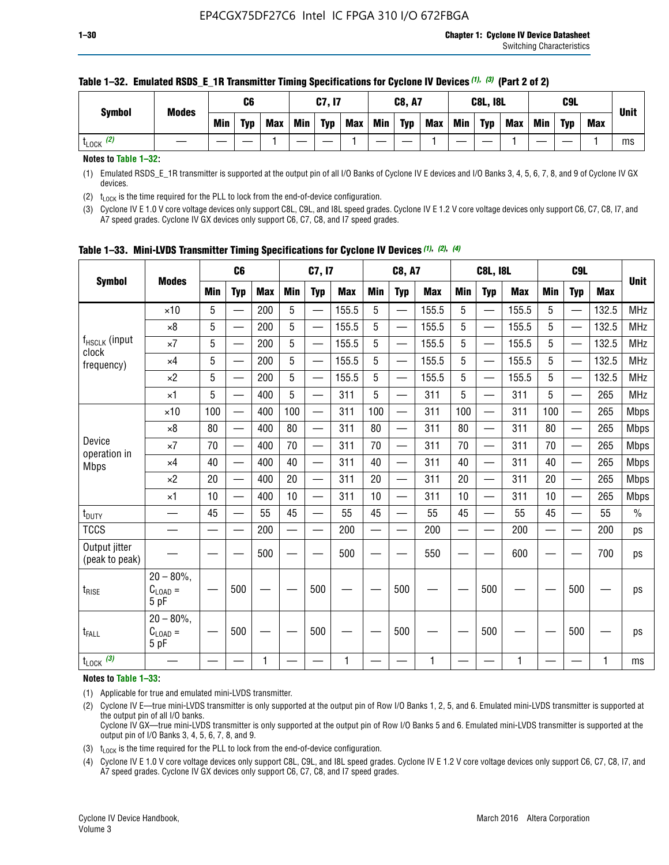| <b>Symbol</b>        | <b>Modes</b> |     | C6         |            |            | C7, I7     |            |            | <b>C8, A7</b> |            |            | <b>C8L, I8L</b> |            |     | C9L        |            |             |
|----------------------|--------------|-----|------------|------------|------------|------------|------------|------------|---------------|------------|------------|-----------------|------------|-----|------------|------------|-------------|
|                      |              | Min | <b>Typ</b> | <b>Max</b> | <b>Min</b> | <b>Typ</b> | <b>Max</b> | <b>Min</b> | <b>Typ</b>    | <b>Max</b> | <b>Min</b> | <b>Typ</b>      | <b>Max</b> | Min | <b>Typ</b> | <b>Max</b> | <b>Unit</b> |
| (2)<br><b>L</b> LOCK |              |     |            |            |            |            |            |            |               |            |            |                 |            |     |            |            | ms          |

#### **Table 1–32. Emulated RSDS\_E\_1R Transmitter Timing Specifications for Cyclone IV Devices** *(1), (3)* **(Part 2 of 2)**

**Notes to Table 1–32:**

(1) Emulated RSDS\_E\_1R transmitter is supported at the output pin of all I/O Banks of Cyclone IV E devices and I/O Banks 3, 4, 5, 6, 7, 8, and 9 of Cyclone IV GX devices.

(2)  $t_{\text{LOCK}}$  is the time required for the PLL to lock from the end-of-device configuration.

(3) Cyclone IV E 1.0 V core voltage devices only support C8L, C9L, and I8L speed grades. Cyclone IV E 1.2 V core voltage devices only support C6, C7, C8, I7, and A7 speed grades. Cyclone IV GX devices only support C6, C7, C8, and I7 speed grades.

| <b>Symbol</b><br><b>Modes</b>      |                                              |     | C <sub>6</sub>           |            |            | C7, I7                   |            |            | <b>C8, A7</b>            |            |                          | <b>C8L, I8L</b>          |            |            | C <sub>9L</sub>          |            | <b>Unit</b>   |
|------------------------------------|----------------------------------------------|-----|--------------------------|------------|------------|--------------------------|------------|------------|--------------------------|------------|--------------------------|--------------------------|------------|------------|--------------------------|------------|---------------|
|                                    |                                              | Min | <b>Typ</b>               | <b>Max</b> | <b>Min</b> | <b>Typ</b>               | <b>Max</b> | <b>Min</b> | <b>Typ</b>               | <b>Max</b> | <b>Min</b>               | <b>Typ</b>               | <b>Max</b> | <b>Min</b> | <b>Typ</b>               | <b>Max</b> |               |
|                                    | $\times$ 10                                  | 5   | $\overline{\phantom{0}}$ | 200        | 5          | —                        | 155.5      | 5          | $\overline{\phantom{0}}$ | 155.5      | 5                        | —                        | 155.5      | 5          | $\overline{\phantom{0}}$ | 132.5      | <b>MHz</b>    |
|                                    | $\times 8$                                   | 5   |                          | 200        | 5          | —                        | 155.5      | 5          | —                        | 155.5      | 5                        | —                        | 155.5      | 5          |                          | 132.5      | <b>MHz</b>    |
| f <sub>HSCLK</sub> (input<br>clock | $\times 7$                                   | 5   |                          | 200        | 5          | —                        | 155.5      | 5          | —                        | 155.5      | 5                        | $\overline{\phantom{0}}$ | 155.5      | 5          |                          | 132.5      | <b>MHz</b>    |
| frequency)                         | $\times$ 4                                   | 5   |                          | 200        | 5          | $\overline{\phantom{0}}$ | 155.5      | 5          | $\overline{\phantom{0}}$ | 155.5      | 5                        | $\overline{\phantom{0}}$ | 155.5      | 5          | $\overline{\phantom{0}}$ | 132.5      | <b>MHz</b>    |
|                                    | $\times 2$                                   | 5   | $\overline{\phantom{0}}$ | 200        | 5          | —                        | 155.5      | 5          | $\overline{\phantom{0}}$ | 155.5      | 5                        | $\overline{\phantom{0}}$ | 155.5      | 5          |                          | 132.5      | <b>MHz</b>    |
|                                    | $\times$ 1                                   | 5   |                          | 400        | 5          |                          | 311        | 5          | $\overline{\phantom{0}}$ | 311        | 5                        | —                        | 311        | 5          |                          | 265        | <b>MHz</b>    |
|                                    | $\times$ 10                                  | 100 |                          | 400        | 100        | $\overline{\phantom{0}}$ | 311        | 100        | $\overline{\phantom{0}}$ | 311        | 100                      | $\overline{\phantom{0}}$ | 311        | 100        |                          | 265        | <b>Mbps</b>   |
|                                    | $\times 8$                                   | 80  |                          | 400        | 80         | $\equiv$                 | 311        | 80         | $\overline{\phantom{0}}$ | 311        | 80                       | $\overline{\phantom{0}}$ | 311        | 80         |                          | 265        | <b>Mbps</b>   |
| Device                             | $\times 7$                                   | 70  |                          | 400        | 70         | $\overline{\phantom{0}}$ | 311        | 70         | $\overline{\phantom{0}}$ | 311        | 70                       | $\equiv$                 | 311        | 70         |                          | 265        | <b>Mbps</b>   |
| operation in<br><b>Mbps</b>        | $\times$ 4                                   | 40  |                          | 400        | 40         |                          | 311        | 40         | $\overline{\phantom{0}}$ | 311        | 40                       | —                        | 311        | 40         |                          | 265        | <b>Mbps</b>   |
|                                    | $\times 2$                                   | 20  | $\overline{\phantom{0}}$ | 400        | 20         | —                        | 311        | 20         | $\overline{\phantom{0}}$ | 311        | 20                       | $\overline{\phantom{0}}$ | 311        | 20         |                          | 265        | <b>Mbps</b>   |
|                                    | $\times$ 1                                   | 10  |                          | 400        | 10         |                          | 311        | 10         | $\overline{\phantom{0}}$ | 311        | 10                       | $\overline{\phantom{0}}$ | 311        | 10         |                          | 265        | <b>Mbps</b>   |
| $t_{\text{DUTY}}$                  | $\overline{\phantom{0}}$                     | 45  |                          | 55         | 45         | $\overline{\phantom{0}}$ | 55         | 45         | $\overline{\phantom{0}}$ | 55         | 45                       | $\equiv$                 | 55         | 45         | $\overline{\phantom{0}}$ | 55         | $\frac{0}{0}$ |
| <b>TCCS</b>                        |                                              |     |                          | 200        | $\equiv$   |                          | 200        |            | $\overline{\phantom{0}}$ | 200        | $\overline{\phantom{0}}$ |                          | 200        |            |                          | 200        | ps            |
| Output jitter<br>(peak to peak)    |                                              |     |                          | 500        |            |                          | 500        |            |                          | 550        |                          |                          | 600        |            |                          | 700        | ps            |
| $t_{\text{RISE}}$                  | $20 - 80\%$ ,<br>$C_{\text{LOAD}} =$<br>5 pF |     | 500                      |            |            | 500                      |            |            | 500                      |            |                          | 500                      |            |            | 500                      |            | ps            |
| t <sub>FALL</sub>                  | $20 - 80\%$<br>$C_{\text{LOAD}} =$<br>5 pF   |     | 500                      |            |            | 500                      |            |            | 500                      |            |                          | 500                      |            |            | 500                      |            | ps            |
| $t_{\text{LOCK}}$ (3)              |                                              |     |                          | 1          |            |                          | 1          |            |                          | 1          |                          |                          | 1          |            |                          |            | ms            |

**Table 1–33. Mini-LVDS Transmitter Timing Specifications for Cyclone IV Devices** *(1)***,** *(2)***,** *(4)*

**Notes to Table 1–33:**

(1) Applicable for true and emulated mini-LVDS transmitter.

(2) Cyclone IV E—true mini-LVDS transmitter is only supported at the output pin of Row I/O Banks 1, 2, 5, and 6. Emulated mini-LVDS transmitter is supported at the output pin of all I/O banks.

Cyclone IV GX—true mini-LVDS transmitter is only supported at the output pin of Row I/O Banks 5 and 6. Emulated mini-LVDS transmitter is supported at the output pin of I/O Banks 3, 4, 5, 6, 7, 8, and 9.

(3)  $t_{\text{LOCK}}$  is the time required for the PLL to lock from the end-of-device configuration.

(4) Cyclone IV E 1.0 V core voltage devices only support C8L, C9L, and I8L speed grades. Cyclone IV E 1.2 V core voltage devices only support C6, C7, C8, I7, and A7 speed grades. Cyclone IV GX devices only support C6, C7, C8, and I7 speed grades.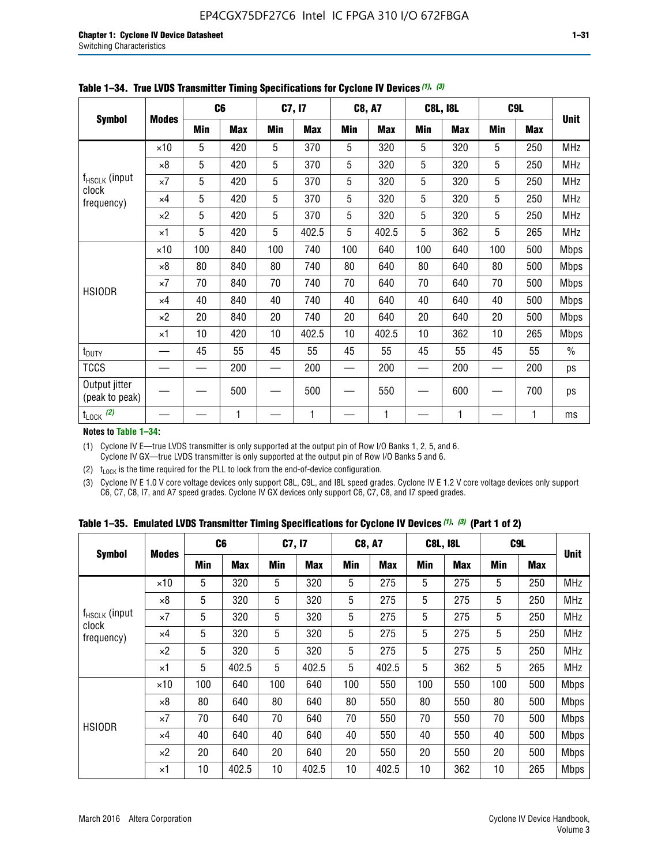|                                 |              |     | C <sub>6</sub> |     | C7, I7     |            | <b>C8, A7</b> |     | <b>C8L, I8L</b> |            | C9L        |               |
|---------------------------------|--------------|-----|----------------|-----|------------|------------|---------------|-----|-----------------|------------|------------|---------------|
| <b>Symbol</b>                   | <b>Modes</b> | Min | <b>Max</b>     | Min | <b>Max</b> | <b>Min</b> | <b>Max</b>    | Min | <b>Max</b>      | <b>Min</b> | <b>Max</b> | <b>Unit</b>   |
|                                 | $\times$ 10  | 5   | 420            | 5   | 370        | 5          | 320           | 5   | 320             | 5          | 250        | <b>MHz</b>    |
|                                 | $\times 8$   | 5   | 420            | 5   | 370        | 5          | 320           | 5   | 320             | 5          | 250        | <b>MHz</b>    |
| f <sub>HSCLK</sub> (input       | $\times 7$   | 5   | 420            | 5   | 370        | 5          | 320           | 5   | 320             | 5          | 250        | <b>MHz</b>    |
| clock<br>frequency)             | $\times$ 4   | 5   | 420            | 5   | 370        | 5          | 320           | 5   | 320             | 5          | 250        | <b>MHz</b>    |
|                                 | $\times 2$   | 5   | 420            | 5   | 370        | 5          | 320           | 5   | 320             | 5          | 250        | <b>MHz</b>    |
|                                 | $\times$ 1   | 5   | 420            | 5   | 402.5      | 5          | 402.5         | 5   | 362             | 5          | 265        | <b>MHz</b>    |
|                                 | $\times$ 10  | 100 | 840            | 100 | 740        | 100        | 640           | 100 | 640             | 100        | 500        | <b>Mbps</b>   |
|                                 | $\times 8$   | 80  | 840            | 80  | 740        | 80         | 640           | 80  | 640             | 80         | 500        | <b>Mbps</b>   |
| <b>HSIODR</b>                   | $\times 7$   | 70  | 840            | 70  | 740        | 70         | 640           | 70  | 640             | 70         | 500        | <b>Mbps</b>   |
|                                 | $\times$ 4   | 40  | 840            | 40  | 740        | 40         | 640           | 40  | 640             | 40         | 500        | <b>Mbps</b>   |
|                                 | $\times 2$   | 20  | 840            | 20  | 740        | 20         | 640           | 20  | 640             | 20         | 500        | <b>Mbps</b>   |
|                                 | $\times$ 1   | 10  | 420            | 10  | 402.5      | 10         | 402.5         | 10  | 362             | 10         | 265        | <b>Mbps</b>   |
| t <sub>DUTY</sub>               |              | 45  | 55             | 45  | 55         | 45         | 55            | 45  | 55              | 45         | 55         | $\frac{0}{0}$ |
| <b>TCCS</b>                     |              |     | 200            |     | 200        |            | 200           |     | 200             |            | 200        | ps            |
| Output jitter<br>(peak to peak) |              |     | 500            |     | 500        |            | 550           |     | 600             |            | 700        | ps            |
| $t_{\text{LOCK}}$ (2)           |              |     | 1              |     | 1          |            | 1             |     | 1               |            | 1          | ms            |

**Table 1–34. True LVDS Transmitter Timing Specifications for Cyclone IV Devices** *(1)***,** *(3)*

**Notes to Table 1–34:**

(1) Cyclone IV E—true LVDS transmitter is only supported at the output pin of Row I/O Banks 1, 2, 5, and 6. Cyclone IV GX—true LVDS transmitter is only supported at the output pin of Row I/O Banks 5 and 6.

(2)  $t_{\text{LOCK}}$  is the time required for the PLL to lock from the end-of-device configuration.

(3) Cyclone IV E 1.0 V core voltage devices only support C8L, C9L, and I8L speed grades. Cyclone IV E 1.2 V core voltage devices only support C6, C7, C8, I7, and A7 speed grades. Cyclone IV GX devices only support C6, C7, C8, and I7 speed grades.

|  |  |  |  |  |  | Table 1–35. Emulated LVDS Transmitter Timing Specifications for Cyclone IV Devices <sup>(1),</sup> <sup>(3)</sup> (Part 1 of 2) |  |  |
|--|--|--|--|--|--|---------------------------------------------------------------------------------------------------------------------------------|--|--|
|--|--|--|--|--|--|---------------------------------------------------------------------------------------------------------------------------------|--|--|

| <b>Symbol</b>                      |              | C <sub>6</sub> |            | C7, I7     |            | <b>C8, A7</b> |            | <b>C8L, I8L</b> |            | C <sub>9</sub> L |            |             |
|------------------------------------|--------------|----------------|------------|------------|------------|---------------|------------|-----------------|------------|------------------|------------|-------------|
|                                    | <b>Modes</b> | Min            | <b>Max</b> | <b>Min</b> | <b>Max</b> | <b>Min</b>    | <b>Max</b> | Min             | <b>Max</b> | <b>Min</b>       | <b>Max</b> | <b>Unit</b> |
|                                    | $\times$ 10  | 5              | 320        | 5          | 320        | 5             | 275        | 5               | 275        | 5                | 250        | <b>MHz</b>  |
|                                    | $\times 8$   | 5              | 320        | 5          | 320        | 5             | 275        | 5               | 275        | 5                | 250        | <b>MHz</b>  |
| f <sub>HSCLK</sub> (input<br>clock | $\times 7$   | 5              | 320        | 5          | 320        | 5             | 275        | 5               | 275        | 5                | 250        | <b>MHz</b>  |
| frequency)                         | $\times$ 4   | 5              | 320        | 5          | 320        | 5             | 275        | 5               | 275        | 5                | 250        | <b>MHz</b>  |
|                                    | $\times 2$   | 5              | 320        | 5          | 320        | 5             | 275        | 5               | 275        | 5                | 250        | <b>MHz</b>  |
|                                    | ×1           | 5              | 402.5      | 5          | 402.5      | 5             | 402.5      | 5               | 362        | 5                | 265        | <b>MHz</b>  |
|                                    | $\times$ 10  | 100            | 640        | 100        | 640        | 100           | 550        | 100             | 550        | 100              | 500        | <b>Mbps</b> |
|                                    | $\times 8$   | 80             | 640        | 80         | 640        | 80            | 550        | 80              | 550        | 80               | 500        | <b>Mbps</b> |
|                                    | $\times 7$   | 70             | 640        | 70         | 640        | 70            | 550        | 70              | 550        | 70               | 500        | <b>Mbps</b> |
| <b>HSIODR</b>                      | $\times$ 4   | 40             | 640        | 40         | 640        | 40            | 550        | 40              | 550        | 40               | 500        | <b>Mbps</b> |
|                                    | $\times 2$   | 20             | 640        | 20         | 640        | 20            | 550        | 20              | 550        | 20               | 500        | <b>Mbps</b> |
|                                    | ×1           | 10             | 402.5      | 10         | 402.5      | 10            | 402.5      | 10              | 362        | 10               | 265        | <b>Mbps</b> |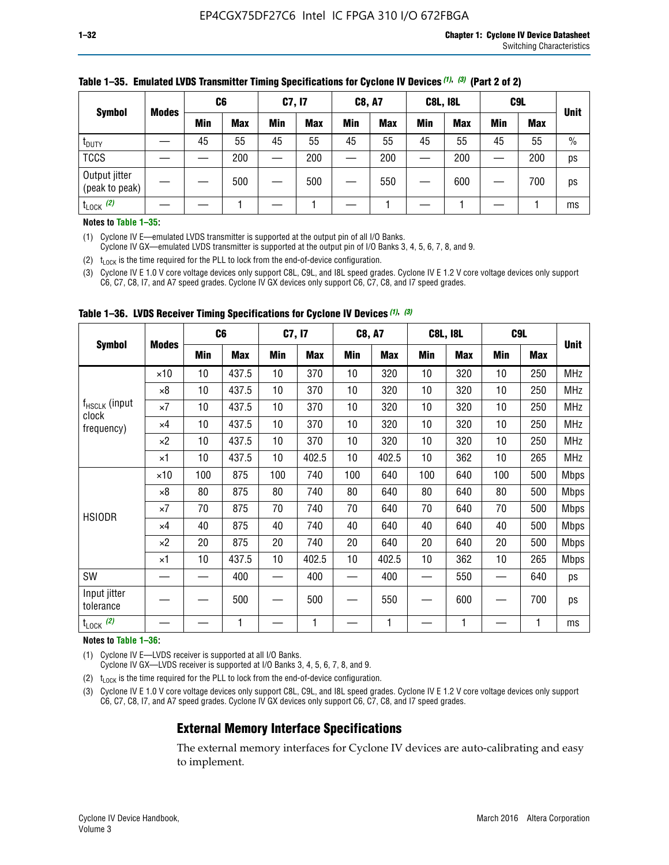| <b>Symbol</b>                   |              | C <sub>6</sub> |            | C7, I7     |            | <b>C8, A7</b> |            | <b>C8L, I8L</b> |            |     | C <sub>9</sub> L |               |
|---------------------------------|--------------|----------------|------------|------------|------------|---------------|------------|-----------------|------------|-----|------------------|---------------|
|                                 | <b>Modes</b> | Min            | <b>Max</b> | <b>Min</b> | <b>Max</b> | <b>Min</b>    | <b>Max</b> | Min             | <b>Max</b> | Min | <b>Max</b>       | <b>Unit</b>   |
| t <sub>DUTY</sub>               |              | 45             | 55         | 45         | 55         | 45            | 55         | 45              | 55         | 45  | 55               | $\frac{0}{0}$ |
| <b>TCCS</b>                     |              |                | 200        |            | 200        |               | 200        |                 | 200        | –   | 200              | ps            |
| Output jitter<br>(peak to peak) |              |                | 500        |            | 500        |               | 550        |                 | 600        | __  | 700              | ps            |
| $t_{\text{LOCK}}$ (2)           |              |                |            |            |            |               |            |                 |            |     |                  | ms            |

#### **Table 1–35. Emulated LVDS Transmitter Timing Specifications for Cyclone IV Devices** *(1)***,** *(3)* **(Part 2 of 2)**

#### **Notes to Table 1–35:**

(1) Cyclone IV E—emulated LVDS transmitter is supported at the output pin of all I/O Banks.

Cyclone IV GX—emulated LVDS transmitter is supported at the output pin of I/O Banks 3, 4, 5, 6, 7, 8, and 9.

(2)  $t_{\text{LOCK}}$  is the time required for the PLL to lock from the end-of-device configuration.

(3) Cyclone IV E 1.0 V core voltage devices only support C8L, C9L, and I8L speed grades. Cyclone IV E 1.2 V core voltage devices only support C6, C7, C8, I7, and A7 speed grades. Cyclone IV GX devices only support C6, C7, C8, and I7 speed grades.

|                                    | C <sub>6</sub><br><b>Modes</b> |            |            | C7, I7 |            | <b>C8, A7</b> |            |     | <b>C8L, I8L</b> | C <sub>9</sub> L         |     |             |
|------------------------------------|--------------------------------|------------|------------|--------|------------|---------------|------------|-----|-----------------|--------------------------|-----|-------------|
| <b>Symbol</b>                      |                                | <b>Min</b> | <b>Max</b> | Min    | <b>Max</b> | Min           | <b>Max</b> | Min | <b>Max</b>      | <b>Min</b>               | Max | <b>Unit</b> |
|                                    | $\times$ 10                    | 10         | 437.5      | 10     | 370        | 10            | 320        | 10  | 320             | 10                       | 250 | <b>MHz</b>  |
|                                    | ×8                             | 10         | 437.5      | 10     | 370        | 10            | 320        | 10  | 320             | 10                       | 250 | <b>MHz</b>  |
| f <sub>HSCLK</sub> (input<br>clock | $\times 7$                     | 10         | 437.5      | 10     | 370        | 10            | 320        | 10  | 320             | 10                       | 250 | <b>MHz</b>  |
| frequency)                         | $\times 4$                     | 10         | 437.5      | 10     | 370        | 10            | 320        | 10  | 320             | 10                       | 250 | <b>MHz</b>  |
|                                    | $\times 2$                     | 10         | 437.5      | 10     | 370        | 10            | 320        | 10  | 320             | 10                       | 250 | <b>MHz</b>  |
|                                    | ×1                             | 10         | 437.5      | 10     | 402.5      | 10            | 402.5      | 10  | 362             | 10                       | 265 | <b>MHz</b>  |
|                                    | $\times$ 10                    | 100        | 875        | 100    | 740        | 100           | 640        | 100 | 640             | 100                      | 500 | <b>Mbps</b> |
|                                    | $\times 8$                     | 80         | 875        | 80     | 740        | 80            | 640        | 80  | 640             | 80                       | 500 | <b>Mbps</b> |
| <b>HSIODR</b>                      | $\times 7$                     | 70         | 875        | 70     | 740        | 70            | 640        | 70  | 640             | 70                       | 500 | <b>Mbps</b> |
|                                    | $\times 4$                     | 40         | 875        | 40     | 740        | 40            | 640        | 40  | 640             | 40                       | 500 | <b>Mbps</b> |
|                                    | $\times 2$                     | 20         | 875        | 20     | 740        | 20            | 640        | 20  | 640             | 20                       | 500 | <b>Mbps</b> |
|                                    | ×1                             | 10         | 437.5      | 10     | 402.5      | 10            | 402.5      | 10  | 362             | 10                       | 265 | <b>Mbps</b> |
| SW                                 |                                |            | 400        |        | 400        |               | 400        |     | 550             | —                        | 640 | ps          |
| Input jitter<br>tolerance          |                                |            | 500        |        | 500        |               | 550        |     | 600             | $\overline{\phantom{0}}$ | 700 | ps          |
| $t_{\text{LOCK}}$ (2)              |                                |            | 1          |        | 1          |               | 1          |     | 1               |                          |     | ms          |

**Table 1–36. LVDS Receiver Timing Specifications for Cyclone IV Devices** *(1)***,** *(3)*

#### **Notes to Table 1–36:**

(1) Cyclone IV E—LVDS receiver is supported at all I/O Banks.

Cyclone IV GX—LVDS receiver is supported at I/O Banks 3, 4, 5, 6, 7, 8, and 9.

(2)  $t_{\text{LOCK}}$  is the time required for the PLL to lock from the end-of-device configuration.

(3) Cyclone IV E 1.0 V core voltage devices only support C8L, C9L, and I8L speed grades. Cyclone IV E 1.2 V core voltage devices only support C6, C7, C8, I7, and A7 speed grades. Cyclone IV GX devices only support C6, C7, C8, and I7 speed grades.

# **External Memory Interface Specifications**

The external memory interfaces for Cyclone IV devices are auto-calibrating and easy to implement.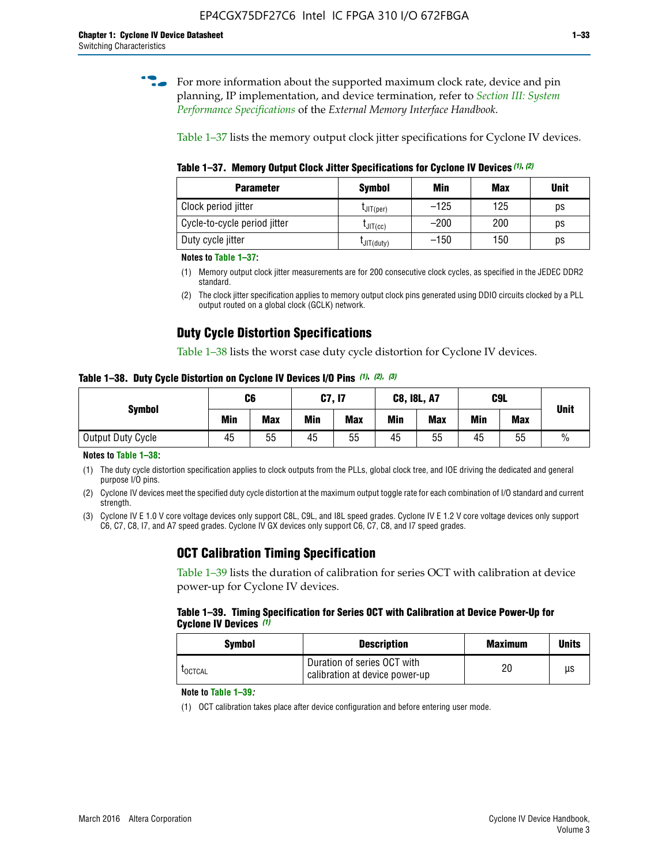**for more information about the supported maximum clock rate, device and pin** planning, IP implementation, and device termination, refer to *[Section III: System](http://www.altera.com/literature/hb/external-memory/emi_intro_specs.pdf)  [Performance Specifications](http://www.altera.com/literature/hb/external-memory/emi_intro_specs.pdf)* of the *External Memory Interface Handbook*.

Table 1–37 lists the memory output clock jitter specifications for Cyclone IV devices.

**Table 1–37. Memory Output Clock Jitter Specifications for Cyclone IV Devices** *(1)***,** *(2)*

| <b>Parameter</b>             | Symbol         | Min    | <b>Max</b> | <b>Unit</b> |
|------------------------------|----------------|--------|------------|-------------|
| Clock period jitter          | $L$ JIT(per)   | $-125$ | 125        | ps          |
| Cycle-to-cycle period jitter | $L$ JIT $(cc)$ | $-200$ | 200        | ps          |
| Duty cycle jitter            | LJIT(duty)     | $-150$ | 150        | рs          |

**Notes to Table 1–37:**

- (1) Memory output clock jitter measurements are for 200 consecutive clock cycles, as specified in the JEDEC DDR2 standard.
- (2) The clock jitter specification applies to memory output clock pins generated using DDIO circuits clocked by a PLL output routed on a global clock (GCLK) network.

# **Duty Cycle Distortion Specifications**

Table 1–38 lists the worst case duty cycle distortion for Cyclone IV devices.

**Table 1–38. Duty Cycle Distortion on Cyclone IV Devices I/O Pins** *(1)***,** *(2), (3)*

| <b>Symbol</b>     | C6  |            | <b>C7, I7</b> |            | <b>C8, I8L, A7</b> |            |     | C <sub>9</sub> L | <b>Unit</b>   |
|-------------------|-----|------------|---------------|------------|--------------------|------------|-----|------------------|---------------|
|                   | Min | <b>Max</b> | Min           | <b>Max</b> | Min                | <b>Max</b> | Min | <b>Max</b>       |               |
| Output Duty Cycle | 45  | 55         | 45            | 55         | 45                 | 55         | 45  | 55               | $\frac{0}{0}$ |

**Notes to Table 1–38:**

(1) The duty cycle distortion specification applies to clock outputs from the PLLs, global clock tree, and IOE driving the dedicated and general purpose I/O pins.

(2) Cyclone IV devices meet the specified duty cycle distortion at the maximum output toggle rate for each combination of I/O standard and current strength.

(3) Cyclone IV E 1.0 V core voltage devices only support C8L, C9L, and I8L speed grades. Cyclone IV E 1.2 V core voltage devices only support C6, C7, C8, I7, and A7 speed grades. Cyclone IV GX devices only support C6, C7, C8, and I7 speed grades.

# **OCT Calibration Timing Specification**

Table 1–39 lists the duration of calibration for series OCT with calibration at device power-up for Cyclone IV devices.

#### **Table 1–39. Timing Specification for Series OCT with Calibration at Device Power-Up for Cyclone IV Devices** *(1)*

| Symbol  | <b>Description</b>                                            | <b>Maximum</b> | <b>Units</b> |
|---------|---------------------------------------------------------------|----------------|--------------|
| LOCTCAL | Duration of series OCT with<br>calibration at device power-up | 20             | μs           |

#### **Note to Table 1–39***:*

(1) OCT calibration takes place after device configuration and before entering user mode.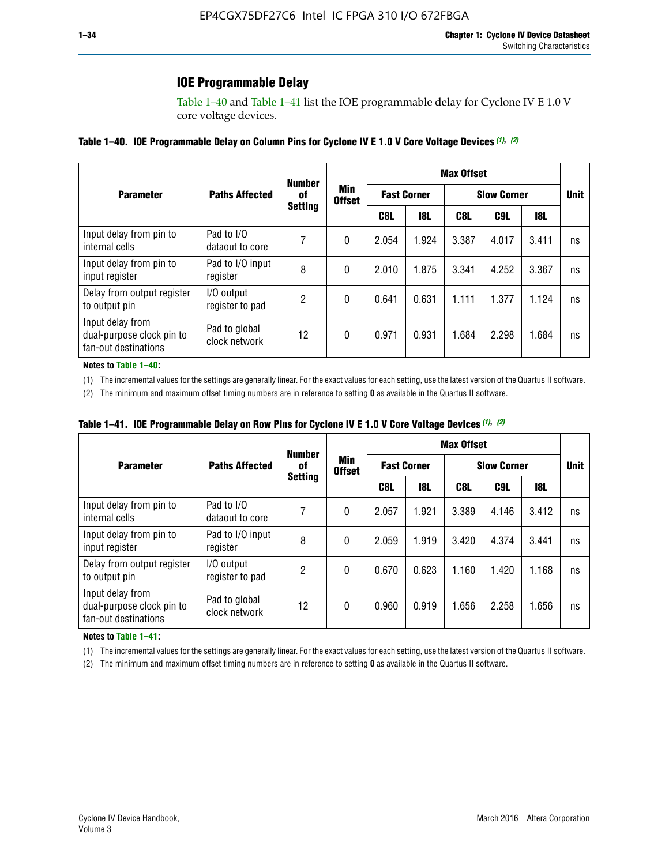# **IOE Programmable Delay**

Table 1–40 and Table 1–41 list the IOE programmable delay for Cyclone IV E 1.0 V core voltage devices.

#### **Table 1–40. IOE Programmable Delay on Column Pins for Cyclone IV E 1.0 V Core Voltage Devices** *(1)***,** *(2)*

|                                                                       |                                | <b>Number</b>  |                      |       |                    | <b>Max Offset</b> |                    |            |             |
|-----------------------------------------------------------------------|--------------------------------|----------------|----------------------|-------|--------------------|-------------------|--------------------|------------|-------------|
| <b>Parameter</b>                                                      | <b>Paths Affected</b>          | 0f             | Min<br><b>Offset</b> |       | <b>Fast Corner</b> |                   | <b>Slow Corner</b> |            | <b>Unit</b> |
|                                                                       |                                | <b>Setting</b> |                      | C8L   | <b>18L</b>         | C8L               | C9L                | <b>18L</b> |             |
| Input delay from pin to<br>internal cells                             | Pad to I/O<br>dataout to core  |                | 0                    | 2.054 | 1.924              | 3.387             | 4.017              | 3.411      | ns          |
| Input delay from pin to<br>input register                             | Pad to I/O input<br>register   | 8              | 0                    | 2.010 | 1.875              | 3.341             | 4.252              | 3.367      | ns          |
| Delay from output register<br>to output pin                           | I/O output<br>register to pad  | 2              | 0                    | 0.641 | 0.631              | 1.111             | 1.377              | 1.124      | ns          |
| Input delay from<br>dual-purpose clock pin to<br>fan-out destinations | Pad to global<br>clock network | 12             | 0                    | 0.971 | 0.931              | 1.684             | 2.298              | 1.684      | ns          |

#### **Notes to Table 1–40:**

(1) The incremental values for the settings are generally linear. For the exact values for each setting, use the latest version of the Quartus II software.

(2) The minimum and maximum offset timing numbers are in reference to setting **0** as available in the Quartus II software.

| Table 1–41. IOE Programmable Delay on Row Pins for Cyclone IV E 1.0 V Core Voltage Devices (1), (2) |  |  |
|-----------------------------------------------------------------------------------------------------|--|--|
|-----------------------------------------------------------------------------------------------------|--|--|

|                                                                       |                                |    | <b>Number</b>                          |       | <b>Max Offset</b>  |                    |                 |       |    |  |  |
|-----------------------------------------------------------------------|--------------------------------|----|----------------------------------------|-------|--------------------|--------------------|-----------------|-------|----|--|--|
| <b>Parameter</b>                                                      | <b>Paths Affected</b>          | of | Min<br><b>Offset</b><br><b>Setting</b> |       | <b>Fast Corner</b> | <b>Slow Corner</b> | <b>Unit</b>     |       |    |  |  |
|                                                                       |                                |    |                                        | C8L   | <b>18L</b>         | C8L                | C <sub>9L</sub> | 18L   |    |  |  |
| Input delay from pin to<br>internal cells                             | Pad to I/O<br>dataout to core  | 7  | 0                                      | 2.057 | 1.921              | 3.389              | 4.146           | 3.412 | ns |  |  |
| Input delay from pin to<br>input register                             | Pad to I/O input<br>register   | 8  | 0                                      | 2.059 | 1.919              | 3.420              | 4.374           | 3.441 | ns |  |  |
| Delay from output register<br>to output pin                           | I/O output<br>register to pad  | 2  | 0                                      | 0.670 | 0.623              | 1.160              | 1.420           | 1.168 | ns |  |  |
| Input delay from<br>dual-purpose clock pin to<br>fan-out destinations | Pad to global<br>clock network | 12 | 0                                      | 0.960 | 0.919              | 1.656              | 2.258           | 1.656 | ns |  |  |

#### **Notes to Table 1–41:**

(1) The incremental values for the settings are generally linear. For the exact values for each setting, use the latest version of the Quartus II software.

(2) The minimum and maximum offset timing numbers are in reference to setting **0** as available in the Quartus II software.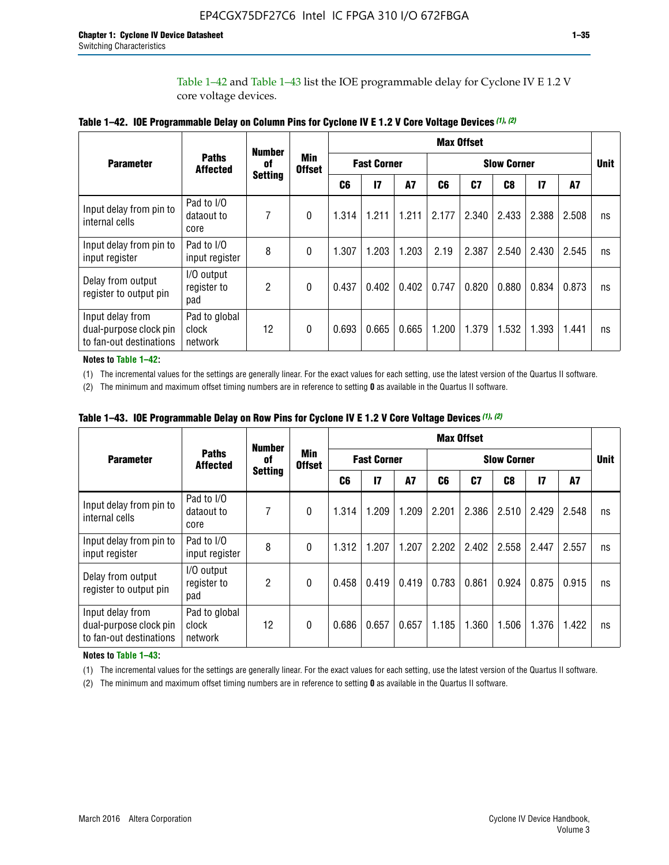Table 1–42 and Table 1–43 list the IOE programmable delay for Cyclone IV E 1.2 V core voltage devices.

|                                                                       |                                   | <b>Number</b>  |                             |                |                    |           |                    | <b>Max Offset</b> |                |               |       |             |
|-----------------------------------------------------------------------|-----------------------------------|----------------|-----------------------------|----------------|--------------------|-----------|--------------------|-------------------|----------------|---------------|-------|-------------|
| <b>Parameter</b>                                                      | <b>Paths</b><br><b>Affected</b>   | 0f             | <b>Min</b><br><b>Offset</b> |                | <b>Fast Corner</b> |           | <b>Slow Corner</b> |                   |                |               |       | <b>Unit</b> |
|                                                                       |                                   | <b>Setting</b> |                             | C <sub>6</sub> | $\mathbf{I}$       | <b>A7</b> | C6                 | C <sub>7</sub>    | C <sub>8</sub> | $\mathsf{I}7$ | A7    |             |
| Input delay from pin to<br>internal cells                             | Pad to I/O<br>dataout to<br>core  | 7              | $\theta$                    | 1.314          | 1.211              | 1.211     | 2.177              | 2.340             | 2.433          | 2.388         | 2.508 | ns          |
| Input delay from pin to<br>input register                             | Pad to I/O<br>input register      | 8              | $\theta$                    | 1.307          | 1.203              | 1.203     | 2.19               | 2.387             | 2.540          | 2.430         | 2.545 | ns          |
| Delay from output<br>register to output pin                           | I/O output<br>register to<br>pad  | 2              | $\Omega$                    | 0.437          | 0.402              | 0.402     | 0.747              | 0.820             | 0.880          | 0.834         | 0.873 | ns          |
| Input delay from<br>dual-purpose clock pin<br>to fan-out destinations | Pad to global<br>clock<br>network | 12             | $\mathbf{0}$                | 0.693          | 0.665              | 0.665     | 1.200              | 1.379             | 1.532          | 1.393         | 1.441 | ns          |

**Table 1–42. IOE Programmable Delay on Column Pins for Cyclone IV E 1.2 V Core Voltage Devices** *(1)***,** *(2)*

**Notes to Table 1–42:**

(1) The incremental values for the settings are generally linear. For the exact values for each setting, use the latest version of the Quartus II software.

(2) The minimum and maximum offset timing numbers are in reference to setting **0** as available in the Quartus II software.

|                                                                       |                                   |                | <b>Number</b>        |       | <b>Max Offset</b>                        |       |       |                |       |               |       |             |  |  |
|-----------------------------------------------------------------------|-----------------------------------|----------------|----------------------|-------|------------------------------------------|-------|-------|----------------|-------|---------------|-------|-------------|--|--|
| <b>Parameter</b>                                                      | <b>Paths</b><br><b>Affected</b>   | 0f             | Min<br><b>Offset</b> |       | <b>Fast Corner</b><br><b>Slow Corner</b> |       |       |                |       |               |       | <b>Unit</b> |  |  |
|                                                                       |                                   | <b>Setting</b> |                      | C6    | 17                                       | A7    | C6    | C <sub>7</sub> | C8    | $\mathsf{I}7$ | A7    |             |  |  |
| Input delay from pin to<br>internal cells                             | Pad to I/O<br>dataout to<br>core  | 7              | 0                    | 1.314 | 1.209                                    | 1.209 | 2.201 | 2.386          | 2.510 | 2.429         | 2.548 | ns          |  |  |
| Input delay from pin to<br>input register                             | Pad to I/O<br>input register      | 8              | $\theta$             | 1.312 | 1.207                                    | 1.207 | 2.202 | 2.402          | 2.558 | 2.447         | 2.557 | ns          |  |  |
| Delay from output<br>register to output pin                           | I/O output<br>register to<br>pad  | $\overline{2}$ | $\Omega$             | 0.458 | 0.419                                    | 0.419 | 0.783 | 0.861          | 0.924 | 0.875         | 0.915 | ns          |  |  |
| Input delay from<br>dual-purpose clock pin<br>to fan-out destinations | Pad to global<br>clock<br>network | 12             | 0                    | 0.686 | 0.657                                    | 0.657 | 1.185 | 1.360          | 1.506 | 1.376         | 1.422 | ns          |  |  |

**Table 1–43. IOE Programmable Delay on Row Pins for Cyclone IV E 1.2 V Core Voltage Devices** *(1)***,** *(2)*

#### **Notes to Table 1–43:**

(1) The incremental values for the settings are generally linear. For the exact values for each setting, use the latest version of the Quartus II software.

(2) The minimum and maximum offset timing numbers are in reference to setting **0** as available in the Quartus II software.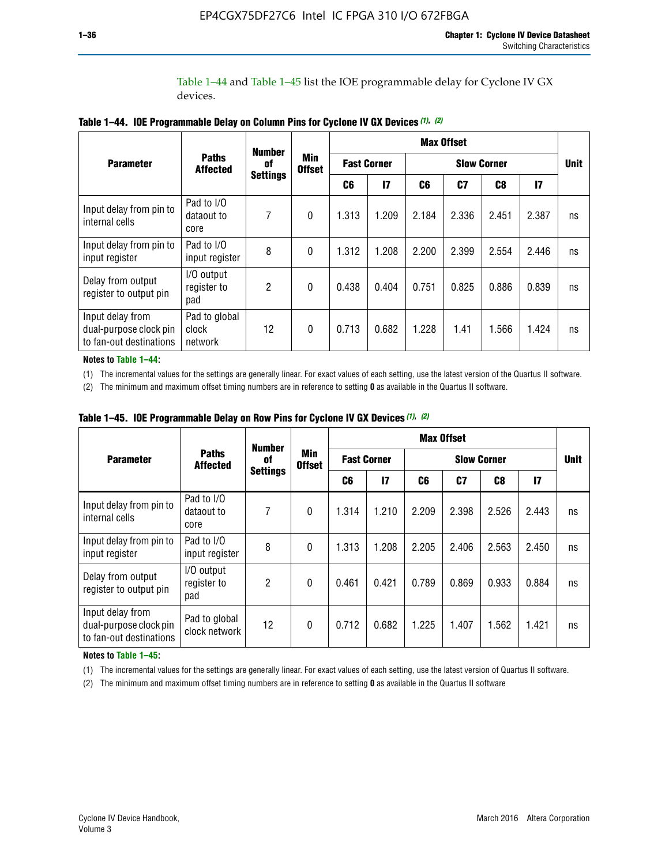Table 1–44 and Table 1–45 list the IOE programmable delay for Cyclone IV GX devices.

|                                                                       |                                   | <b>Number</b>   |                      | <b>Max Offset</b> |                    |       |                    |       |               |             |  |
|-----------------------------------------------------------------------|-----------------------------------|-----------------|----------------------|-------------------|--------------------|-------|--------------------|-------|---------------|-------------|--|
| <b>Parameter</b>                                                      | <b>Paths</b><br><b>Affected</b>   | 0f              | Min<br><b>Offset</b> |                   | <b>Fast Corner</b> |       | <b>Slow Corner</b> |       |               | <b>Unit</b> |  |
|                                                                       |                                   | <b>Settings</b> |                      | C6                | $\overline{17}$    | C6    | C7                 | C8    | $\mathsf{I}7$ |             |  |
| Input delay from pin to<br>internal cells                             | Pad to I/O<br>dataout to<br>core  | 7               | $\mathbf{0}$         | 1.313             | 1.209              | 2.184 | 2.336              | 2.451 | 2.387         | ns          |  |
| Input delay from pin to<br>input register                             | Pad to I/O<br>input register      | 8               | $\theta$             | 1.312             | 1.208              | 2.200 | 2.399              | 2.554 | 2.446         | ns          |  |
| Delay from output<br>register to output pin                           | I/O output<br>register to<br>pad  | 2               | $\Omega$             | 0.438             | 0.404              | 0.751 | 0.825              | 0.886 | 0.839         | ns          |  |
| Input delay from<br>dual-purpose clock pin<br>to fan-out destinations | Pad to global<br>clock<br>network | 12              | $\mathbf{0}$         | 0.713             | 0.682              | 1.228 | 1.41               | 1.566 | 1.424         | ns          |  |

**Table 1–44. IOE Programmable Delay on Column Pins for Cyclone IV GX Devices** *(1)***,** *(2)*

**Notes to Table 1–44:**

(1) The incremental values for the settings are generally linear. For exact values of each setting, use the latest version of the Quartus II software.

(2) The minimum and maximum offset timing numbers are in reference to setting **0** as available in the Quartus II software.

|                                                                       |                                  | <b>Number</b>   |                      |       |                    |                    | <b>Max Offset</b> |       |               |             |
|-----------------------------------------------------------------------|----------------------------------|-----------------|----------------------|-------|--------------------|--------------------|-------------------|-------|---------------|-------------|
| <b>Parameter</b>                                                      | <b>Paths</b><br><b>Affected</b>  | 0f              | Min<br><b>Offset</b> |       | <b>Fast Corner</b> | <b>Slow Corner</b> |                   |       |               | <b>Unit</b> |
|                                                                       |                                  | <b>Settings</b> |                      | C6    | 17                 | C6                 | C7                | C8    | $\mathsf{I}7$ |             |
| Input delay from pin to<br>internal cells                             | Pad to I/O<br>dataout to<br>core | 7               | $\mathbf{0}$         | 1.314 | 1.210              | 2.209              | 2.398             | 2.526 | 2.443         | ns          |
| Input delay from pin to<br>input register                             | Pad to I/O<br>input register     | 8               | $\mathbf{0}$         | 1.313 | 1.208              | 2.205              | 2.406             | 2.563 | 2.450         | ns          |
| Delay from output<br>register to output pin                           | I/O output<br>register to<br>pad | $\overline{2}$  | $\mathbf{0}$         | 0.461 | 0.421              | 0.789              | 0.869             | 0.933 | 0.884         | ns          |
| Input delay from<br>dual-purpose clock pin<br>to fan-out destinations | Pad to global<br>clock network   | 12              | $\mathbf{0}$         | 0.712 | 0.682              | 1.225              | 1.407             | 1.562 | 1.421         | ns          |

**Table 1–45. IOE Programmable Delay on Row Pins for Cyclone IV GX Devices** *(1)***,** *(2)*

#### **Notes to Table 1–45:**

(1) The incremental values for the settings are generally linear. For exact values of each setting, use the latest version of Quartus II software.

(2) The minimum and maximum offset timing numbers are in reference to setting **0** as available in the Quartus II software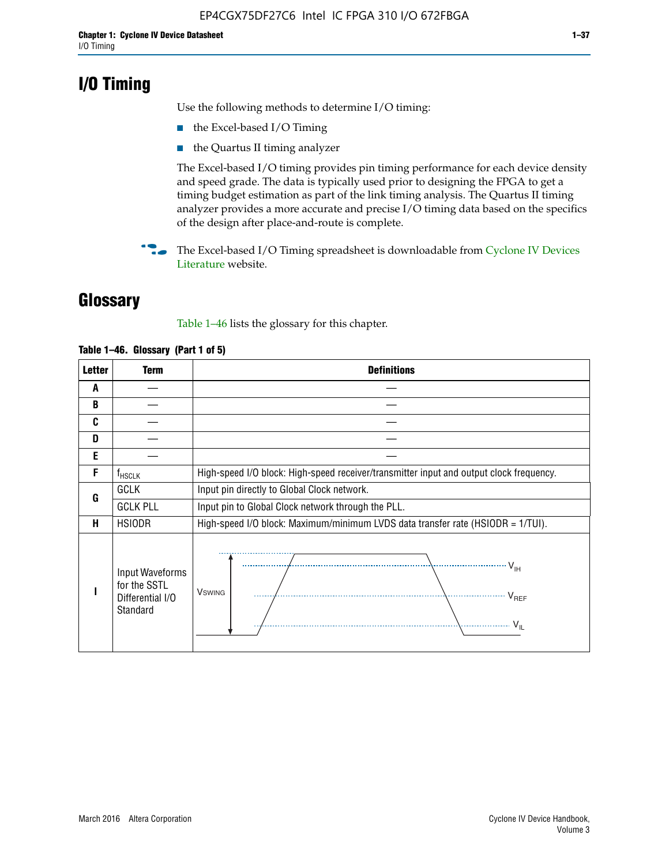# **I/O Timing**

Use the following methods to determine I/O timing:

- the Excel-based I/O Timing
- the Quartus II timing analyzer

The Excel-based I/O timing provides pin timing performance for each device density and speed grade. The data is typically used prior to designing the FPGA to get a timing budget estimation as part of the link timing analysis. The Quartus II timing analyzer provides a more accurate and precise I/O timing data based on the specifics of the design after place-and-route is complete.

**For The Excel-based I/O Timing spreadsheet is downloadable from Cyclone IV Devices** [Literature](http://www.altera.com/literature/lit-cyclone-iv.jsp) website.

# **Glossary**

Table 1–46 lists the glossary for this chapter.

| <b>Letter</b> | <b>Term</b>                                                     | <b>Definitions</b>                                                                                                                               |  |  |  |  |  |  |
|---------------|-----------------------------------------------------------------|--------------------------------------------------------------------------------------------------------------------------------------------------|--|--|--|--|--|--|
| A             |                                                                 |                                                                                                                                                  |  |  |  |  |  |  |
| B             |                                                                 |                                                                                                                                                  |  |  |  |  |  |  |
| C             |                                                                 |                                                                                                                                                  |  |  |  |  |  |  |
| D             |                                                                 |                                                                                                                                                  |  |  |  |  |  |  |
| E             |                                                                 |                                                                                                                                                  |  |  |  |  |  |  |
| F             | $f_{\sf HSCLK}$                                                 | High-speed I/O block: High-speed receiver/transmitter input and output clock frequency.                                                          |  |  |  |  |  |  |
| G             | <b>GCLK</b>                                                     | Input pin directly to Global Clock network.                                                                                                      |  |  |  |  |  |  |
|               | <b>GCLK PLL</b>                                                 | Input pin to Global Clock network through the PLL.                                                                                               |  |  |  |  |  |  |
| н             | <b>HSIODR</b>                                                   | High-speed I/O block: Maximum/minimum LVDS data transfer rate (HSIODR = 1/TUI).                                                                  |  |  |  |  |  |  |
|               | Input Waveforms<br>for the SSTL<br>Differential I/O<br>Standard | $\frac{1}{\sqrt{1+\frac{1}{2}}}\left\{ \frac{1}{\sqrt{1+\frac{1}{2}}}\right\}$<br><b>V</b> swing<br>$\cdots$ $V_{REF}$<br>\<br>$\sim V_{\rm IL}$ |  |  |  |  |  |  |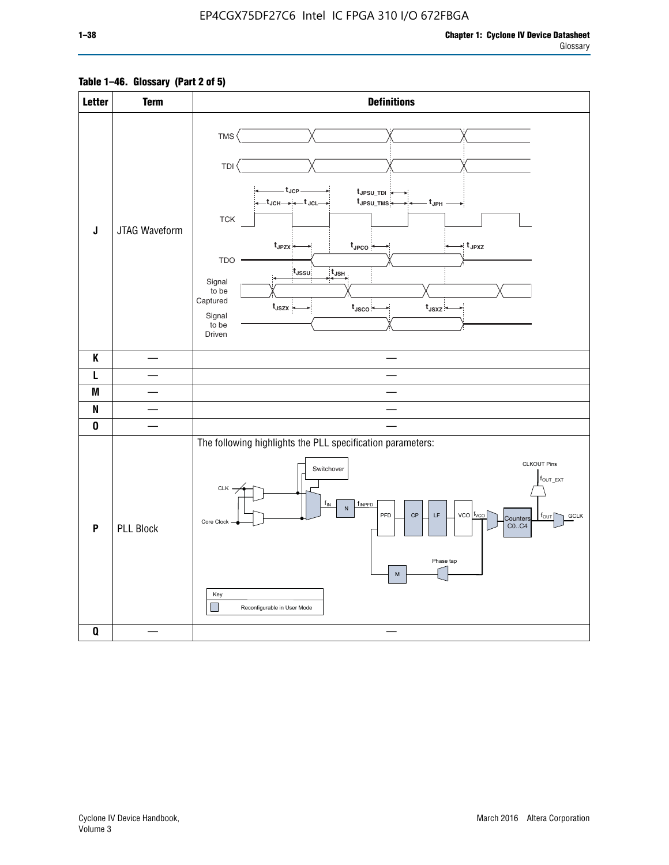# **Table 1–46. Glossary (Part 2 of 5)**

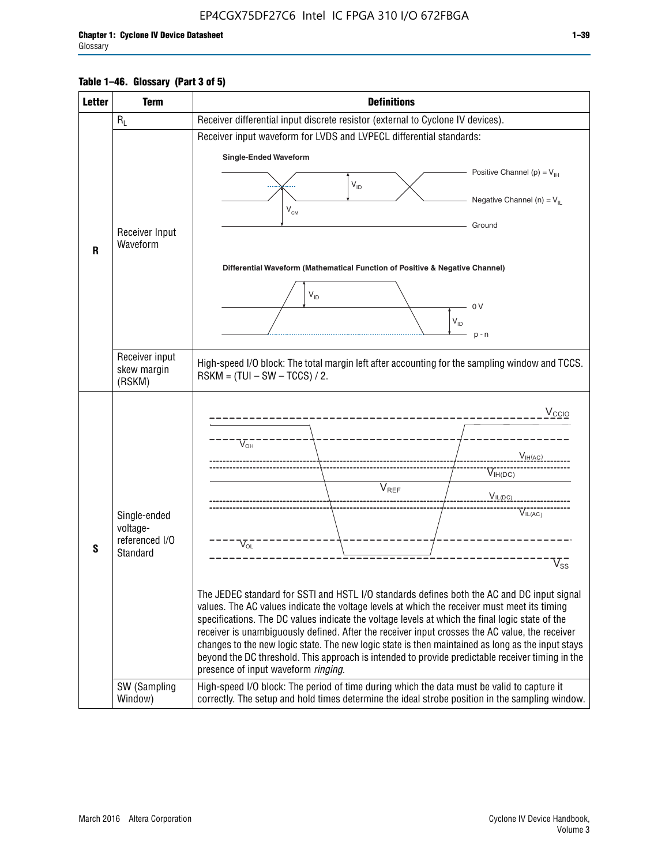# **Table 1–46. Glossary (Part 3 of 5)**

| <b>Letter</b> | <b>Term</b>                                                                                                | <b>Definitions</b>                                                                                                                                                                                |  |  |  |  |  |  |  |  |  |
|---------------|------------------------------------------------------------------------------------------------------------|---------------------------------------------------------------------------------------------------------------------------------------------------------------------------------------------------|--|--|--|--|--|--|--|--|--|
|               | $R_L$                                                                                                      | Receiver differential input discrete resistor (external to Cyclone IV devices).                                                                                                                   |  |  |  |  |  |  |  |  |  |
|               |                                                                                                            | Receiver input waveform for LVDS and LVPECL differential standards:                                                                                                                               |  |  |  |  |  |  |  |  |  |
|               |                                                                                                            | <b>Single-Ended Waveform</b>                                                                                                                                                                      |  |  |  |  |  |  |  |  |  |
|               |                                                                                                            | Positive Channel (p) = $V_{\text{H}}$                                                                                                                                                             |  |  |  |  |  |  |  |  |  |
|               |                                                                                                            | $\mathsf{V}_{\mathsf{ID}}$                                                                                                                                                                        |  |  |  |  |  |  |  |  |  |
|               |                                                                                                            | Negative Channel (n) = $V_{\parallel}$<br>V <sub>CM</sub>                                                                                                                                         |  |  |  |  |  |  |  |  |  |
|               | Receiver Input                                                                                             | Ground                                                                                                                                                                                            |  |  |  |  |  |  |  |  |  |
| R             | Waveform                                                                                                   |                                                                                                                                                                                                   |  |  |  |  |  |  |  |  |  |
|               |                                                                                                            | Differential Waveform (Mathematical Function of Positive & Negative Channel)                                                                                                                      |  |  |  |  |  |  |  |  |  |
|               |                                                                                                            |                                                                                                                                                                                                   |  |  |  |  |  |  |  |  |  |
|               |                                                                                                            | $V_{ID}$<br>0V                                                                                                                                                                                    |  |  |  |  |  |  |  |  |  |
|               |                                                                                                            | $V_{ID}$                                                                                                                                                                                          |  |  |  |  |  |  |  |  |  |
|               |                                                                                                            | $p - n$                                                                                                                                                                                           |  |  |  |  |  |  |  |  |  |
|               | Receiver input                                                                                             |                                                                                                                                                                                                   |  |  |  |  |  |  |  |  |  |
|               | skew margin                                                                                                | High-speed I/O block: The total margin left after accounting for the sampling window and TCCS.<br>$RSKM = (TUI - SW - TCCS) / 2.$                                                                 |  |  |  |  |  |  |  |  |  |
|               | (RSKM)                                                                                                     |                                                                                                                                                                                                   |  |  |  |  |  |  |  |  |  |
|               |                                                                                                            | $V_{CCIO}$                                                                                                                                                                                        |  |  |  |  |  |  |  |  |  |
|               |                                                                                                            |                                                                                                                                                                                                   |  |  |  |  |  |  |  |  |  |
|               |                                                                                                            | $V_{\text{\tiny OH}}^-$                                                                                                                                                                           |  |  |  |  |  |  |  |  |  |
|               |                                                                                                            | $V_{H(AC)}$                                                                                                                                                                                       |  |  |  |  |  |  |  |  |  |
|               |                                                                                                            | $V_{IH(DC)}$<br>V <sub>REF</sub>                                                                                                                                                                  |  |  |  |  |  |  |  |  |  |
|               |                                                                                                            | $V_{\text{IL(DC)}}$                                                                                                                                                                               |  |  |  |  |  |  |  |  |  |
|               | Single-ended<br>voltage-                                                                                   | VIL(AC)                                                                                                                                                                                           |  |  |  |  |  |  |  |  |  |
|               | referenced I/O                                                                                             | $V_{\text{OL}}$                                                                                                                                                                                   |  |  |  |  |  |  |  |  |  |
| S             | Standard                                                                                                   | $\rm V_{ss}^-$                                                                                                                                                                                    |  |  |  |  |  |  |  |  |  |
|               |                                                                                                            |                                                                                                                                                                                                   |  |  |  |  |  |  |  |  |  |
|               |                                                                                                            | The JEDEC standard for SSTI and HSTL I/O standards defines both the AC and DC input signal                                                                                                        |  |  |  |  |  |  |  |  |  |
|               |                                                                                                            | values. The AC values indicate the voltage levels at which the receiver must meet its timing                                                                                                      |  |  |  |  |  |  |  |  |  |
|               |                                                                                                            | specifications. The DC values indicate the voltage levels at which the final logic state of the<br>receiver is unambiguously defined. After the receiver input crosses the AC value, the receiver |  |  |  |  |  |  |  |  |  |
|               |                                                                                                            | changes to the new logic state. The new logic state is then maintained as long as the input stays                                                                                                 |  |  |  |  |  |  |  |  |  |
|               |                                                                                                            | beyond the DC threshold. This approach is intended to provide predictable receiver timing in the<br>presence of input waveform ringing.                                                           |  |  |  |  |  |  |  |  |  |
|               | SW (Sampling                                                                                               | High-speed I/O block: The period of time during which the data must be valid to capture it                                                                                                        |  |  |  |  |  |  |  |  |  |
|               | correctly. The setup and hold times determine the ideal strobe position in the sampling window.<br>Window) |                                                                                                                                                                                                   |  |  |  |  |  |  |  |  |  |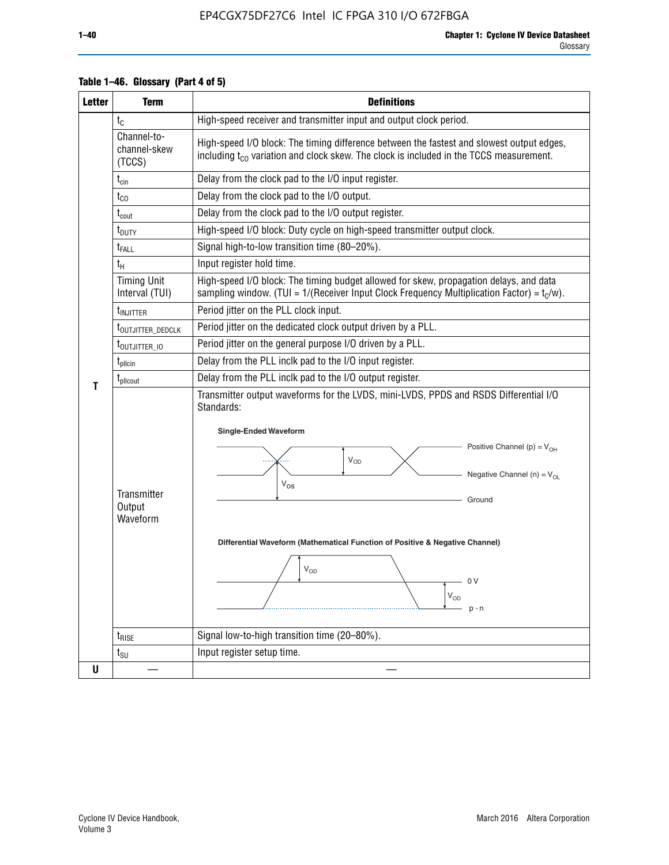| <b>Letter</b> | <b>Term</b>                           | <b>Definitions</b>                                                                                                                                                                                                                                                                                                                                                      |  |  |  |  |  |  |  |
|---------------|---------------------------------------|-------------------------------------------------------------------------------------------------------------------------------------------------------------------------------------------------------------------------------------------------------------------------------------------------------------------------------------------------------------------------|--|--|--|--|--|--|--|
|               | $t_{\rm C}$                           | High-speed receiver and transmitter input and output clock period.                                                                                                                                                                                                                                                                                                      |  |  |  |  |  |  |  |
|               | Channel-to-<br>channel-skew<br>(TCCS) | High-speed I/O block: The timing difference between the fastest and slowest output edges,<br>including t <sub>co</sub> variation and clock skew. The clock is included in the TCCS measurement.                                                                                                                                                                         |  |  |  |  |  |  |  |
|               | $t_{\text{cin}}$                      | Delay from the clock pad to the I/O input register.                                                                                                                                                                                                                                                                                                                     |  |  |  |  |  |  |  |
|               | $t_{\rm CO}$                          | Delay from the clock pad to the I/O output.                                                                                                                                                                                                                                                                                                                             |  |  |  |  |  |  |  |
|               | $t_{\text{cout}}$                     | Delay from the clock pad to the I/O output register.                                                                                                                                                                                                                                                                                                                    |  |  |  |  |  |  |  |
|               | t <sub>DUTY</sub>                     | High-speed I/O block: Duty cycle on high-speed transmitter output clock.                                                                                                                                                                                                                                                                                                |  |  |  |  |  |  |  |
|               | t <sub>FALL</sub>                     | Signal high-to-low transition time (80-20%).                                                                                                                                                                                                                                                                                                                            |  |  |  |  |  |  |  |
|               | $t_{H}$                               | Input register hold time.                                                                                                                                                                                                                                                                                                                                               |  |  |  |  |  |  |  |
|               | <b>Timing Unit</b><br>Interval (TUI)  | High-speed I/O block: The timing budget allowed for skew, propagation delays, and data<br>sampling window. (TUI = $1/($ Receiver Input Clock Frequency Multiplication Factor) = $tC/w$ ).                                                                                                                                                                               |  |  |  |  |  |  |  |
|               | t <sub>injitter</sub>                 | Period jitter on the PLL clock input.                                                                                                                                                                                                                                                                                                                                   |  |  |  |  |  |  |  |
|               | t <sub>outjitter_dedclk</sub>         | Period jitter on the dedicated clock output driven by a PLL.                                                                                                                                                                                                                                                                                                            |  |  |  |  |  |  |  |
|               | t <sub>outjitter_io</sub>             | Period jitter on the general purpose I/O driven by a PLL.                                                                                                                                                                                                                                                                                                               |  |  |  |  |  |  |  |
|               | $t_{\text{pllcin}}$                   | Delay from the PLL inclk pad to the I/O input register.                                                                                                                                                                                                                                                                                                                 |  |  |  |  |  |  |  |
| Т             | $t_{\text{pll} \text{out}}$           | Delay from the PLL inclk pad to the I/O output register.                                                                                                                                                                                                                                                                                                                |  |  |  |  |  |  |  |
|               | Transmitter<br>Output<br>Waveform     | Transmitter output waveforms for the LVDS, mini-LVDS, PPDS and RSDS Differential I/O<br>Standards:<br><b>Single-Ended Waveform</b><br>Positive Channel (p) = $V_{OH}$<br>Vop<br>Negative Channel (n) = $V_{OL}$<br>$\rm V_{OS}$<br>Ground<br>Differential Waveform (Mathematical Function of Positive & Negative Channel)<br>$V_{OD}$<br>0 V<br>$\rm V_{OD}$<br>$p - n$ |  |  |  |  |  |  |  |
|               | $t_{RISE}$                            | Signal low-to-high transition time (20-80%).                                                                                                                                                                                                                                                                                                                            |  |  |  |  |  |  |  |
|               | $t_{\text{SU}}$                       | Input register setup time.                                                                                                                                                                                                                                                                                                                                              |  |  |  |  |  |  |  |
| U             |                                       |                                                                                                                                                                                                                                                                                                                                                                         |  |  |  |  |  |  |  |

# **Table 1–46. Glossary (Part 4 of 5)**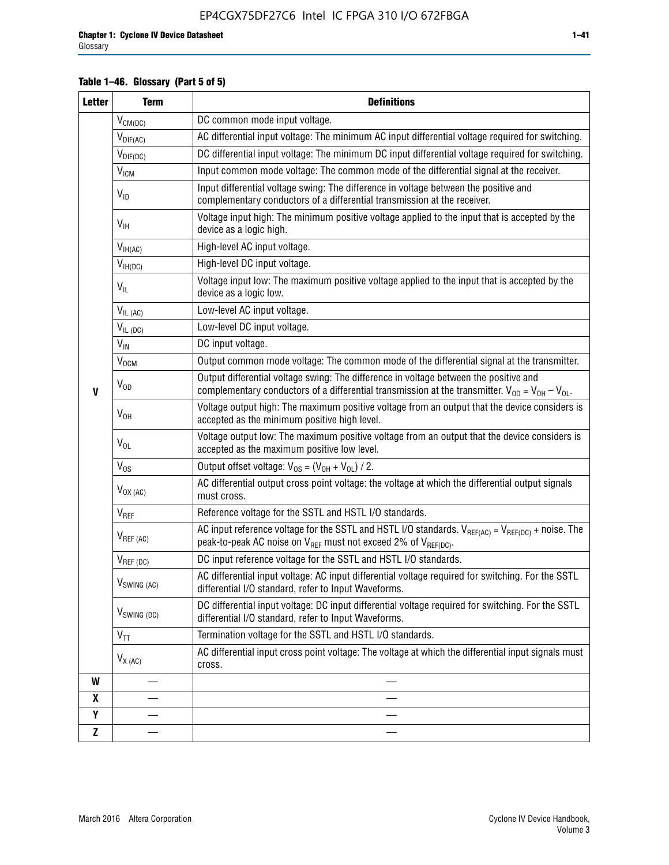# **Table 1–46. Glossary (Part 5 of 5)**

| <b>Letter</b> | <b>Term</b>               | <b>Definitions</b>                                                                                                                                                                                |
|---------------|---------------------------|---------------------------------------------------------------------------------------------------------------------------------------------------------------------------------------------------|
|               | $V_{CM(DC)}$              | DC common mode input voltage.                                                                                                                                                                     |
|               | $V_{DIF(AC)}$             | AC differential input voltage: The minimum AC input differential voltage required for switching.                                                                                                  |
|               | $V_{DIF(DC)}$             | DC differential input voltage: The minimum DC input differential voltage required for switching.                                                                                                  |
|               | $V_{IGM}$                 | Input common mode voltage: The common mode of the differential signal at the receiver.                                                                                                            |
|               | $V_{ID}$                  | Input differential voltage swing: The difference in voltage between the positive and<br>complementary conductors of a differential transmission at the receiver.                                  |
|               | $V_{\text{IH}}$           | Voltage input high: The minimum positive voltage applied to the input that is accepted by the<br>device as a logic high.                                                                          |
|               | $V_{IH(AC)}$              | High-level AC input voltage.                                                                                                                                                                      |
|               | $V_{IH(DC)}$              | High-level DC input voltage.                                                                                                                                                                      |
|               | $V_{IL}$                  | Voltage input low: The maximum positive voltage applied to the input that is accepted by the<br>device as a logic low.                                                                            |
|               | $V_{IL(AC)}$              | Low-level AC input voltage.                                                                                                                                                                       |
|               | $V_{IL(DC)}$              | Low-level DC input voltage.                                                                                                                                                                       |
|               | $V_{\text{IN}}$           | DC input voltage.                                                                                                                                                                                 |
|               | $V_{\text{OCM}}$          | Output common mode voltage: The common mode of the differential signal at the transmitter.                                                                                                        |
| $\mathbf{V}$  | $V_{OD}$                  | Output differential voltage swing: The difference in voltage between the positive and<br>complementary conductors of a differential transmission at the transmitter. $V_{OD} = V_{OH} - V_{OL}$ . |
|               | $V_{OH}$                  | Voltage output high: The maximum positive voltage from an output that the device considers is<br>accepted as the minimum positive high level.                                                     |
|               | $V_{OL}$                  | Voltage output low: The maximum positive voltage from an output that the device considers is<br>accepted as the maximum positive low level.                                                       |
|               | $V_{OS}$                  | Output offset voltage: $V_{OS} = (V_{OH} + V_{OL}) / 2$ .                                                                                                                                         |
|               | $V_{OX(AC)}$              | AC differential output cross point voltage: the voltage at which the differential output signals<br>must cross.                                                                                   |
|               | V <sub>REF</sub>          | Reference voltage for the SSTL and HSTL I/O standards.                                                                                                                                            |
|               | $V_{REF\,(AC)}$           | AC input reference voltage for the SSTL and HSTL I/O standards. $V_{REF(AC)} = V_{REF(DC)} +$ noise. The<br>peak-to-peak AC noise on $V_{REF}$ must not exceed 2% of $V_{REF(DC)}$ .              |
|               | $V_{REF(DC)}$             | DC input reference voltage for the SSTL and HSTL I/O standards.                                                                                                                                   |
|               | $V_{\textrm{SWING (AC)}}$ | AC differential input voltage: AC input differential voltage required for switching. For the SSTL<br>differential I/O standard, refer to Input Waveforms.                                         |
|               | $V_{SWING (DC)}$          | DC differential input voltage: DC input differential voltage required for switching. For the SSTL<br>differential I/O standard, refer to Input Waveforms.                                         |
|               | $\text{V}_{\text{TT}}$    | Termination voltage for the SSTL and HSTL I/O standards.                                                                                                                                          |
|               | $V_{X(AC)}$               | AC differential input cross point voltage: The voltage at which the differential input signals must<br>cross.                                                                                     |
| W             |                           |                                                                                                                                                                                                   |
| X             |                           |                                                                                                                                                                                                   |
| Υ             |                           |                                                                                                                                                                                                   |
| Z             |                           |                                                                                                                                                                                                   |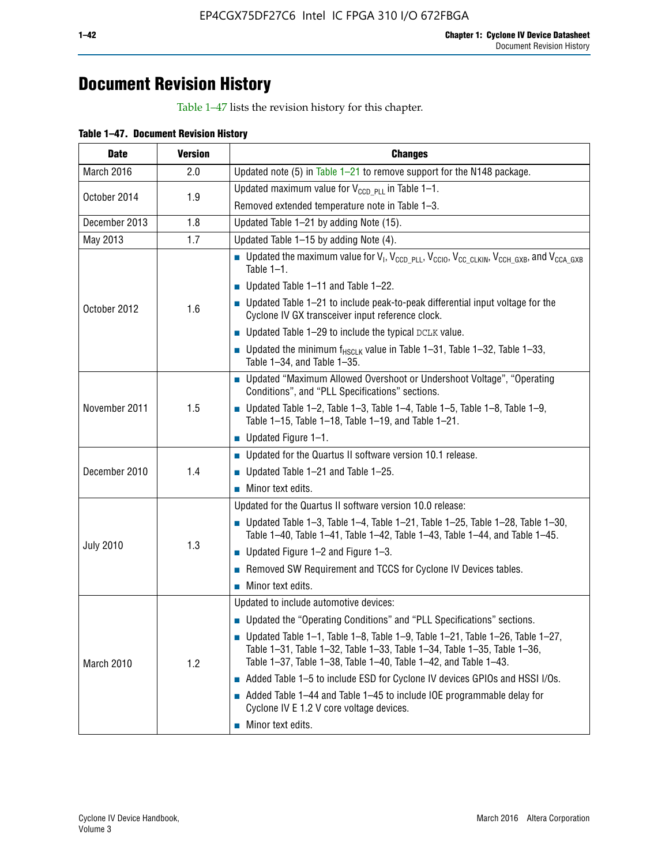# **Document Revision History**

Table 1–47 lists the revision history for this chapter.

| <b>Date</b>      | <b>Version</b> | <b>Changes</b>                                                                                                                                                                                                                            |
|------------------|----------------|-------------------------------------------------------------------------------------------------------------------------------------------------------------------------------------------------------------------------------------------|
| March 2016       | 2.0            | Updated note (5) in Table $1-21$ to remove support for the N148 package.                                                                                                                                                                  |
| October 2014     | 1.9            | Updated maximum value for $V_{CCD, PL}$ in Table 1-1.                                                                                                                                                                                     |
|                  |                | Removed extended temperature note in Table 1-3.                                                                                                                                                                                           |
| December 2013    | 1.8            | Updated Table 1-21 by adding Note (15).                                                                                                                                                                                                   |
| May 2013         | 1.7            | Updated Table 1-15 by adding Note (4).                                                                                                                                                                                                    |
| October 2012     | 1.6            | Dpdated the maximum value for $V_1$ , $V_{CCD\_PLL}$ , $V_{CC10}$ , $V_{CC\_CLKIN}$ , $V_{CCH\_GXB}$ , and $V_{CCA\_GXB}$<br>Table $1-1$ .                                                                                                |
|                  |                | $\blacksquare$ Updated Table 1-11 and Table 1-22.                                                                                                                                                                                         |
|                  |                | $\blacksquare$ Updated Table 1-21 to include peak-to-peak differential input voltage for the<br>Cyclone IV GX transceiver input reference clock.                                                                                          |
|                  |                | $\blacksquare$ Updated Table 1-29 to include the typical DCLK value.                                                                                                                                                                      |
|                  |                | <b>Updated the minimum f<sub>HSCLK</sub></b> value in Table 1-31, Table 1-32, Table 1-33,<br>Table 1-34, and Table 1-35.                                                                                                                  |
| November 2011    | 1.5            | • Updated "Maximum Allowed Overshoot or Undershoot Voltage", "Operating<br>Conditions", and "PLL Specifications" sections.                                                                                                                |
|                  |                | Updated Table 1-2, Table 1-3, Table 1-4, Table 1-5, Table 1-8, Table 1-9,<br>Table 1-15, Table 1-18, Table 1-19, and Table 1-21.                                                                                                          |
|                  |                | ■ Updated Figure $1-1$ .                                                                                                                                                                                                                  |
|                  | 1.4            | • Updated for the Quartus II software version 10.1 release.                                                                                                                                                                               |
| December 2010    |                | $\blacksquare$ Updated Table 1-21 and Table 1-25.                                                                                                                                                                                         |
|                  |                | $\blacksquare$ Minor text edits.                                                                                                                                                                                                          |
|                  | 1.3            | Updated for the Quartus II software version 10.0 release:                                                                                                                                                                                 |
|                  |                | Updated Table 1-3, Table 1-4, Table 1-21, Table 1-25, Table 1-28, Table 1-30,<br>Table 1-40, Table 1-41, Table 1-42, Table 1-43, Table 1-44, and Table 1-45.                                                                              |
| <b>July 2010</b> |                | ■ Updated Figure $1-2$ and Figure $1-3$ .                                                                                                                                                                                                 |
|                  |                | Removed SW Requirement and TCCS for Cyclone IV Devices tables.                                                                                                                                                                            |
|                  |                | $\blacksquare$ Minor text edits.                                                                                                                                                                                                          |
|                  | 1.2            | Updated to include automotive devices:                                                                                                                                                                                                    |
| March 2010       |                | • Updated the "Operating Conditions" and "PLL Specifications" sections.                                                                                                                                                                   |
|                  |                | $\blacksquare$ Updated Table 1-1, Table 1-8, Table 1-9, Table 1-21, Table 1-26, Table 1-27,<br>Table 1-31, Table 1-32, Table 1-33, Table 1-34, Table 1-35, Table 1-36,<br>Table 1-37, Table 1-38, Table 1-40, Table 1-42, and Table 1-43. |
|                  |                | Added Table 1-5 to include ESD for Cyclone IV devices GPIOs and HSSI I/Os.                                                                                                                                                                |
|                  |                | Added Table 1-44 and Table 1-45 to include IOE programmable delay for<br>Cyclone IV E 1.2 V core voltage devices.                                                                                                                         |
|                  |                | Minor text edits.                                                                                                                                                                                                                         |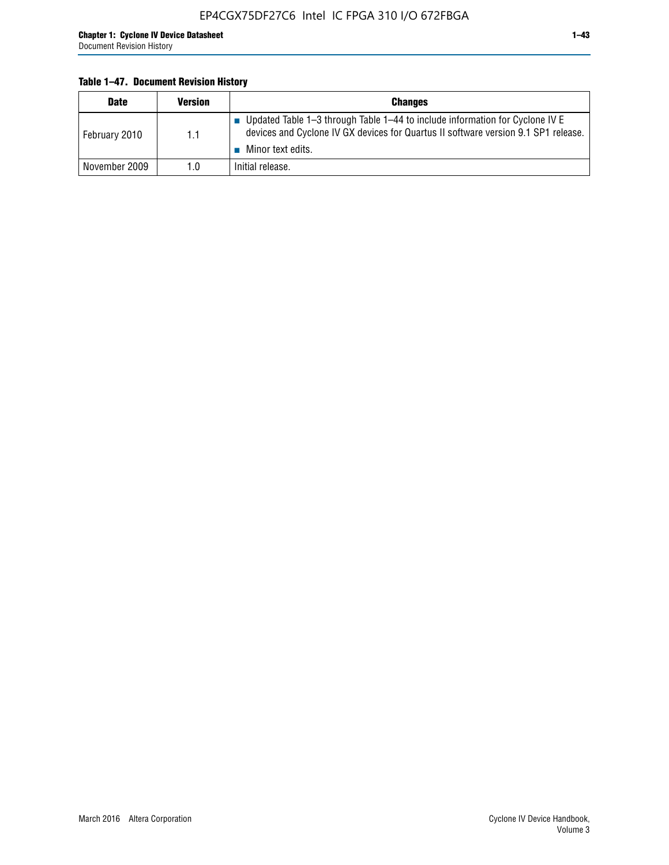### **Table 1–47. Document Revision History**

| <b>Date</b>   | <b>Version</b> | <b>Changes</b>                                                                                                                                                                          |
|---------------|----------------|-----------------------------------------------------------------------------------------------------------------------------------------------------------------------------------------|
| February 2010 | 1.1            | Updated Table 1-3 through Table 1-44 to include information for Cyclone IV E<br>devices and Cyclone IV GX devices for Quartus II software version 9.1 SP1 release.<br>Minor text edits. |
| November 2009 | 1.0            | Initial release.                                                                                                                                                                        |